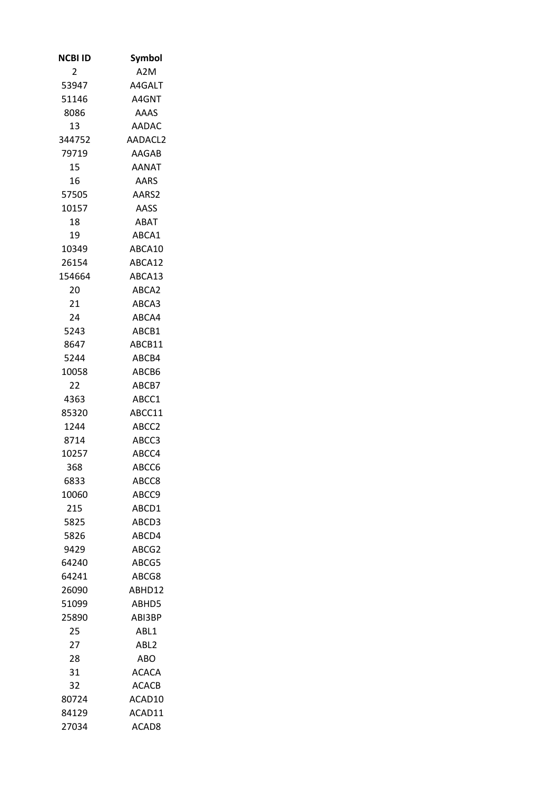| NCBI ID        | Symbol            |
|----------------|-------------------|
| $\overline{2}$ | A2M               |
| 53947          | A4GALT            |
| 51146          | A4GNT             |
| 8086           | AAAS              |
| 13             | AADAC             |
| 344752         | AADACL2           |
| 79719          | AAGAB             |
| 15             | AANAT             |
| 16             | <b>AARS</b>       |
| 57505          | AARS2             |
| 10157          | AASS              |
| 18             | ABAT              |
| 19             | ABCA1             |
| 10349          | ABCA10            |
| 26154          | ABCA12            |
| 154664         | ABCA13            |
| 20             | ABCA2             |
| 21             | ABCA3             |
| 24             | ABCA4             |
| 5243           | ABCB1             |
| 8647           | ABCB11            |
| 5244           | ABCB4             |
| 10058          | ABCB6             |
| 22             | ABCB7             |
| 4363           | ABCC1             |
| 85320          | ABCC11            |
| 1244           | ABCC <sub>2</sub> |
|                |                   |
| 8714           | ABCC3             |
| 10257          | ABCC4             |
| 368            | ABCC6             |
| 6833           | ABCC8             |
| 10060          | ABCC9             |
| 215            | ABCD1             |
| 5825           | ABCD3             |
| 5826           | ABCD4             |
| 9429           | ABCG2             |
| 64240          | ABCG5             |
| 64241          | ABCG8             |
| 26090          | ABHD12            |
| 51099          | ABHD5             |
| 25890          | ABI3BP            |
| 25             | ABL1              |
| 27             | ABL <sub>2</sub>  |
| 28             | ABO.              |
| 31             | ACACA             |
| 32             | <b>ACACB</b>      |
| 80724          | ACAD10            |
| 84129          | ACAD11            |
| 27034          | ACAD8             |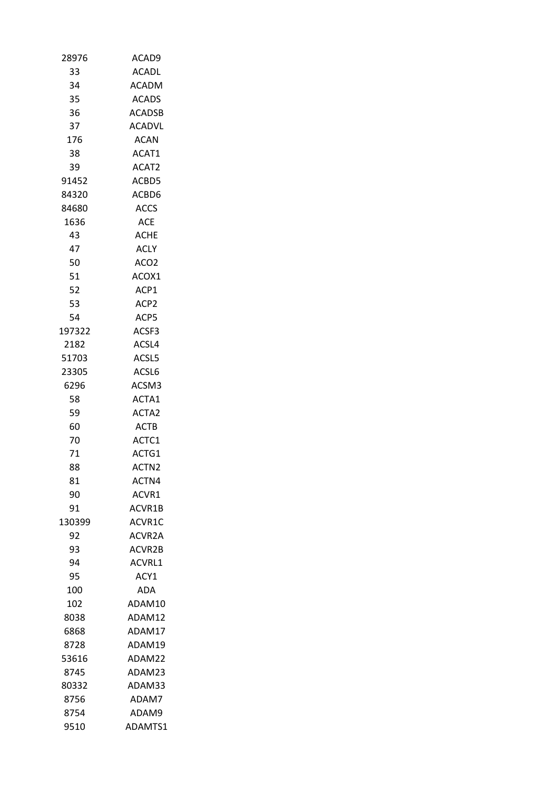| 28976  | ACAD9             |
|--------|-------------------|
| 33     | <b>ACADL</b>      |
| 34     | <b>ACADM</b>      |
| 35     | <b>ACADS</b>      |
| 36     | <b>ACADSB</b>     |
| 37     | ACADVL            |
| 176    | <b>ACAN</b>       |
| 38     | ACAT1             |
| 39     | ACAT2             |
| 91452  | ACBD5             |
| 84320  | ACBD6             |
| 84680  | <b>ACCS</b>       |
| 1636   | ACE               |
| 43     | <b>ACHE</b>       |
| 47     | <b>ACLY</b>       |
| 50     | ACO <sub>2</sub>  |
| 51     | ACOX1             |
| 52     | ACP1              |
| 53     | ACP <sub>2</sub>  |
| 54     | ACP5              |
| 197322 | ACSF3             |
| 2182   | ACSL4             |
| 51703  | ACSL5             |
| 23305  | ACSL6             |
| 6296   | ACSM3             |
| 58     | ACTA1             |
| 59     | ACTA2             |
| 60     | <b>ACTB</b>       |
| 70     | ACTC1             |
| 71     | ACTG1             |
| 88     | ACTN <sub>2</sub> |
|        |                   |
| 81     | ACTN4             |
| 90     | ACVR1             |
| 91     | ACVR1B            |
| 130399 | ACVR1C            |
| 92     | ACVR2A            |
| 93     | ACVR2B            |
| 94     | <b>ACVRL1</b>     |
| 95     | ACY1              |
| 100    | ADA               |
| 102    | ADAM10            |
| 8038   | ADAM12            |
| 6868   | ADAM17            |
| 8728   | ADAM19            |
| 53616  | ADAM22            |
| 8745   | ADAM23            |
| 80332  | ADAM33            |
| 8756   | ADAM7             |
| 8754   | ADAM9             |
| 9510   | ADAMTS1           |
|        |                   |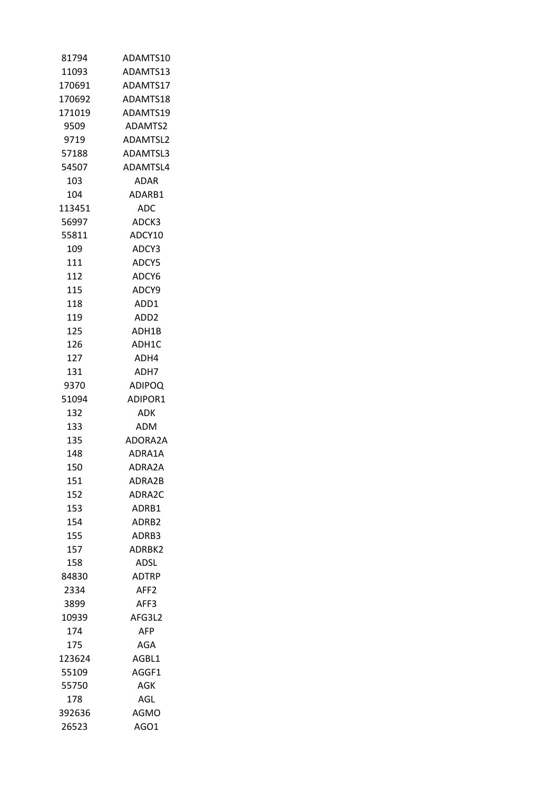| 81794  | ADAMTS10         |
|--------|------------------|
| 11093  | ADAMTS13         |
| 170691 | ADAMTS17         |
| 170692 | ADAMTS18         |
| 171019 | ADAMTS19         |
| 9509   | ADAMTS2          |
| 9719   | ADAMTSL2         |
| 57188  | ADAMTSL3         |
| 54507  | ADAMTSL4         |
| 103    | ADAR             |
| 104    | ADARB1           |
| 113451 | ADC.             |
| 56997  | ADCK3            |
|        |                  |
| 55811  | ADCY10           |
| 109    | ADCY3            |
| 111    | ADCY5            |
| 112    | ADCY6            |
| 115    | ADCY9            |
| 118    | ADD1             |
| 119    | ADD <sub>2</sub> |
| 125    | ADH1B            |
| 126    | ADH1C            |
| 127    | ADH4             |
| 131    | ADH7             |
| 9370   | <b>ADIPOQ</b>    |
| 51094  | ADIPOR1          |
| 132    | ADK              |
| 133    | ADM              |
| 135    | ADORA2A          |
| 148    | ADRA1A           |
| 150    | ADRA2A           |
| 151    | ADRA2B           |
| 152    | ADRA2C           |
| 153    | ADRB1            |
| 154    | ADRB2            |
| 155    | ADRB3            |
| 157    | ADRBK2           |
| 158    | ADSL             |
| 84830  | <b>ADTRP</b>     |
| 2334   | AFF <sub>2</sub> |
| 3899   | AFF3             |
| 10939  | AFG3L2           |
|        |                  |
| 174    | AFP              |
| 175    | AGA              |
| 123624 | AGBL1            |
| 55109  | AGGF1            |
| 55750  | AGK              |
| 178    | AGL              |
| 392636 | AGMO             |
| 26523  | AGO1             |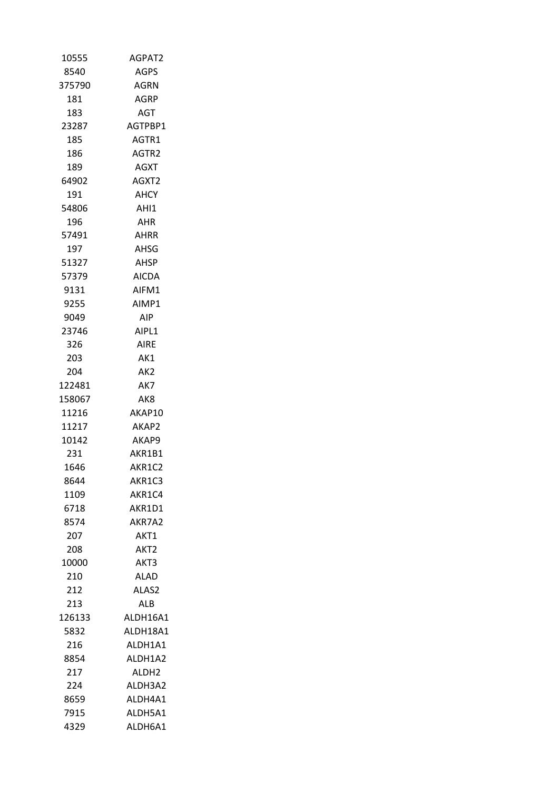| 10555           | AGPAT2            |
|-----------------|-------------------|
| 8540            | AGPS              |
| 375790          | AGRN              |
| 181             | AGRP              |
| 183             | AGT               |
| 23287           | AGTPBP1           |
| 185             | AGTR1             |
| 186             | AGTR2             |
| 189             | AGXT              |
| 64902           | AGXT2             |
| 191             | AHCY              |
| 54806           | AHI1              |
| 196             | AHR               |
| 57491           | AHRR              |
| 197             | AHSG              |
| 51327           | AHSP              |
| 57379           | <b>AICDA</b>      |
| 9131            | AIFM1             |
| 9255            | AIMP1             |
| 9049            | AIP.              |
| 23746           | AIPL1             |
| 326             | AIRE              |
| 203             | AK1               |
| 204             | AK <sub>2</sub>   |
| 122481          | AK7               |
|                 | AK8               |
| 158067<br>11216 | AKAP10            |
| 11217           | AKAP2             |
|                 |                   |
| 10142           | AKAP9             |
| 231             | AKR1B1            |
| 1646            | AKR1C2            |
| 8644            | AKR1C3            |
| 1109            | AKR1C4            |
| 6718            | AKR1D1            |
| 8574            | AKR7A2            |
| 207             | AKT1              |
| 208             | AKT2              |
| 10000           | AKT3              |
| 210             | ALAD              |
| 212             | ALAS2             |
| 213             | ALB.              |
| 126133          | ALDH16A1          |
| 5832            | ALDH18A1          |
| 216             | ALDH1A1           |
| 8854            | ALDH1A2           |
| 217             | ALDH <sub>2</sub> |
| 224             | ALDH3A2           |
| 8659            | ALDH4A1           |
| 7915            | ALDH5A1           |
| 4329            | ALDH6A1           |
|                 |                   |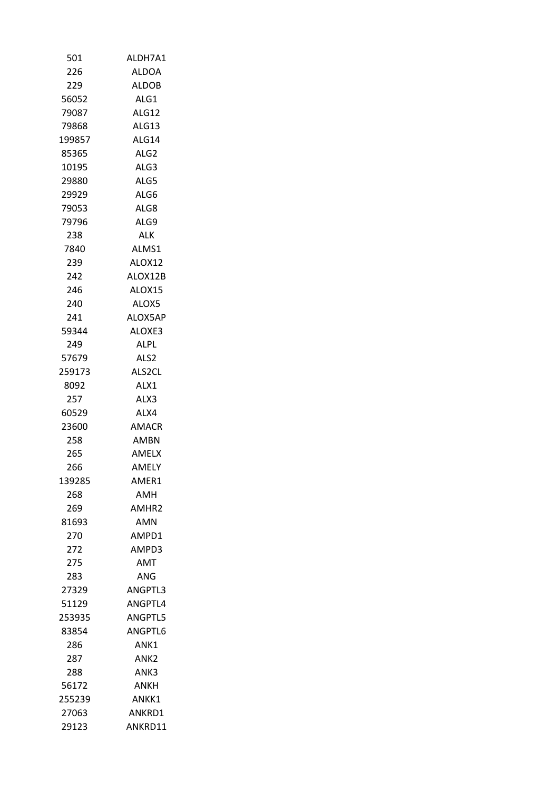| 501    | ALDH7A1           |
|--------|-------------------|
| 226    | <b>ALDOA</b>      |
| 229    | <b>ALDOB</b>      |
| 56052  | ALG1              |
| 79087  | ALG12             |
| 79868  | ALG13             |
| 199857 | ALG14             |
| 85365  | ALG <sub>2</sub>  |
| 10195  | ALG3              |
| 29880  | ALG5              |
| 29929  | ALG6              |
| 79053  | ALG8              |
| 79796  | ALG9              |
| 238    | ALK.              |
| 7840   | ALMS1             |
| 239    | ALOX12            |
| 242    | ALOX12B           |
| 246    | ALOX15            |
| 240    | ALOX5             |
| 241    | ALOX5AP           |
| 59344  | ALOXE3            |
| 249    | ALPL.             |
| 57679  | ALS2              |
| 259173 | ALS2CL            |
| 8092   | ALX1              |
| 257    | ALX3              |
| 60529  | ALX4              |
| 23600  | AMACR             |
| 258    | AMBN              |
| 265    | AMELX             |
| 266    | AMELY             |
| 139285 | AMER1             |
| 268    | AMH               |
| 269    | AMHR <sub>2</sub> |
| 81693  | AMN               |
| 270    | AMPD1             |
| 272    | AMPD3             |
| 275    | <b>AMT</b>        |
| 283    | ANG               |
| 27329  | ANGPTL3           |
| 51129  | ANGPTL4           |
| 253935 | ANGPTL5           |
| 83854  | ANGPTL6           |
| 286    | ANK1              |
| 287    | ANK2              |
| 288    | ANK3              |
| 56172  | ANKH              |
| 255239 | ANKK1             |
| 27063  | ANKRD1            |
| 29123  | ANKRD11           |
|        |                   |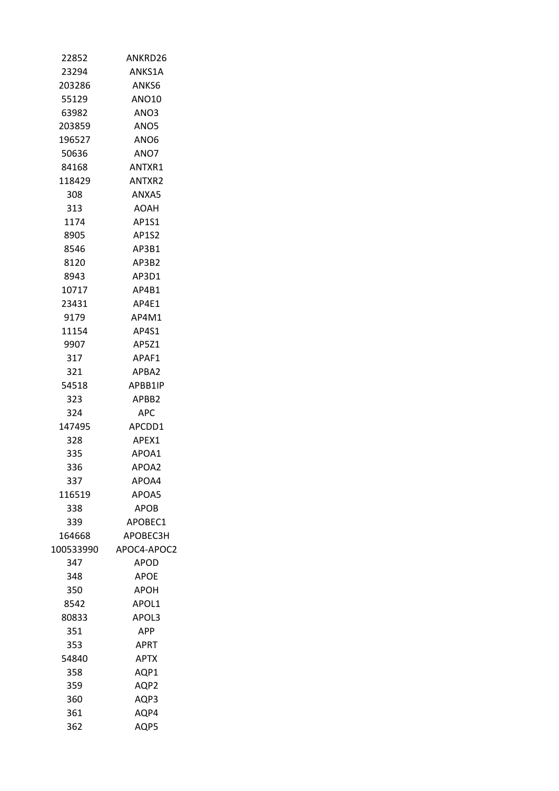| 22852     | ANKRD26      |
|-----------|--------------|
| 23294     | ANKS1A       |
| 203286    | ANKS6        |
| 55129     | ANO10        |
| 63982     | ANO3         |
| 203859    | ANO5         |
| 196527    | ANO6         |
| 50636     | ANO7         |
| 84168     | ANTXR1       |
| 118429    | ANTXR2       |
| 308       | ANXA5        |
| 313       | AOAH         |
| 1174      | AP1S1        |
| 8905      | <b>AP1S2</b> |
| 8546      | AP3B1        |
| 8120      | AP3B2        |
| 8943      | AP3D1        |
| 10717     | AP4B1        |
| 23431     | AP4E1        |
| 9179      | AP4M1        |
| 11154     | AP4S1        |
| 9907      | AP5Z1        |
| 317       | APAF1        |
| 321       | APBA2        |
| 54518     | APBB1IP      |
| 323       | APBB2        |
| 324.      | APC          |
| 147495    | APCDD1       |
| 328       | APEX1        |
| 335       | APOA1        |
| 336       | APOA2        |
| 337       | APOA4        |
| 116519    | APOA5        |
| 338       | APOB         |
| 339       | APOBEC1      |
| 164668    | APOBEC3H     |
| 100533990 | APOC4-APOC2  |
| 347       | <b>APOD</b>  |
| 348       | <b>APOE</b>  |
| 350       | APOH         |
| 8542      | APOL1        |
| 80833     | APOL3        |
| 351       | <b>APP</b>   |
| 353       | APRT         |
| 54840     | <b>APTX</b>  |
| 358       | AQP1         |
| 359       | AQP2         |
| 360       | AQP3         |
| 361       | AQP4         |
| 362       | AQP5         |
|           |              |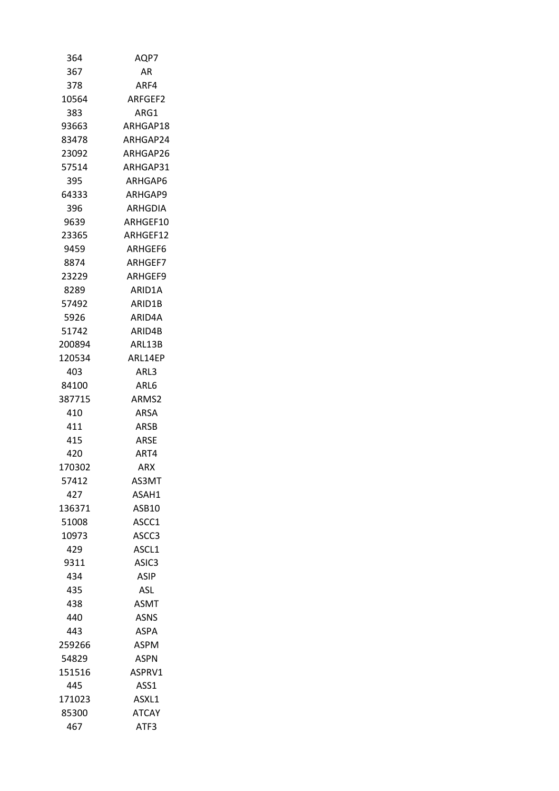| 364    | AQP7              |
|--------|-------------------|
| 367    | AR                |
| 378    | ARF4              |
| 10564  | ARFGEF2           |
| 383    | ARG1              |
| 93663  | ARHGAP18          |
| 83478  | ARHGAP24          |
| 23092  | ARHGAP26          |
| 57514  | ARHGAP31          |
| 395    | ARHGAP6           |
| 64333  | ARHGAP9           |
| 396    | ARHGDIA           |
| 9639   | ARHGEF10          |
| 23365  | ARHGEF12          |
| 9459   | ARHGEF6           |
| 8874   | ARHGEF7           |
| 23229  | ARHGEF9           |
| 8289   | ARID1A            |
| 57492  | ARID1B            |
| 5926   | ARID4A            |
| 51742  | ARID4B            |
| 200894 | ARL13B            |
| 120534 | ARL14EP           |
| 403    | ARL3              |
| 84100  | ARL6              |
| 387715 | ARMS2             |
| 410    | ARSA              |
| 411    | <b>ARSB</b>       |
| 415    | ARSE              |
| 420    | ART4              |
| 170302 | ARX               |
| 57412  | AS3MT             |
| 427    | ASAH1             |
| 136371 | ASB10             |
| 51008  | ASCC1             |
| 10973  | ASCC3             |
| 429    | ASCL1             |
| 9311   | ASIC <sub>3</sub> |
| 434    | <b>ASIP</b>       |
| 435    | ASL               |
| 438    | <b>ASMT</b>       |
| 440    | <b>ASNS</b>       |
| 443    | ASPA              |
| 259266 | ASPM              |
| 54829  | <b>ASPN</b>       |
| 151516 | ASPRV1            |
| 445    | ASS1              |
| 171023 | ASXL1             |
| 85300  | <b>ATCAY</b>      |
| 467    | ATF3              |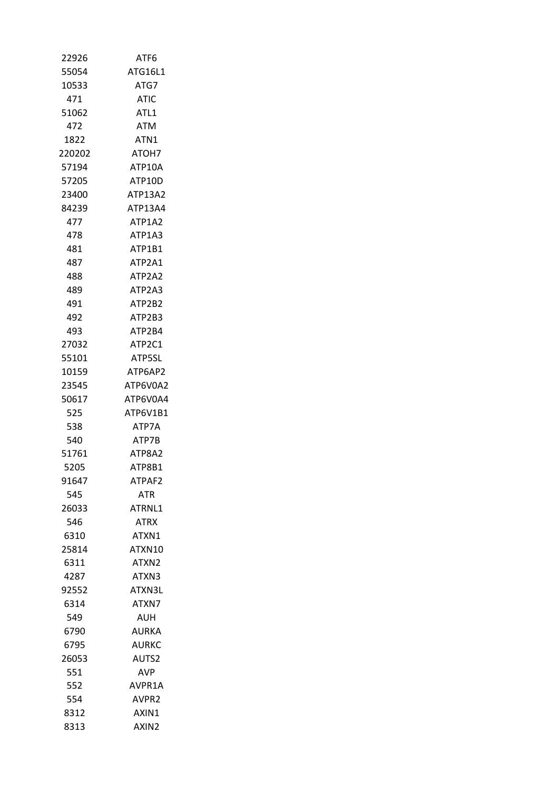| 22926  | ATF6              |
|--------|-------------------|
| 55054  | ATG16L1           |
| 10533  | ATG7              |
| 471    | <b>ATIC</b>       |
| 51062  | ATL <sub>1</sub>  |
| 472    | <b>ATM</b>        |
| 1822   | ATN1              |
| 220202 | ATOH7             |
| 57194  | ATP10A            |
| 57205  | ATP10D            |
| 23400  | ATP13A2           |
| 84239  | ATP13A4           |
| 477    | ATP1A2            |
| 478    | ATP1A3            |
| 481    | ATP1B1            |
| 487    | ATP2A1            |
| 488    | ATP2A2            |
| 489    | ATP2A3            |
| 491    | ATP2B2            |
| 492    | ATP2B3            |
| 493    | ATP2B4            |
| 27032  | ATP2C1            |
| 55101  | ATP5SL            |
| 10159  | ATP6AP2           |
| 23545  | ATP6V0A2          |
| 50617  | ATP6V0A4          |
| 525    | ATP6V1B1          |
| 538    | ATP7A             |
| 540.   | ATP7B             |
| 51761  | ATP8A2            |
| 5205   | ATP8B1            |
|        |                   |
| 91647  | ATPAF2            |
| 545    | <b>ATR</b>        |
| 26033  | ATRNL1            |
| 546    | <b>ATRX</b>       |
| 6310   | ATXN1             |
| 25814  | ATXN10            |
| 6311   | ATXN <sub>2</sub> |
| 4287   | ATXN3             |
| 92552  | ATXN3L            |
| 6314   | ATXN7             |
| 549    | AUH               |
| 6790   | AURKA             |
| 6795   | AURKC             |
| 26053  | AUTS2             |
| 551    | AVP.              |
| 552    | AVPR1A            |
| 554    | AVPR2             |
| 8312   | AXIN1             |
| 8313   | AXIN2             |
|        |                   |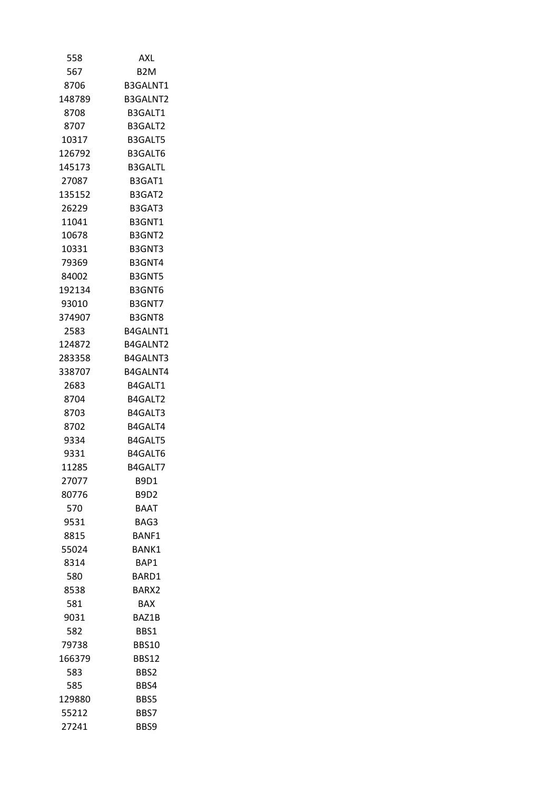| 558    | AXL              |
|--------|------------------|
| 567    | B <sub>2</sub> M |
| 8706   | B3GALNT1         |
| 148789 | B3GALNT2         |
| 8708   | B3GALT1          |
| 8707   | B3GALT2          |
| 10317  | B3GALT5          |
| 126792 | B3GALT6          |
| 145173 | <b>B3GALTL</b>   |
| 27087  | B3GAT1           |
| 135152 | B3GAT2           |
| 26229  | B3GAT3           |
| 11041  | B3GNT1           |
| 10678  | B3GNT2           |
| 10331  | B3GNT3           |
| 79369  | B3GNT4           |
| 84002  | B3GNT5           |
| 192134 | B3GNT6           |
| 93010  | B3GNT7           |
| 374907 | B3GNT8           |
| 2583   | B4GALNT1         |
| 124872 | B4GALNT2         |
| 283358 | B4GALNT3         |
| 338707 | <b>B4GALNT4</b>  |
| 2683   | B4GALT1          |
| 8704   | B4GALT2          |
| 8703   | B4GALT3          |
| 8702   | B4GALT4          |
| 9334   | B4GALT5          |
| 9331   | B4GALT6          |
| 11285  | B4GALT7          |
| 27077  | B9D1             |
| 80776  | B9D2             |
| 570    | <b>BAAT</b>      |
| 9531   | BAG3             |
| 8815   | <b>BANF1</b>     |
| 55024  | BANK1            |
| 8314   | BAP1             |
| 580    | BARD1            |
| 8538   | BARX2            |
| 581    | <b>BAX</b>       |
| 9031   | BAZ1B            |
| 582    | BBS1             |
| 79738  | BBS10            |
| 166379 | <b>BBS12</b>     |
| 583    | BBS2             |
| 585    | BBS4             |
| 129880 | BBS5             |
| 55212  | BBS7             |
| 27241  | BBS9             |
|        |                  |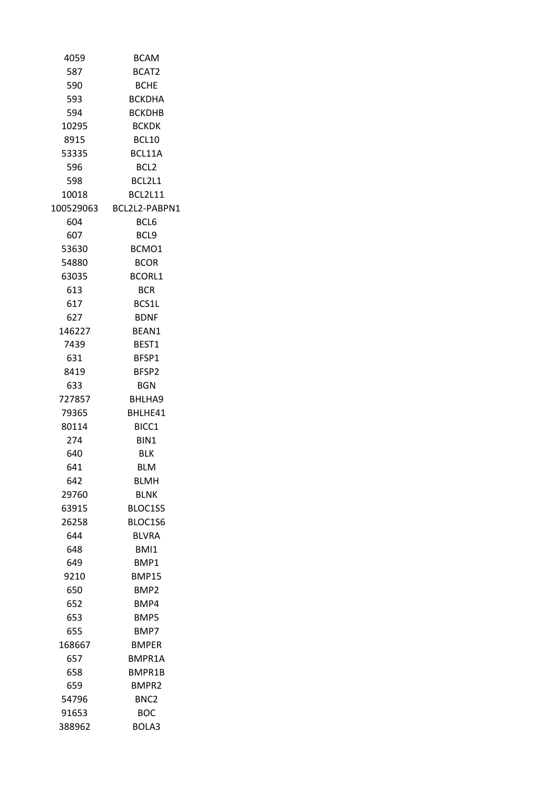| 4059      | <b>BCAM</b>      |
|-----------|------------------|
| 587       | BCAT2            |
| 590       | BCHE             |
| 593       | <b>BCKDHA</b>    |
| 594       | <b>BCKDHB</b>    |
| 10295     | <b>BCKDK</b>     |
| 8915      | BCL10            |
| 53335     | BCL11A           |
| 596       | BCL2             |
| 598       | BCL2L1           |
| 10018     | <b>BCL2L11</b>   |
| 100529063 | BCL2L2-PABPN1    |
| 604       | BCL6             |
| 607       | BCL9             |
| 53630     | BCMO1            |
| 54880     | <b>BCOR</b>      |
| 63035     | <b>BCORL1</b>    |
| 613       | <b>BCR</b>       |
| 617       | BCS1L            |
| 627       | <b>BDNF</b>      |
| 146227    | BEAN1            |
| 7439      | BEST1            |
| 631       | BFSP1            |
| 8419      | BFSP2            |
| 633       | BGN              |
| 727857    | BHLHA9           |
| 79365     | BHLHE41          |
| 80114     | BICC1            |
| 274       | BIN1             |
| 640       | BLK              |
| 641       | <b>BLM</b>       |
| 642       | <b>BLMH</b>      |
| 29760     | BLNK             |
| 63915     | BLOC1S5          |
| 26258     | BLOC1S6          |
| 644       | <b>BLVRA</b>     |
| 648       | BMI1             |
| 649       | BMP1             |
| 9210      | BMP15            |
| 650       | BMP2             |
| 652       | BMP4             |
| 653       | BMP5             |
| 655       | BMP7             |
| 168667    | BMPER            |
| 657       | BMPR1A           |
| 658       | BMPR1B           |
| 659       | BMPR2            |
| 54796     | BNC <sub>2</sub> |
| 91653     | вос              |
| 388962    | BOLA3            |
|           |                  |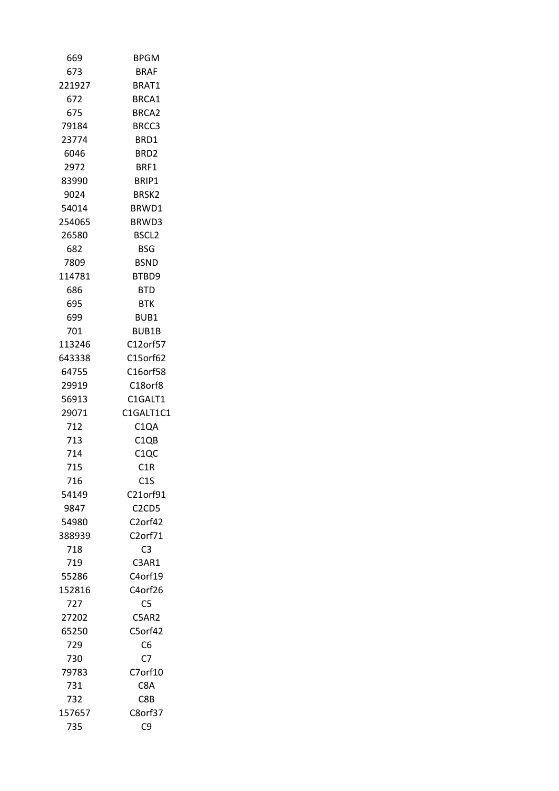| 669    | <b>BPGM</b>                    |
|--------|--------------------------------|
| 673    | BRAF                           |
| 221927 | BRAT1                          |
| 672    | BRCA1                          |
| 675    | BRCA2                          |
| 79184  | BRCC3                          |
| 23774  | BRD1                           |
| 6046   | BRD <sub>2</sub>               |
| 2972   | BRF1                           |
| 83990  | BRIP1                          |
| 9024   | BRSK2                          |
| 54014  | BRWD1                          |
| 254065 | BRWD3                          |
| 26580  | BSCL <sub>2</sub>              |
| 682    | <b>BSG</b>                     |
| 7809   | BSND                           |
| 114781 | BTBD9                          |
| 686    | <b>BTD</b>                     |
| 695    | BTK.                           |
| 699    | BUB1                           |
| 701    | BUB1B                          |
| 113246 | C12orf57                       |
| 643338 | C15orf62                       |
| 64755  | C16orf58                       |
| 29919  | C18orf8                        |
| 56913  | C1GALT1                        |
| 29071  | C1GALT1C1                      |
| 712    | C <sub>1</sub> QA              |
| 713    | C1QB                           |
| 714    | C1QC                           |
| 715    | C1R                            |
| 716    | C1S                            |
| 54149  | C21orf91                       |
| 9847   | C <sub>2</sub> C <sub>D5</sub> |
| 54980  | C2orf42                        |
| 388939 | C2orf71                        |
| 718    | C <sub>3</sub>                 |
| 719    | C3AR1                          |
| 55286  | C4orf19                        |
| 152816 | C4orf26                        |
| 727    | C <sub>5</sub>                 |
| 27202  | C5AR2                          |
| 65250  | C5orf42                        |
| 729    | C6                             |
| 730    | C <sub>7</sub>                 |
| 79783  | C7orf10                        |
| 731    | C8A                            |
| 732    | C8B                            |
| 157657 | C8orf37                        |
| 735    | C <sub>9</sub>                 |
|        |                                |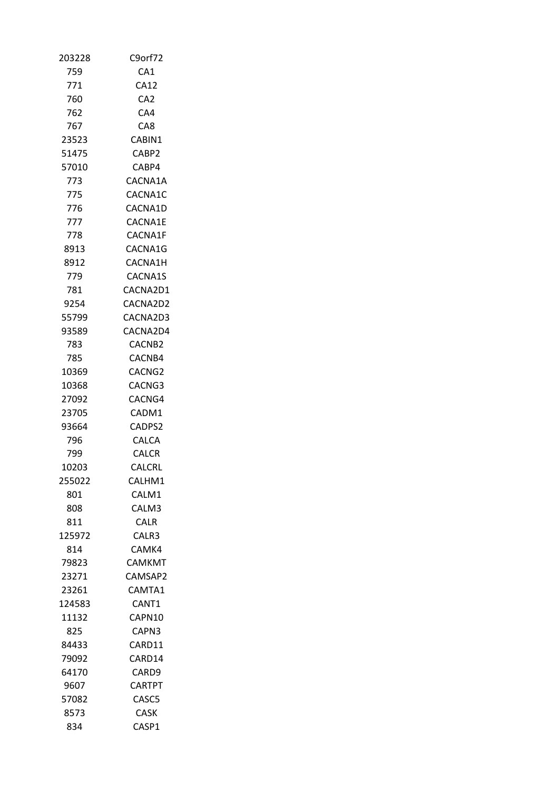| 203228 | C9orf72              |
|--------|----------------------|
| 759    | CA1                  |
| 771    | <b>CA12</b>          |
| 760    | CA <sub>2</sub>      |
| 762    | CA4                  |
| 767    | CA8.                 |
| 23523  | CABIN1               |
| 51475  | CABP2                |
| 57010  | CABP4                |
| 773    | CACNA1A              |
| 775    | CACNA1C              |
| 776    | CACNA1D              |
| 777    | CACNA1E              |
| 778    | CACNA1F              |
| 8913   | CACNA1G              |
| 8912   | CACNA1H              |
| 779    | CACNA1S              |
|        | CACNA2D1             |
| 781    |                      |
| 9254   | CACNA2D2<br>CACNA2D3 |
| 55799  |                      |
| 93589  | CACNA2D4             |
| 783.   | CACNB2               |
| 785    | CACNB4               |
| 10369  | CACNG2               |
| 10368  | CACNG3               |
| 27092  | CACNG4               |
| 23705  | CADM1                |
| 93664  | CADPS2               |
| 796    | <b>CALCA</b>         |
| 799    | <b>CALCR</b>         |
| 10203  | CALCRL               |
| 255022 | CALHM1               |
| 801    | CALM1                |
| 808    | CALM3                |
| 811    | CALR                 |
| 125972 | CALR3                |
| 814    | CAMK4                |
| 79823  | CAMKMT               |
| 23271  | CAMSAP2              |
| 23261  | CAMTA1               |
| 124583 | CANT1                |
| 11132  | CAPN10               |
| 825    | CAPN3                |
| 84433  | CARD11               |
| 79092  | CARD14               |
| 64170  | CARD9                |
| 9607   | <b>CARTPT</b>        |
| 57082  | CASC5                |
| 8573   | CASK                 |
| 834    | CASP1                |
|        |                      |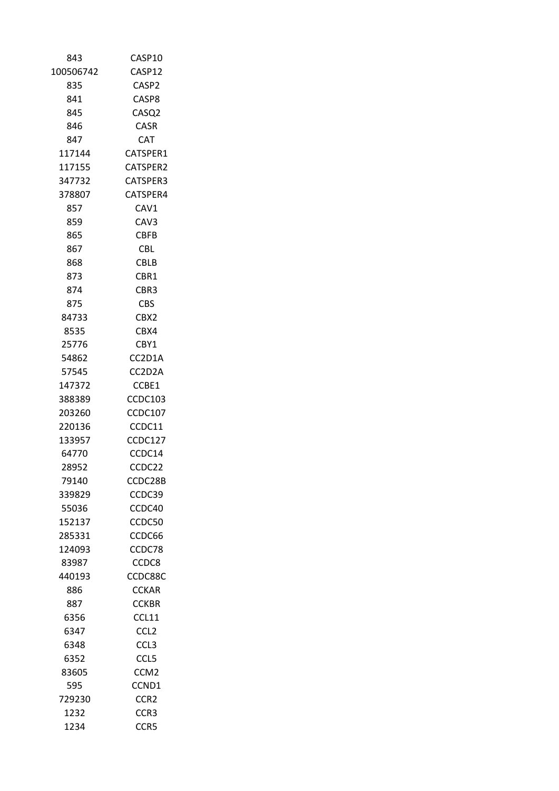| 843       | CASP10           |
|-----------|------------------|
| 100506742 | CASP12           |
| 835       | CASP2            |
| 841       | CASP8            |
| 845       | CASQ2            |
| 846       | <b>CASR</b>      |
| 847       | <b>CAT</b>       |
| 117144    | CATSPER1         |
| 117155    | CATSPER2         |
| 347732    | CATSPER3         |
| 378807    | CATSPER4         |
| 857       | CAV1             |
| 859       | CAV3             |
| 865       | <b>CBFB</b>      |
| 867       | <b>CBL</b>       |
| 868       | <b>CBLB</b>      |
| 873       | CBR1             |
| 874       | CBR3             |
| 875       | CBS              |
| 84733     | CBX <sub>2</sub> |
| 8535      | CBX4             |
| 25776     | CBY1             |
| 54862     | CC2D1A           |
| 57545     | CC2D2A           |
| 147372    | CCBE1            |
| 388389    | CCDC103          |
| 203260    | <b>CCDC107</b>   |
| 220136    | CCDC11           |
| 133957    | CCDC127          |
| 64770     | CCDC14           |
| 28952     | CCDC22           |
| 79140     | CCDC28B          |
| 339829    | CCDC39           |
| 55036     | CCDC40           |
| 152137    | CCDC50           |
| 285331    | CCDC66           |
| 124093    | CCDC78           |
| 83987     | CCDC8            |
| 440193    | CCDC88C          |
| 886       | <b>CCKAR</b>     |
| 887       | <b>CCKBR</b>     |
| 6356      | CCL11            |
| 6347      | CCL <sub>2</sub> |
| 6348      | CCL <sub>3</sub> |
| 6352      | CCL5             |
| 83605     | CCM <sub>2</sub> |
| 595       | CCND1            |
| 729230    | CCR <sub>2</sub> |
| 1232      | CCR3             |
| 1234      | CCR5             |
|           |                  |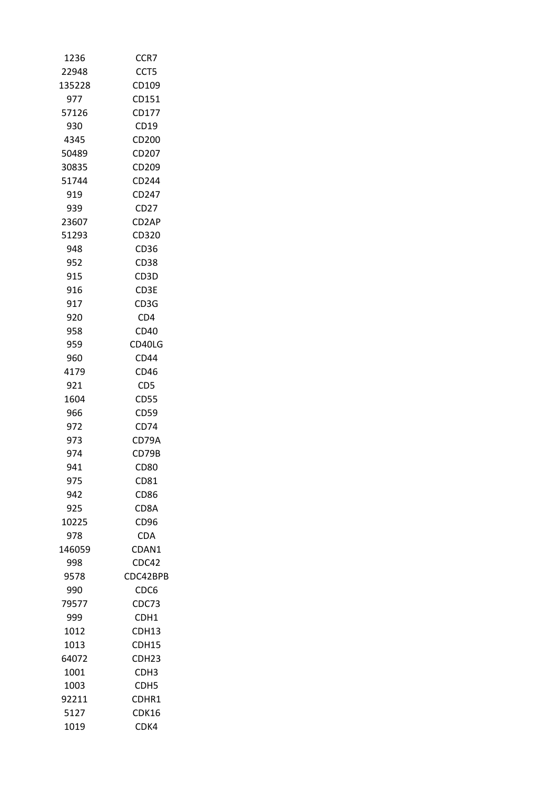| 1236   | CCR7             |
|--------|------------------|
| 22948  | CCT5             |
| 135228 | CD109            |
| 977    | CD151            |
| 57126  | CD177            |
| 930    | CD19             |
| 4345   | CD200            |
| 50489  | CD207            |
| 30835  | CD209            |
| 51744  | CD244            |
| 919    | CD247            |
| 939    | CD27             |
| 23607  | CD2AP            |
| 51293  | CD320            |
| 948    | CD36             |
| 952    | <b>CD38</b>      |
| 915    | CD3D             |
| 916    | CD3E             |
| 917    | CD3G             |
| 920    | CD4              |
| 958    | CD40             |
| 959    | CD40LG           |
| 960    | CD44             |
| 4179   | CD46             |
| 921    | CD5              |
| 1604   | <b>CD55</b>      |
| 966    | CD59             |
| 972    | CD74             |
| 973    | CD79A            |
| 974    | CD79B            |
| 941    | CD80             |
| 975    | CD81             |
| 942    | <b>CD86</b>      |
| 925    | CD8A             |
| 10225  | CD96             |
| 978    | CDA              |
| 146059 | CDAN1            |
| 998    | CDC42            |
| 9578   | CDC42BPB         |
| 990    | CDC6             |
| 79577  | CDC73            |
| 999    | CDH1             |
| 1012   | CDH13            |
| 1013   | CDH15            |
| 64072  | CDH23            |
| 1001   | CDH3             |
| 1003   | CDH <sub>5</sub> |
| 92211  | CDHR1            |
| 5127   | CDK16            |
| 1019   | CDK4             |
|        |                  |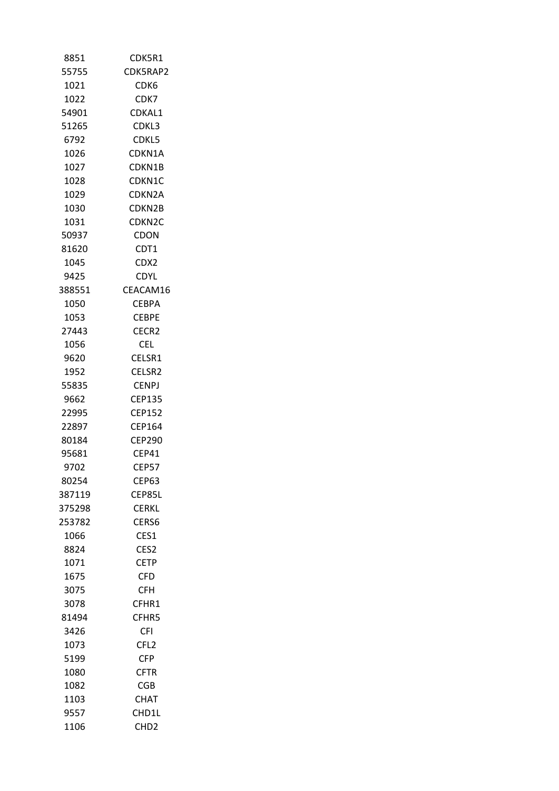| 8851         | CDK5R1             |
|--------------|--------------------|
| 55755        | CDK5RAP2           |
| 1021         | CDK6               |
| 1022         | CDK7               |
| 54901        | CDKAL1             |
| 51265        | CDKL3              |
| 6792         | CDKL5              |
| 1026         | CDKN1A             |
| 1027         | CDKN1B             |
| 1028         | CDKN1C             |
| 1029         | CDKN2A             |
| 1030         | CDKN2B             |
| 1031         | CDKN2C             |
| 50937        | CDON               |
| 81620        | CDT1               |
| 1045         | CDX2               |
| 9425         | <b>CDYL</b>        |
| 388551       | CEACAM16           |
| 1050         | <b>CEBPA</b>       |
| 1053         | <b>CEBPE</b>       |
| 27443        | CECR2              |
| 1056         | CEL.               |
| 9620         | CELSR1             |
| 1952         | CELSR <sub>2</sub> |
| 55835        | CENPJ              |
| 9662         | CEP135             |
| 22995        | CEP152             |
| 22897        | CEP164             |
| 80184        | <b>CEP290</b>      |
| 95681        | CEP41              |
| 9702         | <b>CEP57</b>       |
| 80254        | CEP63              |
| 387119       | CEP85L             |
| 375298       |                    |
| 253782       | CERKL<br>CERS6     |
|              | CES1               |
| 1066         |                    |
| 8824<br>1071 | CES <sub>2</sub>   |
|              | <b>CETP</b>        |
| 1675         | <b>CFD</b>         |
| 3075         | <b>CFH</b>         |
| 3078         | CFHR1              |
| 81494        | CFHR5              |
| 3426         | CFI                |
| 1073         | CFL <sub>2</sub>   |
| 5199         | <b>CFP</b>         |
| 1080         | <b>CFTR</b>        |
| 1082         | CGB                |
| 1103         | CHAT               |
| 9557         | CHD1L              |
| 1106         | CHD <sub>2</sub>   |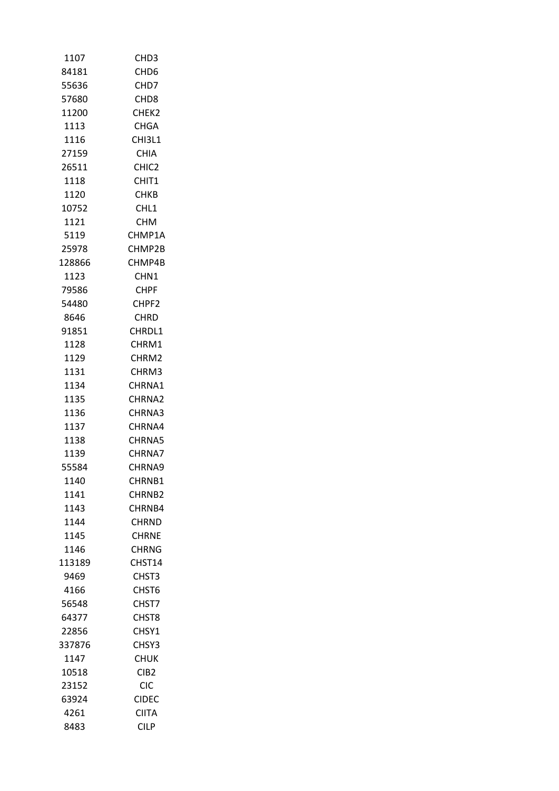| 1107   | CHD <sub>3</sub>  |
|--------|-------------------|
| 84181  | CHD <sub>6</sub>  |
| 55636  | CH <sub>D</sub> 7 |
| 57680  | CHD <sub>8</sub>  |
| 11200  | CHEK <sub>2</sub> |
| 1113   | <b>CHGA</b>       |
| 1116   | CHI3L1            |
| 27159  | CHIA              |
| 26511  | CHIC <sub>2</sub> |
| 1118   | CHIT1             |
| 1120   | <b>CHKB</b>       |
| 10752  | CHL1              |
| 1121   | CHM.              |
| 5119   | CHMP1A            |
| 25978  | CHMP2B            |
| 128866 | CHMP4B            |
| 1123   | CHN <sub>1</sub>  |
| 79586  | CHPF              |
| 54480  | CHPF <sub>2</sub> |
| 8646   | <b>CHRD</b>       |
| 91851  | CHRDL1            |
| 1128   | CHRM1             |
| 1129   | CHRM2             |
| 1131   | CHRM3             |
| 1134   | CHRNA1            |
| 1135   | CHRNA2            |
| 1136   | CHRNA3            |
| 1137   | CHRNA4            |
| 1138   | CHRNA5            |
| 1139   | CHRNA7            |
| 55584  | CHRNA9            |
| 1140   | CHRNB1            |
| 1141   | CHRNB2            |
| 1143   | CHRNB4            |
| 1144   | <b>CHRND</b>      |
| 1145   | <b>CHRNE</b>      |
| 1146   | CHRNG             |
| 113189 | CHST14            |
| 9469   | CHST3             |
| 4166   | CHST6             |
| 56548  | CHST7             |
| 64377  | CHST8             |
| 22856  | CHSY1             |
| 337876 | CHSY3             |
| 1147   | <b>CHUK</b>       |
| 10518  | CIB <sub>2</sub>  |
| 23152  | CIC               |
| 63924  | CIDEC             |
| 4261   | <b>CIITA</b>      |
| 8483   | CILP              |
|        |                   |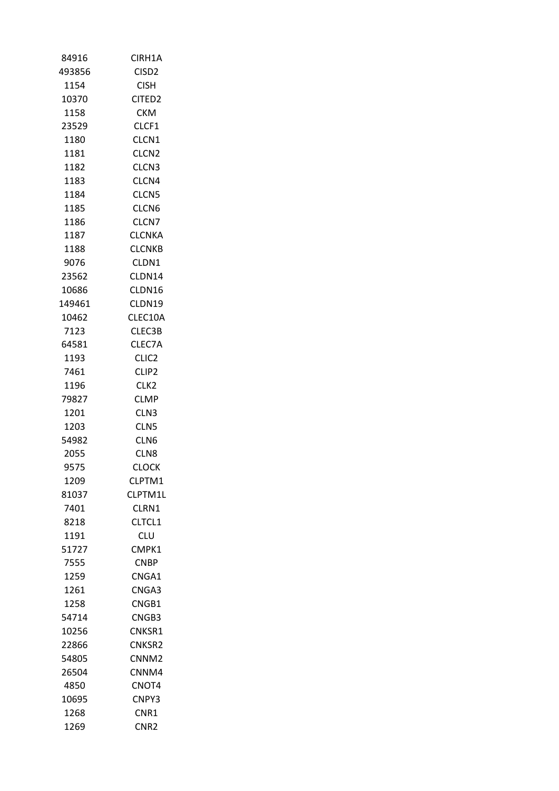| 84916  | CIRH1A             |
|--------|--------------------|
| 493856 | CISD2              |
| 1154   | <b>CISH</b>        |
| 10370  | CITED <sub>2</sub> |
| 1158   | <b>CKM</b>         |
| 23529  | CLCF1              |
| 1180   | CLCN1              |
| 1181   | CLCN <sub>2</sub>  |
| 1182   | CLCN3              |
| 1183   | CLCN4              |
| 1184   | CLCN5              |
| 1185   | CLCN6              |
| 1186   | CLCN7              |
| 1187   | <b>CLCNKA</b>      |
| 1188   | <b>CLCNKB</b>      |
| 9076   | CLDN1              |
| 23562  | CLDN14             |
| 10686  | CLDN16             |
| 149461 | CLDN19             |
| 10462  | CLEC10A            |
| 7123   | CLEC3B             |
| 64581  | CLEC7A             |
| 1193   | CLIC2              |
| 7461   | CLIP <sub>2</sub>  |
| 1196   | CLK <sub>2</sub>   |
| 79827  | <b>CLMP</b>        |
| 1201   | CLN <sub>3</sub>   |
| 1203   | CLN5               |
| 54982  | CLN6               |
| 2055   | CLN <sub>8</sub>   |
| 9575   | <b>CLOCK</b>       |
| 1209   | CLPTM1             |
| 81037  | CLPTM1L            |
| 7401   | CLRN1              |
| 8218   | CLTCL1             |
| 1191   | CLU                |
| 51727  | CMPK1              |
| 7555   | <b>CNBP</b>        |
| 1259   | CNGA1              |
| 1261   | CNGA3              |
| 1258   | CNGB1              |
| 54714  | CNGB3              |
| 10256  | CNKSR1             |
| 22866  | CNKSR2             |
| 54805  | CNNM <sub>2</sub>  |
| 26504  | CNNM4              |
| 4850   | CNOT4              |
| 10695  | CNPY3              |
| 1268   | CNR1               |
| 1269   | CNR <sub>2</sub>   |
|        |                    |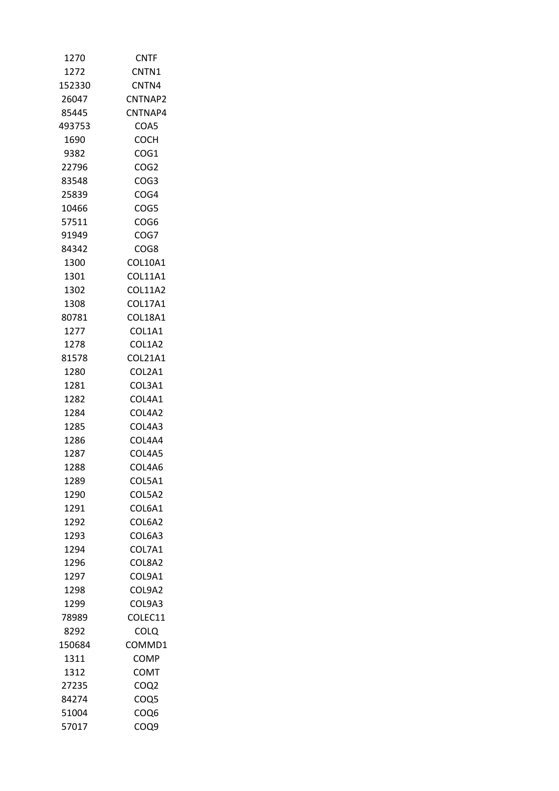| 1270         | <b>CNTF</b>      |
|--------------|------------------|
| 1272         | CNTN1            |
| 152330       | CNTN4            |
| 26047        | CNTNAP2          |
| 85445        | CNTNAP4          |
| 493753       | COA5             |
| 1690         | COCH             |
| 9382         | COG1             |
| 22796        | COG <sub>2</sub> |
| 83548        | COG <sub>3</sub> |
| 25839        | COG4             |
| 10466        | COG5             |
| 57511        | COG6             |
| 91949        | COG7             |
| 84342        | COG8             |
| 1300         | COL10A1          |
| 1301         | COL11A1          |
| 1302         | COL11A2          |
| 1308         | <b>COL17A1</b>   |
| 80781        | COL18A1          |
| 1277         | COL1A1           |
| 1278         | COL1A2           |
| 81578        | COL21A1          |
| 1280         | COL2A1           |
|              |                  |
| 1281         | COL3A1           |
| 1282         | COL4A1           |
| 1284<br>1285 | COL4A2           |
|              | COL4A3           |
| 1286         | COL4A4           |
| 1287<br>1288 | COL4A5           |
|              | COL4A6           |
| 1289         | COL5A1           |
| 1290         | COL5A2           |
| 1291         | COL6A1           |
| 1292         | COL6A2           |
| 1293         | COL6A3           |
| 1294         | COL7A1           |
| 1296         | COL8A2           |
| 1297         | COL9A1           |
| 1298         | COL9A2           |
| 1299         | COL9A3           |
| 78989        | COLEC11          |
| 8292         | COLQ             |
| 150684       | COMMD1           |
| 1311         | <b>COMP</b>      |
| 1312         | COMT             |
| 27235        | COQ <sub>2</sub> |
| 84274        | COQ5             |
| 51004        | COQ6             |
| 57017        | COQ9             |
|              |                  |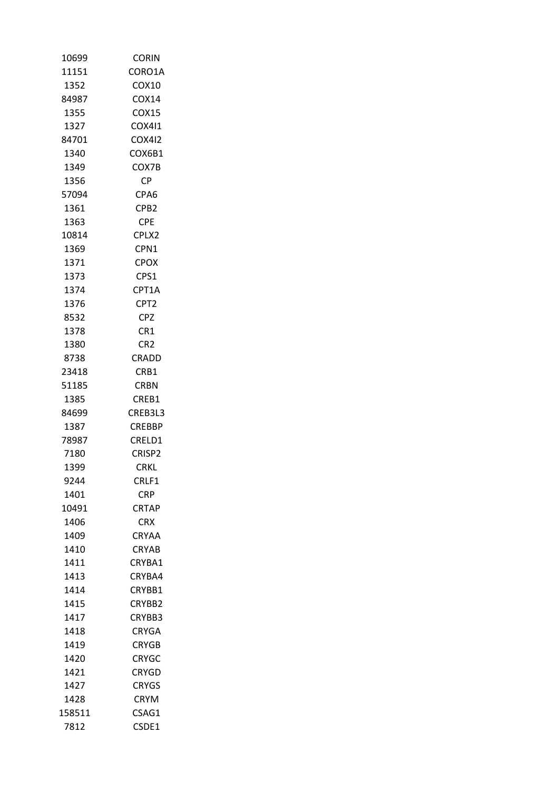| 10699  | <b>CORIN</b>       |
|--------|--------------------|
| 11151  | CORO1A             |
| 1352   | COX10              |
| 84987  | COX14              |
| 1355   | COX15              |
| 1327   | COX411             |
| 84701  | COX412             |
| 1340   | COX6B1             |
| 1349   | COX7B              |
| 1356   | СP                 |
| 57094  | CPA6               |
| 1361   | CPB <sub>2</sub>   |
| 1363   | <b>CPE</b>         |
| 10814  | CPLX2              |
| 1369   | CPN1               |
| 1371   | <b>CPOX</b>        |
| 1373   | CPS1               |
| 1374   | CPT1A              |
| 1376   | CPT <sub>2</sub>   |
| 8532   | CPZ                |
| 1378   | CR1                |
| 1380   | CR <sub>2</sub>    |
| 8738   | CRADD              |
| 23418  | CRB1               |
| 51185  | CRBN               |
| 1385   | CREB1              |
| 84699  | CREB3L3            |
| 1387   | <b>CREBBP</b>      |
| 78987  | CRELD1             |
| 7180   | CRISP <sub>2</sub> |
| 1399   | <b>CRKL</b>        |
| 9244   | CRLF1              |
| 1401   | <b>CRP</b>         |
| 10491  | <b>CRTAP</b>       |
| 1406   | <b>CRX</b>         |
| 1409   | CRYAA              |
| 1410   | <b>CRYAB</b>       |
| 1411   | CRYBA1             |
| 1413   | CRYBA4             |
| 1414   | CRYBB1             |
| 1415   | CRYBB2             |
| 1417   | CRYBB3             |
| 1418   | <b>CRYGA</b>       |
| 1419   | <b>CRYGB</b>       |
|        |                    |
| 1420   | <b>CRYGC</b>       |
| 1421   | <b>CRYGD</b>       |
| 1427   | CRYGS              |
| 1428   | <b>CRYM</b>        |
| 158511 | CSAG1              |
| 7812   | CSDE1              |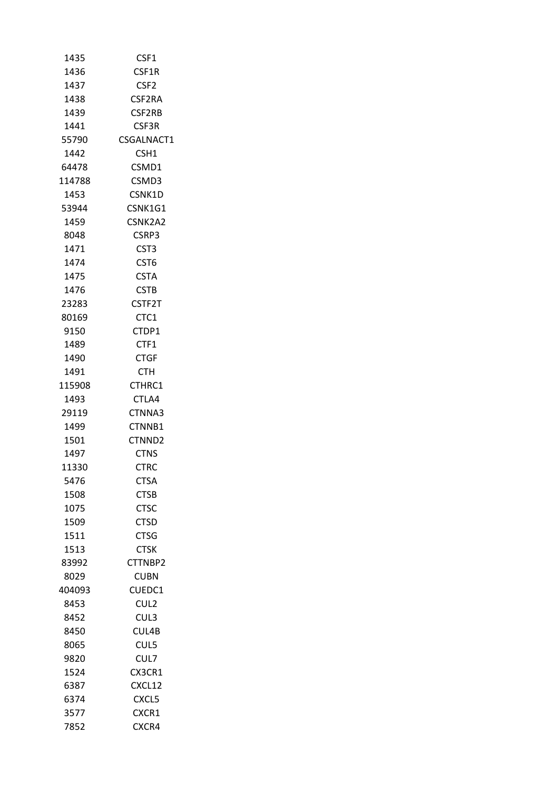| 1435   | CSF1             |
|--------|------------------|
| 1436   | CSF1R            |
| 1437   | CSF2             |
| 1438   | CSF2RA           |
| 1439   | CSF2RB           |
| 1441   | CSF3R            |
| 55790  | CSGALNACT1       |
| 1442   | CSH1             |
| 64478  | CSMD1            |
| 114788 | CSMD3            |
| 1453   | CSNK1D           |
| 53944  | CSNK1G1          |
| 1459   | CSNK2A2          |
| 8048   | CSRP3            |
| 1471   | CST <sub>3</sub> |
| 1474   | CST6             |
| 1475   | <b>CSTA</b>      |
| 1476   | <b>CSTB</b>      |
| 23283  | CSTF2T           |
| 80169  | CTC1             |
| 9150   | CTDP1            |
| 1489   | CTF1             |
| 1490   | <b>CTGF</b>      |
| 1491   | <b>CTH</b>       |
| 115908 | CTHRC1           |
| 1493   | CTLA4            |
| 29119  | CTNNA3           |
| 1499   | CTNNB1           |
| 1501   | CTNND2           |
| 1497   | <b>CTNS</b>      |
| 11330  | CTRC             |
| 5476   | <b>CTSA</b>      |
| 1508   | <b>CTSB</b>      |
| 1075   | <b>CTSC</b>      |
| 1509   | <b>CTSD</b>      |
| 1511   | <b>CTSG</b>      |
| 1513   | <b>CTSK</b>      |
| 83992  | CTTNBP2          |
| 8029   | CUBN             |
| 404093 | CUEDC1           |
| 8453   | CUL <sub>2</sub> |
| 8452   | CUL3             |
| 8450   | CUL4B            |
| 8065   | CUL5             |
|        |                  |
| 9820   | CUL7             |
| 1524   | CX3CR1           |
| 6387   | CXCL12           |
| 6374   | CXCL5            |
| 3577   | CXCR1            |
| 7852   | CXCR4            |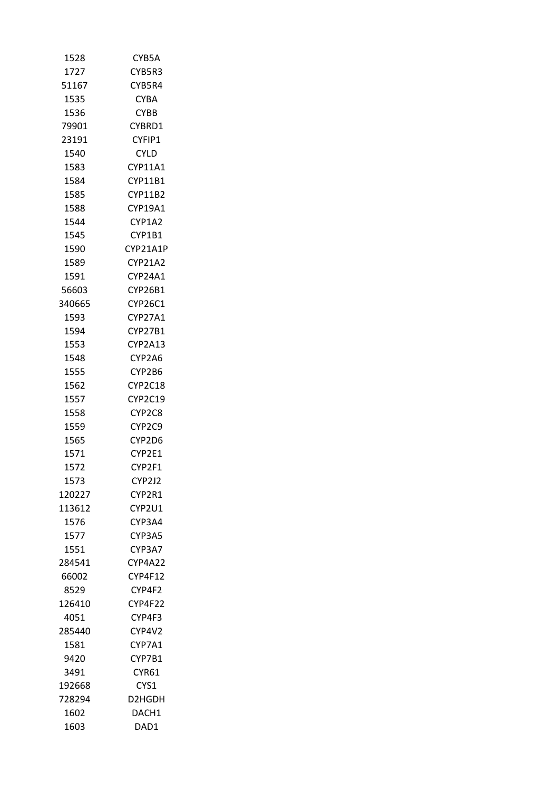| 1528   | CYB5A          |
|--------|----------------|
| 1727   | CYB5R3         |
| 51167  | CYB5R4         |
| 1535   | <b>CYBA</b>    |
| 1536   | <b>CYBB</b>    |
| 79901  | CYBRD1         |
| 23191  | CYFIP1         |
| 1540   | <b>CYLD</b>    |
| 1583   | CYP11A1        |
| 1584   | <b>CYP11B1</b> |
| 1585   | CYP11B2        |
| 1588   | CYP19A1        |
| 1544   | CYP1A2         |
| 1545   | CYP1B1         |
| 1590   | CYP21A1P       |
| 1589   | CYP21A2        |
| 1591   | CYP24A1        |
| 56603  | <b>CYP26B1</b> |
| 340665 | CYP26C1        |
| 1593   | CYP27A1        |
| 1594   | <b>CYP27B1</b> |
| 1553   | CYP2A13        |
| 1548   | CYP2A6         |
| 1555   | CYP2B6         |
| 1562   | CYP2C18        |
| 1557   | CYP2C19        |
| 1558   | CYP2C8         |
| 1559   | CYP2C9         |
| 1565   | CYP2D6         |
| 1571   | CYP2E1         |
| 1572   | CYP2F1         |
| 1573   | CYP2J2         |
| 120227 | CYP2R1         |
| 113612 | CYP2U1         |
| 1576   | CYP3A4         |
| 1577   | CYP3A5         |
| 1551   | CYP3A7         |
| 284541 | CYP4A22        |
| 66002  | CYP4F12        |
| 8529   | CYP4F2         |
| 126410 | CYP4F22        |
| 4051   | CYP4F3         |
| 285440 | CYP4V2         |
| 1581   | CYP7A1         |
| 9420   | CYP7B1         |
| 3491   | CYR61          |
| 192668 | CYS1           |
| 728294 | D2HGDH         |
| 1602   | DACH1          |
| 1603   | DAD1           |
|        |                |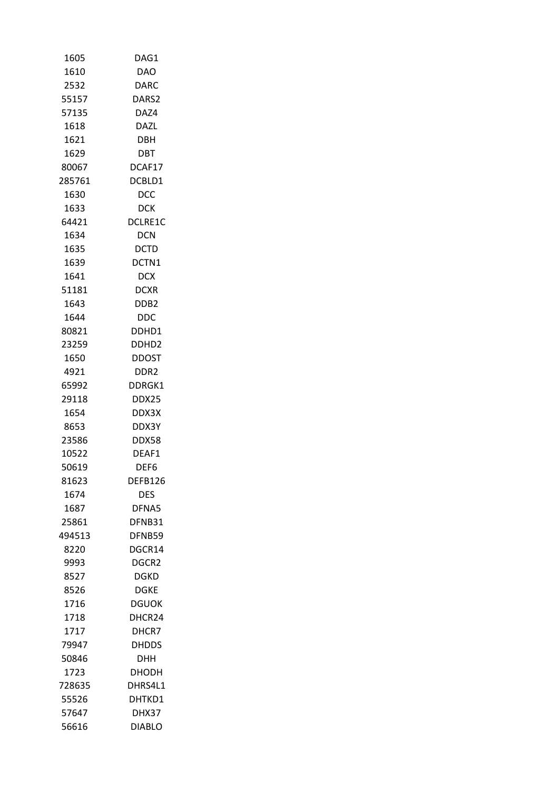| 1605   | DAG1              |
|--------|-------------------|
| 1610   | <b>DAO</b>        |
| 2532   | DARC              |
| 55157  | DARS2             |
| 57135  | DAZ4              |
| 1618   | DAZL              |
| 1621   | DBH               |
| 1629   | DBT               |
| 80067  | DCAF17            |
| 285761 | DCBLD1            |
| 1630   | DCC               |
| 1633   | DCK               |
| 64421  | DCLRE1C           |
| 1634   | <b>DCN</b>        |
| 1635   | <b>DCTD</b>       |
| 1639   | DCTN1             |
| 1641   | <b>DCX</b>        |
| 51181  | <b>DCXR</b>       |
| 1643   | DDB <sub>2</sub>  |
| 1644   | DDC.              |
| 80821  | DDHD1             |
| 23259  | DDHD <sub>2</sub> |
| 1650   | DDOST             |
| 4921   | DDR2              |
|        |                   |
| 65992  | DDRGK1            |
| 29118  | DDX25             |
| 1654   | DDX3X             |
| 8653   | DDX3Y             |
| 23586  | <b>DDX58</b>      |
| 10522  | DEAF1             |
| 50619  | DEF6              |
| 81623  | DEFB126           |
| 1674   | <b>DES</b>        |
| 1687   | DFNA5             |
| 25861  | DFNB31            |
| 494513 | DFNB59            |
| 8220   | DGCR14            |
| 9993   | DGCR2             |
| 8527   | DGKD              |
| 8526   | DGKE              |
| 1716   | DGUOK             |
| 1718   | DHCR24            |
| 1717   | DHCR7             |
| 79947  | <b>DHDDS</b>      |
| 50846  | DHH               |
| 1723   | DHODH             |
| 728635 | DHRS4L1           |
| 55526  | DHTKD1            |
| 57647  | DHX37             |
| 56616  | <b>DIABLO</b>     |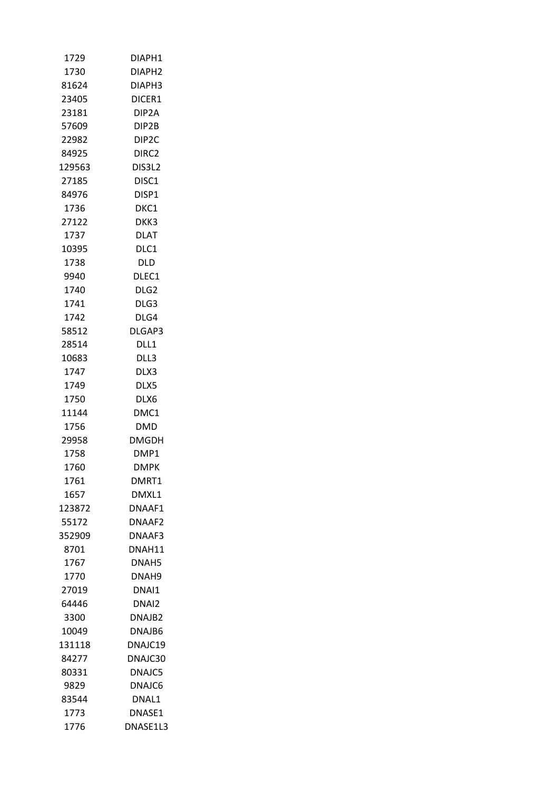| 1729   | DIAPH1             |
|--------|--------------------|
| 1730   | DIAPH2             |
| 81624  | DIAPH3             |
| 23405  | DICER1             |
| 23181  | DIP <sub>2</sub> A |
| 57609  | DIP2B              |
| 22982  | DIP <sub>2</sub> C |
| 84925  | DIRC2              |
| 129563 | DIS3L2             |
| 27185  | DISC1              |
| 84976  | DISP1              |
| 1736   | DKC1               |
| 27122  | DKK3               |
| 1737   | DLAT               |
| 10395  | DLC1               |
| 1738   | DLD                |
| 9940   | DLEC1              |
| 1740   | DLG <sub>2</sub>   |
| 1741   | DLG3               |
| 1742   | DLG4               |
| 58512  | DLGAP3             |
| 28514  | DLL1               |
| 10683  | DLL3               |
| 1747   | DLX3               |
| 1749   | DLX5               |
| 1750   | DLX6               |
| 11144  | DMC1               |
| 1756   | DMD                |
| 29958  | DMGDH              |
| 1758   | DMP1               |
| 1760   | DMPK               |
| 1761   | DMRT1              |
| 1657   | DMXL1              |
| 123872 | DNAAF1             |
| 55172  | DNAAF2             |
| 352909 | DNAAF3             |
| 8701   | DNAH11             |
| 1767   | DNAH5              |
| 1770   | DNAH9              |
| 27019  | DNAI1              |
| 64446  | DNAI2              |
| 3300   | DNAJB2             |
| 10049  | DNAJB6             |
| 131118 | DNAJC19            |
| 84277  | DNAJC30            |
| 80331  | DNAJC5             |
| 9829   | DNAJC6             |
| 83544  | DNAL1              |
| 1773   | DNASE1             |
| 1776   | DNASE1L3           |
|        |                    |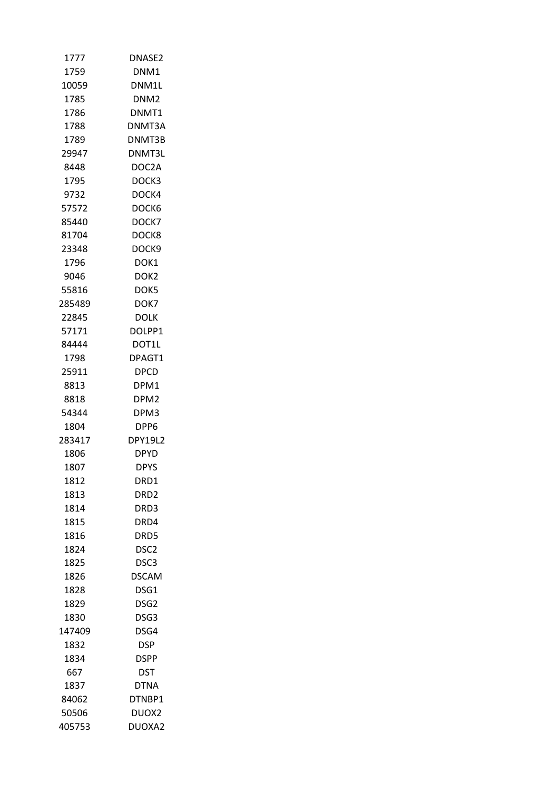| 1777          | DNASE2                   |
|---------------|--------------------------|
| 1759          | DNM1                     |
| 10059         | DNM1L                    |
| 1785          | DNM <sub>2</sub>         |
| 1786          | DNMT1                    |
| 1788          | DNMT3A                   |
| 1789          | DNMT3B                   |
| 29947         | DNMT3L                   |
| 8448          | DOC2A                    |
| 1795          | DOCK3                    |
| 9732          | DOCK4                    |
| 57572         | DOCK6                    |
| 85440         | DOCK7                    |
| 81704         | DOCK8                    |
| 23348         | DOCK9                    |
| 1796          | DOK1                     |
| 9046          | DOK <sub>2</sub>         |
| 55816         | DOK5                     |
| 285489        | DOK7                     |
| 22845         | DOLK                     |
| 57171         | DOLPP1                   |
| 84444         | DOT1L                    |
| 1798          | DPAGT1                   |
| 25911         | <b>DPCD</b>              |
|               |                          |
| 8813          | DPM1                     |
| 8818<br>54344 | DPM <sub>2</sub><br>DPM3 |
|               | DPP6                     |
| 1804          |                          |
| 283417        | <b>DPY19L2</b>           |
| 1806          | DPYD                     |
| 1807          | <b>DPYS</b>              |
| 1812          | DRD1                     |
| 1813          | DRD <sub>2</sub>         |
| 1814          | DRD3                     |
| 1815          | DRD4                     |
| 1816          | DRD5                     |
| 1824          | DSC2                     |
| 1825          | DSC3                     |
| 1826          | <b>DSCAM</b>             |
| 1828          | DSG1                     |
| 1829          | DSG <sub>2</sub>         |
| 1830          | DSG3                     |
| 147409        | DSG4                     |
| 1832          | DSP.                     |
| 1834          | <b>DSPP</b>              |
| 667           | DST                      |
| 1837          | DTNA                     |
| 84062         | DTNBP1                   |
| 50506         | DUOX2                    |
| 405753        | DUOXA2                   |
|               |                          |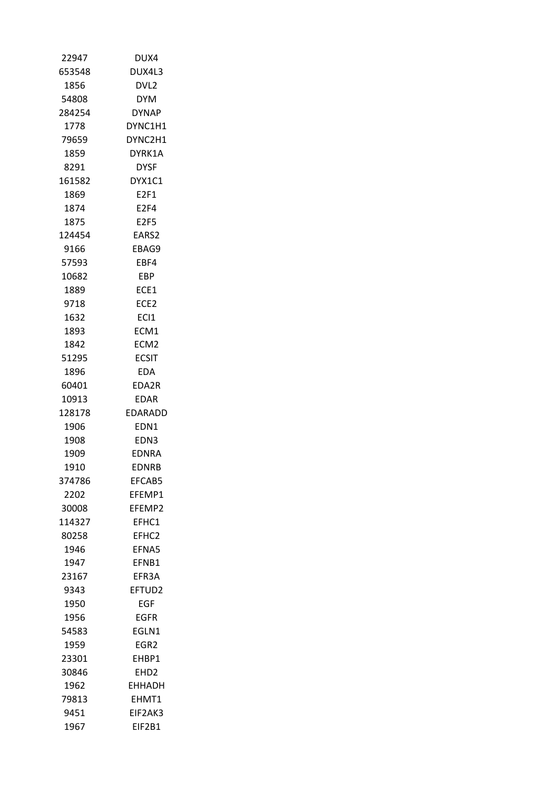| 22947  | DUX4              |
|--------|-------------------|
| 653548 | DUX4L3            |
| 1856   | DVL2              |
| 54808  | <b>DYM</b>        |
| 284254 | <b>DYNAP</b>      |
| 1778   | DYNC1H1           |
| 79659  | DYNC2H1           |
| 1859   | DYRK1A            |
| 8291   | DYSF              |
| 161582 | DYX1C1            |
| 1869   | E2F1              |
| 1874   | E2F4              |
| 1875   | E2F5              |
| 124454 | EARS2             |
| 9166   | EBAG9             |
| 57593  | EBF4              |
| 10682  | <b>EBP</b>        |
| 1889   | ECE1              |
| 9718   | ECE <sub>2</sub>  |
| 1632   | ECI1              |
| 1893   | ECM1              |
| 1842   | ECM <sub>2</sub>  |
| 51295  | <b>ECSIT</b>      |
| 1896   | EDA               |
| 60401  | EDA2R             |
|        |                   |
| 10913  | EDAR              |
| 128178 | EDARADD           |
| 1906   | EDN1              |
| 1908   | EDN3              |
| 1909   | <b>EDNRA</b>      |
| 1910   | <b>EDNRB</b>      |
| 374786 | EFCAB5            |
| 2202   | EFEMP1            |
| 30008  | EFEMP2            |
| 114327 | EFHC1             |
| 80258  | EFHC <sub>2</sub> |
| 1946   | <b>FFNA5</b>      |
| 1947   | EFNB1             |
| 23167  | EFR3A             |
| 9343   | EFTUD2            |
| 1950   | EGF               |
| 1956   | EGFR              |
| 54583  | EGLN1             |
| 1959   | EGR <sub>2</sub>  |
| 23301  | EHBP1             |
| 30846  | EHD2              |
| 1962   | <b>EHHADH</b>     |
| 79813  | EHMT1             |
| 9451   | EIF2AK3           |
| 1967   | EIF2B1            |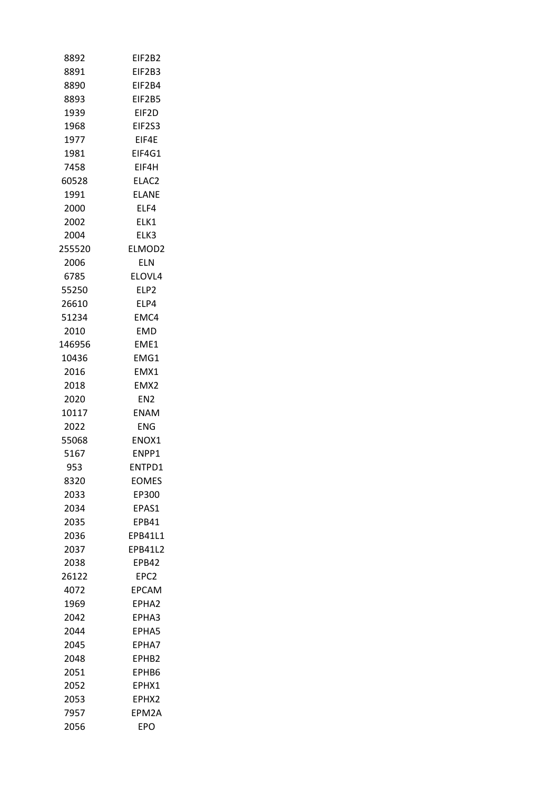| 8892   | EIF2B2            |
|--------|-------------------|
| 8891   | EIF2B3            |
| 8890   | EIF2B4            |
| 8893   | EIF2B5            |
| 1939   | EIF2D             |
| 1968   | EIF2S3            |
| 1977   | EIF4E             |
| 1981   | EIF4G1            |
| 7458   | EIF4H             |
| 60528  | ELAC <sub>2</sub> |
| 1991   | <b>ELANE</b>      |
| 2000   | ELF4              |
| 2002   | ELK1              |
| 2004   | ELK3              |
| 255520 | ELMOD2            |
| 2006   | ELN               |
| 6785   | ELOVL4            |
| 55250  | ELP2              |
| 26610  | ELP4              |
| 51234  | EMC4              |
| 2010   | <b>EMD</b>        |
| 146956 | EME1              |
| 10436  | EMG1              |
|        |                   |
| 2016   | EMX1              |
| 2018   | EMX2              |
| 2020   | EN <sub>2</sub>   |
| 10117  | ENAM              |
| 2022   | ENG.              |
| 55068  | ENOX1             |
| 5167   | ENPP1             |
| 953    | ENTPD1            |
| 8320   | <b>EOMES</b>      |
| 2033   | EP300             |
| 2034   | EPAS1             |
| 2035   | EPB41             |
| 2036   | EPB41L1           |
| 2037   | <b>FPB4112</b>    |
| 2038   | EPB42             |
| 26122  | EPC <sub>2</sub>  |
| 4072   | <b>EPCAM</b>      |
| 1969   | EPHA <sub>2</sub> |
| 2042   | EPHA3             |
| 2044   | EPHA5             |
| 2045   | EPHA7             |
| 2048   | EPHB <sub>2</sub> |
| 2051   | EPHB6             |
| 2052   | EPHX1             |
| 2053   | EPHX2             |
| 7957   | EPM2A             |
| 2056   | EPO               |
|        |                   |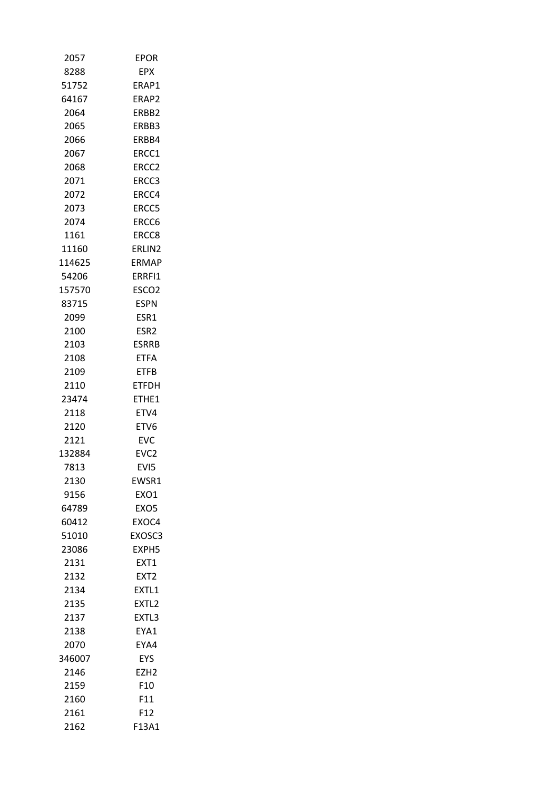| 2057         | <b>EPOR</b>                |
|--------------|----------------------------|
| 8288         | EPX                        |
| 51752        | ERAP1                      |
| 64167        | ERAP2                      |
| 2064         | ERBB <sub>2</sub>          |
| 2065         | ERBB3                      |
| 2066         | ERBB4                      |
| 2067         | ERCC1                      |
| 2068         | ERCC2                      |
| 2071         | ERCC3                      |
| 2072         | ERCC4                      |
| 2073         | ERCC5                      |
| 2074         | ERCC6                      |
| 1161         | ERCC8                      |
| 11160        | ERLIN2                     |
| 114625       | ERMAP                      |
| 54206        | ERRFI1                     |
| 157570       | ESCO <sub>2</sub>          |
| 83715        | <b>ESPN</b>                |
| 2099         | ESR1                       |
| 2100         | ESR <sub>2</sub>           |
| 2103         | <b>ESRRB</b>               |
| 2108         | ETFA                       |
| 2109         | ETFB                       |
| 2110         | ETFDH                      |
| 23474        | ETHE1                      |
| 2118         | ETV4                       |
| 2120         | ETV6                       |
| 2121         | <b>EVC</b>                 |
| 132884       | EVC <sub>2</sub>           |
| 7813         | EVI5                       |
|              |                            |
| 2130<br>9156 | EWSR1<br>EX <sub>O</sub> 1 |
| 64789        |                            |
|              | EXO5<br>EXOC4              |
| 60412        |                            |
| 51010        | EXOSC3                     |
| 23086        | EXPH5                      |
| 2131         | EXT1                       |
| 2132         | EXT <sub>2</sub>           |
| 2134         | EXTL1                      |
| 2135         | EXTL <sub>2</sub>          |
| 2137         | EXTL3                      |
| 2138         | EYA1                       |
| 2070         | EYA4                       |
| 346007       | <b>EYS</b>                 |
| 2146         | EZH2                       |
| 2159         | F10                        |
| 2160         | F11                        |
| 2161         | F12                        |
| 2162         | F13A1                      |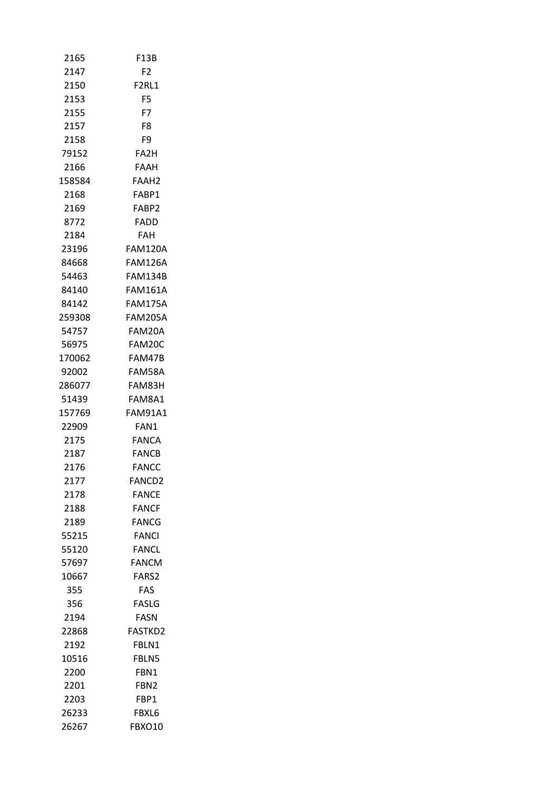| 2165   | F13B                           |
|--------|--------------------------------|
| 2147   | F2                             |
| 2150   | F <sub>2</sub> RL <sub>1</sub> |
| 2153   | F <sub>5</sub>                 |
| 2155   | F7                             |
| 2157   | F8                             |
| 2158   | F9                             |
| 79152  | FA <sub>2</sub> H              |
| 2166   | FAAH                           |
| 158584 | FAAH <sub>2</sub>              |
| 2168   | FABP1                          |
| 2169   | FABP2                          |
| 8772   | FADD                           |
| 2184   | FAH                            |
| 23196  | <b>FAM120A</b>                 |
| 84668  | FAM126A                        |
| 54463  | <b>FAM134B</b>                 |
| 84140  | FAM161A                        |
| 84142  | FAM175A                        |
| 259308 | FAM205A                        |
| 54757  | FAM20A                         |
| 56975  | FAM20C                         |
| 170062 | FAM47B                         |
| 92002  | FAM58A                         |
| 286077 | FAM83H                         |
| 51439  | FAM8A1                         |
| 157769 | FAM91A1                        |
| 22909  | FAN1                           |
| 2175   | <b>FANCA</b>                   |
| 2187   | FANCB                          |
| 2176   | <b>FANCC</b>                   |
| 2177   | FANCD2                         |
| 2178   | <b>FANCE</b>                   |
| 2188   | <b>FANCF</b>                   |
| 2189   | <b>FANCG</b>                   |
| 55215  | <b>FANCI</b>                   |
| 55120  | <b>FANCL</b>                   |
| 57697  | <b>FANCM</b>                   |
| 10667  | FARS2                          |
| 355    | <b>FAS</b>                     |
| 356    | FASLG                          |
| 2194   | FASN                           |
| 22868  | <b>FASTKD2</b>                 |
| 2192   | FBLN1                          |
| 10516  | FBLN5                          |
| 2200   | FBN1                           |
| 2201   | FBN2                           |
| 2203   | FBP1                           |
| 26233  | FBXL6                          |
| 26267  | FBXO10                         |
|        |                                |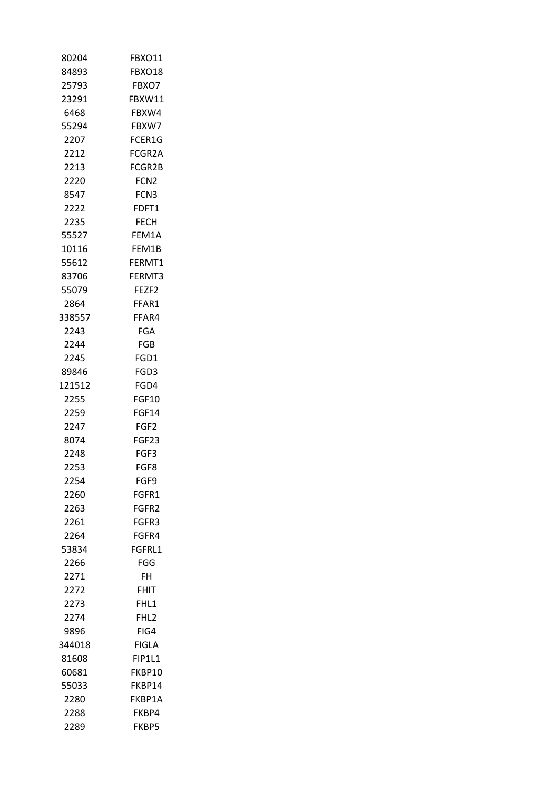| 80204  | FBXO11           |
|--------|------------------|
| 84893  | FBXO18           |
| 25793  | FBXO7            |
| 23291  | FBXW11           |
| 6468   | FBXW4            |
| 55294  | FBXW7            |
| 2207   | FCER1G           |
| 2212   | FCGR2A           |
| 2213   | FCGR2B           |
| 2220   | FCN <sub>2</sub> |
| 8547   | FCN3             |
| 2222   | FDFT1            |
| 2235   | FECH             |
| 55527  | FEM1A            |
| 10116  | FEM1B            |
| 55612  | FERMT1           |
| 83706  | FERMT3           |
| 55079  | FEZF2            |
| 2864   | FFAR1            |
| 338557 | FFAR4            |
| 2243   | FGA              |
| 2244   | <b>FGB</b>       |
| 2245   | FGD1             |
| 89846  | FGD3             |
| 121512 | FGD4             |
| 2255   | <b>FGF10</b>     |
| 2259   | <b>FGF14</b>     |
| 2247   | FGF2             |
| 8074   | FGF23            |
| 2248   | FGF3             |
| 2253   | FGF8             |
| 2254   | FGF9             |
| 2260   | FGFR1            |
| 2263   | FGFR2            |
| 2261   | FGFR3            |
| 2264   | FGFR4            |
| 53834  | FGFRL1           |
| 2266   | FGG              |
| 2271   | FH               |
| 2272   | FHIT             |
| 2273   | FHL1             |
| 2274   | FHL2             |
| 9896   | FIG4             |
| 344018 | FIGLA            |
| 81608  | <b>FIP1L1</b>    |
| 60681  | FKBP10           |
| 55033  | FKBP14           |
| 2280   | FKBP1A           |
| 2288   | FKBP4            |
| 2289   | FKBP5            |
|        |                  |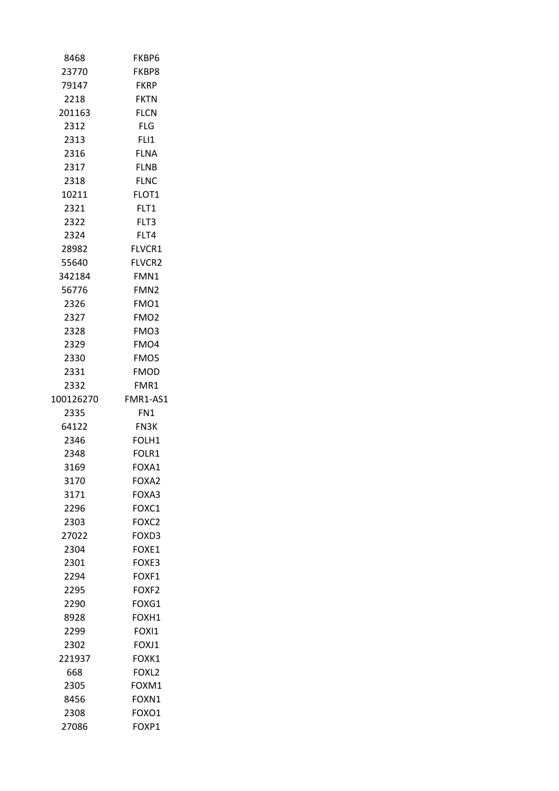| 8468      | FKBP6             |
|-----------|-------------------|
| 23770     | FKBP8             |
| 79147     | <b>FKRP</b>       |
| 2218      | <b>FKTN</b>       |
| 201163    | <b>FLCN</b>       |
| 2312      | FLG.              |
| 2313      | FLI1              |
| 2316      | <b>FLNA</b>       |
| 2317      | <b>FLNB</b>       |
| 2318      | <b>FLNC</b>       |
| 10211     | FLOT1             |
| 2321      | FLT1              |
| 2322      | FLT3              |
| 2324      | FLT4              |
| 28982     | FLVCR1            |
| 55640     | <b>FLVCR2</b>     |
| 342184    | FMN1              |
| 56776     | FMN <sub>2</sub>  |
| 2326      | FMO1              |
| 2327      | FMO <sub>2</sub>  |
| 2328      | FMO3              |
| 2329      | FMO4              |
| 2330      | FMO5              |
| 2331      | <b>FMOD</b>       |
| 2332      | FMR1              |
| 100126270 | FMR1-AS1          |
| 2335      | FN1               |
| 64122     | <b>FN3K</b>       |
| 2346      | FOLH1             |
| 2348      | FOLR1             |
| 3169      | FOXA1             |
| 3170      | FOXA2             |
| 3171      | FOXA3             |
| 2296      | FOXC1             |
| 2303      | FOXC2             |
| 27022     | FOXD3             |
| 2304      | FOXE1             |
| 2301      | FOXE3             |
| 2294      | FOXF1             |
| 2295      | FOXF <sub>2</sub> |
| 2290      | FOXG1             |
| 8928      | FOXH1             |
| 2299      | FOXI1             |
| 2302      | FOXJ1             |
| 221937    | FOXK1             |
| 668       | FOXL <sub>2</sub> |
| 2305      | FOXM1             |
| 8456      | FOXN1             |
| 2308      | FOXO1             |
| 27086     | FOXP1             |
|           |                   |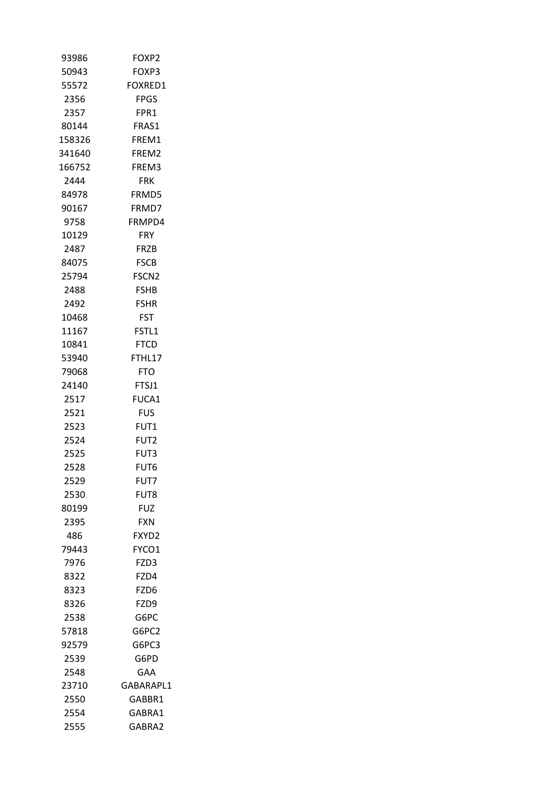| 93986  | FOXP2             |
|--------|-------------------|
| 50943  | FOXP3             |
| 55572  | FOXRED1           |
| 2356   | FPGS              |
| 2357   | FPR1              |
| 80144  | FRAS1             |
| 158326 | FREM1             |
| 341640 | FREM2             |
| 166752 | FREM3             |
| 2444   | <b>FRK</b>        |
| 84978  | FRMD5             |
| 90167  | FRMD7             |
| 9758   | FRMPD4            |
| 10129  | <b>FRY</b>        |
| 2487   | <b>FRZB</b>       |
| 84075  | <b>FSCB</b>       |
| 25794  | FSCN <sub>2</sub> |
| 2488   | <b>FSHB</b>       |
| 2492   | <b>FSHR</b>       |
| 10468  | <b>FST</b>        |
| 11167  | FSTL1             |
| 10841  | <b>FTCD</b>       |
| 53940  | FTHL17            |
| 79068  | FTO               |
| 24140  | FTSJ1             |
| 2517   | FUCA1             |
| 2521   | <b>FUS</b>        |
| 2523   | FUT1              |
| 2524   | FUT <sub>2</sub>  |
| 2525   | FUT3              |
| 2528   | FUT6              |
| 2529   | FUT7              |
| 2530   | FUT8              |
| 80199  | FUZ               |
| 2395   | <b>FXN</b>        |
| 486    | FXYD2             |
| 79443  | FYCO1             |
| 7976   | FZD3              |
| 8322   | FZD4              |
| 8323   | FZD6              |
| 8326   | FZD9              |
| 2538   | G6PC              |
| 57818  | G6PC2             |
| 92579  | G6PC3             |
| 2539   | G6PD              |
| 2548   | <b>GAA</b>        |
| 23710  | GABARAPL1         |
| 2550   | GABBR1            |
| 2554   | GABRA1            |
| 2555   | GABRA2            |
|        |                   |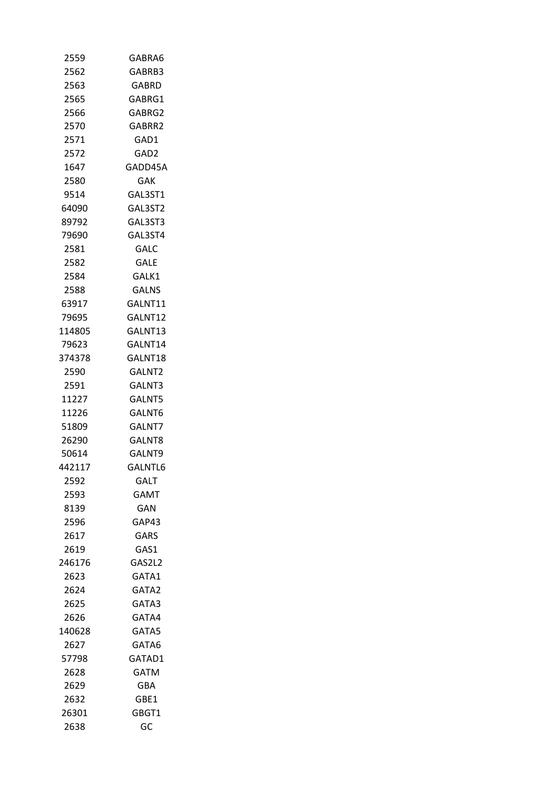| 2559   | GABRA6       |
|--------|--------------|
| 2562   | GABRB3       |
| 2563   | GABRD        |
| 2565   | GABRG1       |
| 2566   | GABRG2       |
| 2570   | GABRR2       |
| 2571   | GAD1         |
| 2572   | GAD2         |
| 1647   | GADD45A      |
| 2580   | <b>GAK</b>   |
| 9514   | GAL3ST1      |
| 64090  | GAL3ST2      |
| 89792  | GAL3ST3      |
| 79690  | GAL3ST4      |
| 2581   | <b>GALC</b>  |
| 2582   | GALE         |
| 2584   | GALK1        |
| 2588   | <b>GALNS</b> |
| 63917  | GALNT11      |
| 79695  | GALNT12      |
| 114805 | GALNT13      |
| 79623  | GALNT14      |
| 374378 | GALNT18      |
| 2590   | GALNT2       |
| 2591   | GALNT3       |
| 11227  | GALNT5       |
| 11226  | GALNT6       |
| 51809  | GALNT7       |
| 26290  | GALNT8       |
| 50614  | GALNT9       |
| 442117 | GALNTL6      |
| 2592   | GALT         |
| 2593   | <b>GAMT</b>  |
| 8139   | GAN          |
| 2596   | GAP43        |
| 2617   | GARS         |
| 2619   | GAS1         |
| 246176 | GAS2L2       |
| 2623   | GATA1        |
| 2624   | GATA2        |
| 2625   | GATA3        |
| 2626   | GATA4        |
| 140628 | GATA5        |
| 2627   | GATA6        |
| 57798  | GATAD1       |
| 2628   | GATM         |
| 2629   | GBA          |
| 2632   | GBE1         |
| 26301  | GBGT1        |
| 2638   | GC           |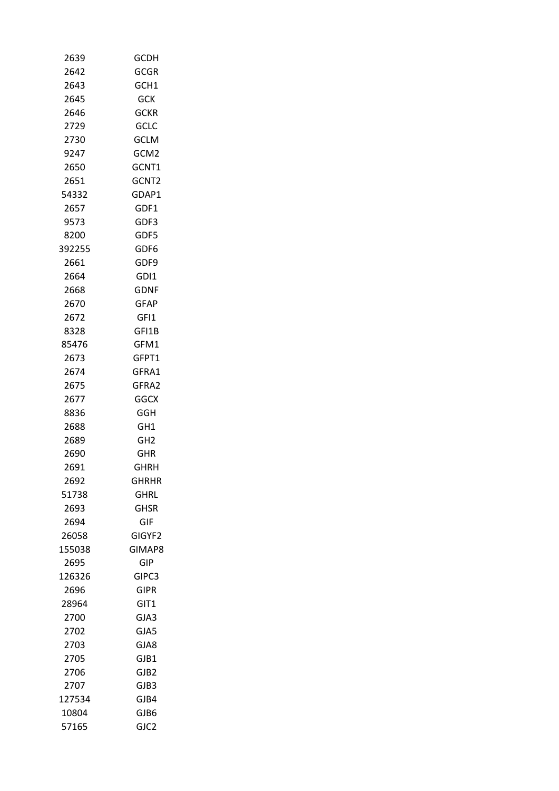| 2639         | <b>GCDH</b>     |
|--------------|-----------------|
| 2642         | <b>GCGR</b>     |
| 2643         | GCH1            |
| 2645         | <b>GCK</b>      |
| 2646         | <b>GCKR</b>     |
| 2729         | <b>GCLC</b>     |
| 2730         | <b>GCLM</b>     |
| 9247         | GCM2            |
| 2650         | GCNT1           |
| 2651         | GCNT2           |
| 54332        | GDAP1           |
| 2657         | GDF1            |
| 9573         | GDF3            |
| 8200         | GDF5            |
| 392255       | GDF6            |
| 2661         | GDF9            |
| 2664         | GDI1            |
|              | <b>GDNF</b>     |
| 2668<br>2670 | <b>GFAP</b>     |
|              |                 |
| 2672         | GFI1            |
| 8328         | GFI1B           |
| 85476        | GFM1            |
| 2673         | GFPT1           |
| 2674         | GFRA1           |
| 2675         | GFRA2           |
| 2677         | <b>GGCX</b>     |
| 8836         | GGH             |
| 2688         | GH <sub>1</sub> |
| 2689         | GH <sub>2</sub> |
| 2690         | GHR             |
| 2691         | GHRH            |
| 2692         | <b>GHRHR</b>    |
| 51738        | GHRL            |
| 2693         | GHSR            |
| 2694         | GIF             |
| 26058        | GIGYF2          |
| 155038       | GIMAP8          |
| 2695         | GIP             |
| 126326       | GIPC3           |
| 2696         | <b>GIPR</b>     |
| 28964        | GIT1            |
| 2700         | GJA3            |
| 2702         | GJA5            |
| 2703         | GJA8            |
| 2705         | GJB1            |
| 2706         | GJB2            |
| 2707         | GJB3            |
| 127534       | GJB4            |
| 10804        | GJB6            |
| 57165        | GJC2            |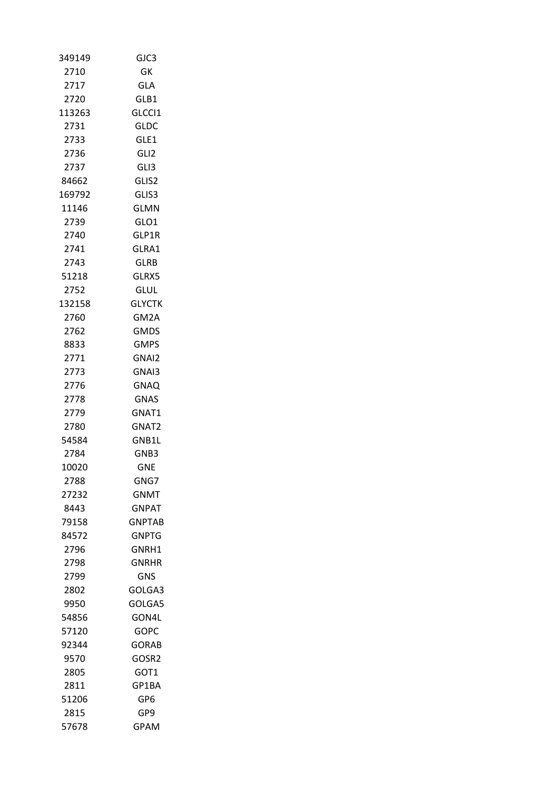| 349149 | GJC3          |
|--------|---------------|
| 2710   | GK            |
| 2717   | <b>GLA</b>    |
| 2720   | GLB1          |
| 113263 | GLCCI1        |
| 2731   | <b>GLDC</b>   |
| 2733   | GLE1          |
| 2736   | GLI2          |
| 2737   | GLI3          |
| 84662  | GLIS2         |
| 169792 | GLIS3         |
| 11146  | GLMN          |
| 2739   | GLO1          |
| 2740   | GLP1R         |
| 2741   | GLRA1         |
| 2743   | GLRB          |
| 51218  | GLRX5         |
| 2752   | glul          |
| 132158 | <b>GLYCTK</b> |
| 2760   | GM2A          |
| 2762   | <b>GMDS</b>   |
| 8833   | <b>GMPS</b>   |
| 2771   | GNAI2         |
| 2773   | GNAI3         |
| 2776   | GNAQ          |
| 2778   | GNAS          |
| 2779   | GNAT1         |
| 2780   | GNAT2         |
| 54584  | GNB1L         |
| 2784   | GNB3          |
| 10020  | <b>GNE</b>    |
| 2788   | GNG7          |
| 27232  | <b>GNMT</b>   |
| 8443   | GNPAT         |
| 79158  | <b>GNPTAB</b> |
| 84572  | GNPTG         |
| 2796   | GNRH1         |
| 2798   | GNRHR         |
| 2799   | <b>GNS</b>    |
| 2802   | GOLGA3        |
| 9950   | GOLGA5        |
| 54856  | GON4L         |
| 57120  | GOPC          |
| 92344  | <b>GORAB</b>  |
| 9570   | GOSR2         |
| 2805   | GOT1          |
| 2811   | GP1BA         |
| 51206  | GP6           |
| 2815   | GP9           |
| 57678  | GPAM          |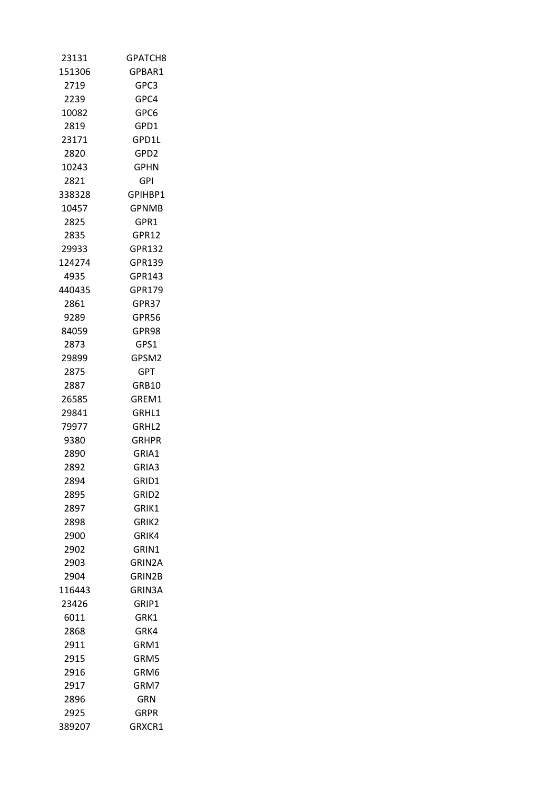| 23131  | GPATCH8           |
|--------|-------------------|
| 151306 | GPBAR1            |
| 2719   | GPC3              |
| 2239   | GPC4              |
| 10082  | GPC6              |
| 2819   | GPD1              |
| 23171  | GPD1L             |
| 2820   | GPD2              |
| 10243  | <b>GPHN</b>       |
| 2821   | GPI               |
| 338328 | GPIHBP1           |
| 10457  | <b>GPNMB</b>      |
| 2825   | GPR1              |
| 2835   | GPR12             |
| 29933  | GPR132            |
| 124274 | GPR139            |
| 4935   | GPR143            |
| 440435 | GPR179            |
| 2861   | GPR37             |
| 9289   | GPR56             |
| 84059  | GPR98             |
| 2873   | GPS1              |
| 29899  | GPSM2             |
| 2875   | <b>GPT</b>        |
| 2887   | GRB10             |
| 26585  | GREM1             |
| 29841  | GRHL1             |
| 79977  | GRHL2             |
| 9380   | GRHPR             |
| 2890   | GRIA1             |
| 2892   | GRIA3             |
| 2894   | GRID1             |
| 2895   | GRID <sub>2</sub> |
| 2897   | GRIK1             |
| 2898   | GRIK2             |
| 2900   | GRIK4             |
| 2902   | GRIN1             |
| 2903   | GRIN2A            |
| 2904   | GRIN2B            |
| 116443 | <b>GRIN3A</b>     |
| 23426  | GRIP1             |
| 6011   | GRK1              |
| 2868   | GRK4              |
| 2911   | GRM1              |
| 2915   | GRM5              |
| 2916   | GRM6              |
| 2917   | GRM7              |
| 2896   | GRN               |
| 2925   | GRPR              |
| 389207 | GRXCR1            |
|        |                   |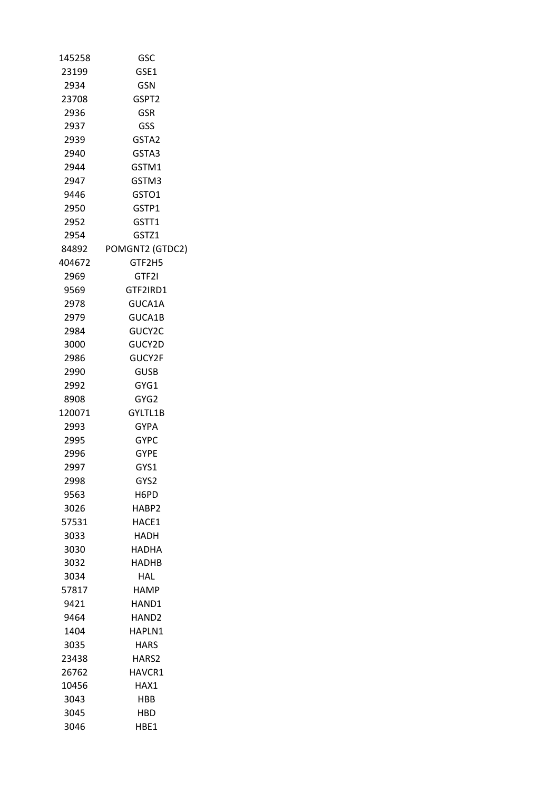| 145258 | GSC               |
|--------|-------------------|
| 23199  | GSE1              |
| 2934   | GSN               |
| 23708  | GSPT2             |
| 2936   | <b>GSR</b>        |
| 2937   | GSS               |
| 2939   | GSTA <sub>2</sub> |
| 2940   | GSTA3             |
| 2944   | GSTM1             |
| 2947   | GSTM3             |
| 9446   | GSTO1             |
| 2950   | GSTP1             |
| 2952   | GSTT1             |
| 2954   | GSTZ1             |
| 84892  | POMGNT2 (GTDC2)   |
| 404672 | GTF2H5            |
| 2969   | GTF2I             |
| 9569   | GTF2IRD1          |
| 2978   | GUCA1A            |
| 2979   | GUCA1B            |
| 2984   | GUCY2C            |
| 3000   | GUCY2D            |
| 2986   | GUCY2F            |
| 2990   | GUSB              |
| 2992   | GYG1              |
| 8908   | GYG2              |
| 120071 | GYLTL1B           |
| 2993   | <b>GYPA</b>       |
| 2995   | <b>GYPC</b>       |
| 2996   | <b>GYPE</b>       |
| 2997   | GYS1              |
| 2998   | GYS2              |
| 9563   | H6PD              |
| 3026   | HABP2             |
| 57531  | HACE1             |
| 3033   | <b>HADH</b>       |
| 3030   | HADHA             |
| 3032   | HADHB             |
| 3034   | HAL               |
| 57817  | <b>HAMP</b>       |
| 9421   | HAND1             |
| 9464   | HAND <sub>2</sub> |
| 1404   | HAPLN1            |
| 3035   | <b>HARS</b>       |
| 23438  | HARS2             |
| 26762  | HAVCR1            |
| 10456  | HAX1              |
| 3043   | HBB               |
| 3045   | HBD               |
| 3046   | HBE1              |
|        |                   |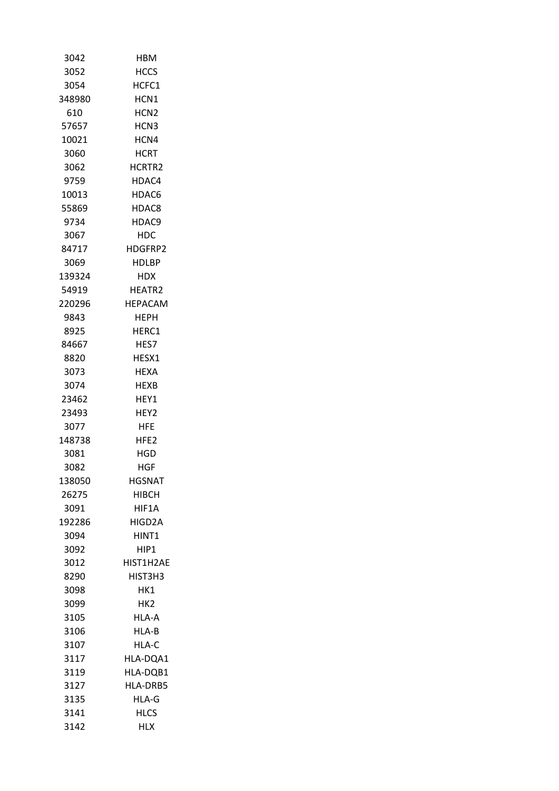| 3042   | <b>HBM</b>       |
|--------|------------------|
| 3052   | HCCS             |
| 3054   | HCFC1            |
| 348980 | HCN1             |
| 610    | HCN <sub>2</sub> |
| 57657  | HCN <sub>3</sub> |
| 10021  | HCN4             |
| 3060   | <b>HCRT</b>      |
| 3062   | HCRTR2           |
| 9759   | HDAC4            |
| 10013  | HDAC6            |
| 55869  | HDAC8            |
| 9734   | HDAC9            |
| 3067   | HDC              |
| 84717  | HDGFRP2          |
| 3069   | HDLBP            |
| 139324 | HDX.             |
| 54919  | HEATR2           |
| 220296 | <b>HEPACAM</b>   |
| 9843   | <b>HEPH</b>      |
| 8925   | HERC1            |
| 84667  | HES7             |
| 8820   | HESX1            |
| 3073   | <b>HEXA</b>      |
| 3074   | <b>HEXB</b>      |
| 23462  | HEY1             |
| 23493  | HEY2             |
| 3077   | HFE              |
| 148738 | HFE <sub>2</sub> |
| 3081   | HGD              |
| 3082   | HGF              |
| 138050 | <b>HGSNAT</b>    |
| 26275  | HIBCH            |
| 3091   | HIF1A            |
| 192286 | HIGD2A           |
| 3094   | HINT1            |
| 3092   | HIP1             |
| 3012   | HIST1H2AE        |
| 8290   | HIST3H3          |
| 3098   | HK1              |
| 3099   | HK2              |
| 3105   | HLA-A            |
| 3106   | HLA-B            |
| 3107   | HLA-C            |
| 3117   | HLA-DQA1         |
| 3119   | HLA-DQB1         |
| 3127   | HLA-DRB5         |
| 3135   | HLA-G            |
| 3141   | <b>HLCS</b>      |
| 3142   | HLX              |
|        |                  |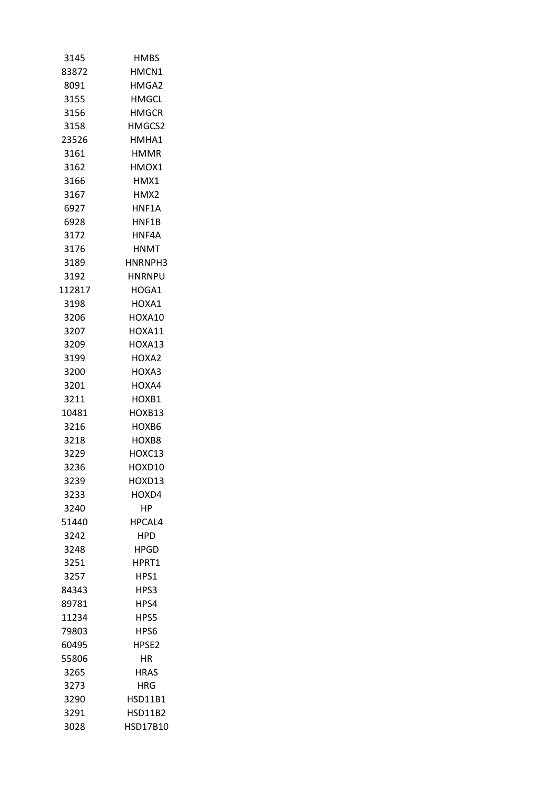| 3145   | <b>HMBS</b>    |
|--------|----------------|
| 83872  | HMCN1          |
| 8091   | HMGA2          |
| 3155   | <b>HMGCL</b>   |
| 3156   | HMGCR          |
| 3158   | HMGCS2         |
| 23526  | HMHA1          |
| 3161   | HMMR           |
| 3162   | HMOX1          |
| 3166   | HMX1           |
| 3167   | HMX2           |
| 6927   | HNF1A          |
| 6928   | HNF1B          |
| 3172   | HNF4A          |
| 3176   | <b>HNMT</b>    |
| 3189   | HNRNPH3        |
| 3192   | HNRNPU         |
| 112817 | HOGA1          |
| 3198   | HOXA1          |
| 3206   | HOXA10         |
| 3207   | HOXA11         |
| 3209   | HOXA13         |
| 3199   | HOXA2          |
| 3200   | HOXA3          |
| 3201   | HOXA4          |
| 3211   | HOXB1          |
| 10481  | HOXB13         |
| 3216   | HOXB6          |
| 3218   | HOXB8          |
| 3229   | HOXC13         |
| 3236   | HOXD10         |
| 3239   | HOXD13         |
| 3233   | HOXD4          |
| 3240   | НP             |
| 51440  | HPCAL4         |
| 3242   | <b>HPD</b>     |
| 3248   | <b>HPGD</b>    |
| 3251   | HPRT1          |
| 3257   | HPS1           |
| 84343  | HPS3           |
| 89781  | HPS4           |
| 11234  | HPS5           |
| 79803  | HPS6           |
| 60495  | HPSE2          |
| 55806  | ΗR             |
| 3265   | <b>HRAS</b>    |
| 3273   | HRG            |
| 3290   | <b>HSD11B1</b> |
| 3291   | <b>HSD11B2</b> |
| 3028   | HSD17B10       |
|        |                |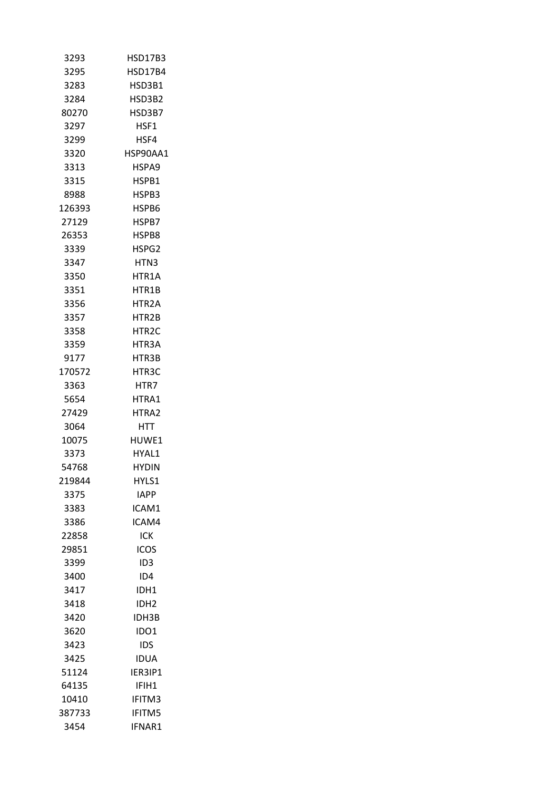| 3293   | <b>HSD17B3</b>     |
|--------|--------------------|
| 3295   | HSD17B4            |
| 3283   | HSD3B1             |
| 3284   | HSD3B2             |
| 80270  | HSD3B7             |
| 3297   | HSF1               |
| 3299   | HSF4               |
| 3320   | HSP90AA1           |
| 3313   | HSPA9              |
| 3315   | HSPB1              |
| 8988   | HSPB3              |
| 126393 | HSPB6              |
| 27129  | HSPB7              |
| 26353  | HSPB8              |
| 3339   | HSPG2              |
| 3347   | HTN <sub>3</sub>   |
| 3350   | HTR1A              |
| 3351   | HTR1B              |
| 3356   | HTR2A              |
| 3357   | HTR2B              |
| 3358   | HTR <sub>2</sub> C |
| 3359   | HTR3A              |
| 9177   | HTR3B              |
| 170572 | HTR3C              |
| 3363   | HTR7               |
| 5654   | HTRA1              |
| 27429  | HTRA2              |
| 3064   | HTT                |
| 10075  | HUWE1              |
| 3373   | HYAL1              |
| 54768  | HYDIN              |
| 219844 | HYLS1              |
| 3375   | IAPP               |
| 3383   | ICAM1              |
| 3386   | ICAM4              |
| 22858  | <b>ICK</b>         |
| 29851  | ICOS               |
| 3399   | ID3                |
| 3400   | ID4                |
| 3417   | IDH1               |
| 3418   | IDH <sub>2</sub>   |
| 3420   | <b>IDH3B</b>       |
| 3620   | IDO1               |
| 3423   | ids                |
| 3425   | IDUA               |
| 51124  | IER3IP1            |
| 64135  | IFIH1              |
| 10410  | IFITM3             |
| 387733 | <b>IFITM5</b>      |
| 3454   | IFNAR1             |
|        |                    |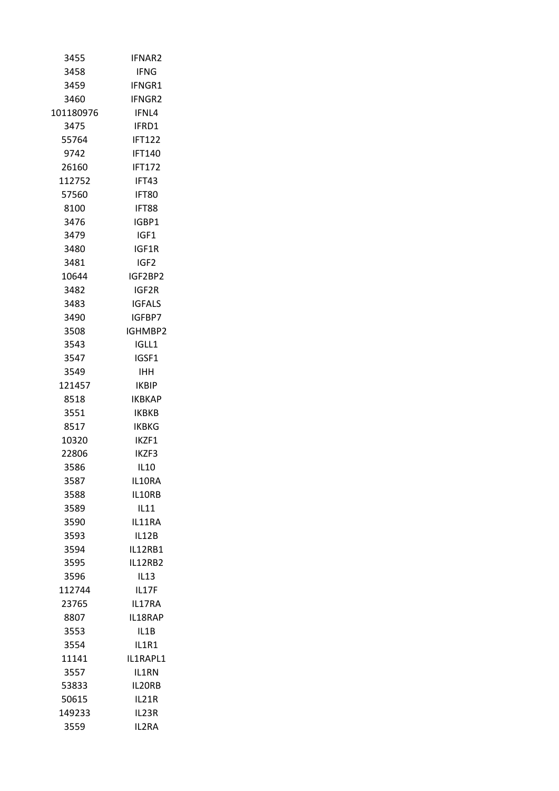| 3455          | <b>IFNAR2</b>    |
|---------------|------------------|
| 3458          | <b>IFNG</b>      |
| 3459          | <b>IFNGR1</b>    |
| 3460          | IFNGR2           |
| 101180976     | IFNL4            |
| 3475          | IFRD1            |
| 55764         | <b>IFT122</b>    |
| 9742          | <b>IFT140</b>    |
| 26160         | <b>IFT172</b>    |
| 112752        | IFT43            |
| 57560         | IFT80            |
| 8100          | IFT88            |
| 3476          | IGBP1            |
| 3479          | IGF1             |
| 3480          | IGF1R            |
| 3481          | IGF <sub>2</sub> |
| 10644         | IGF2BP2          |
| 3482          | IGF2R            |
| 3483          | IGFALS           |
| 3490          | IGFBP7           |
| 3508          | IGHMBP2          |
| 3543          | IGLL1            |
| 3547          | IGSF1            |
| 3549          | IHH              |
| 121457        | <b>IKBIP</b>     |
| 8518          | <b>IKBKAP</b>    |
| 3551          | IKBKB            |
| 8517          | IKBKG            |
| 10320         | IK7F1            |
|               | IKZF3            |
| 22806<br>3586 |                  |
|               | <b>IL10</b>      |
| 3587          | IL10RA           |
| 3588          | IL10RB           |
| 3589          | IL11             |
| 3590          | IL11RA           |
| 3593          | IL12B            |
| 3594          | <b>IL12RB1</b>   |
| 3595          | IL12RB2          |
| 3596          | IL13             |
| 112744        | IL17F            |
| 23765         | IL17RA           |
| 8807          | IL18RAP          |
| 3553          | IL1B             |
| 3554          | IL1R1            |
| 11141         | IL1RAPL1         |
| 3557          | IL1RN            |
| 53833         | IL20RB           |
| 50615         | IL21R            |
| 149233        | IL23R            |
| 3559          | IL2RA            |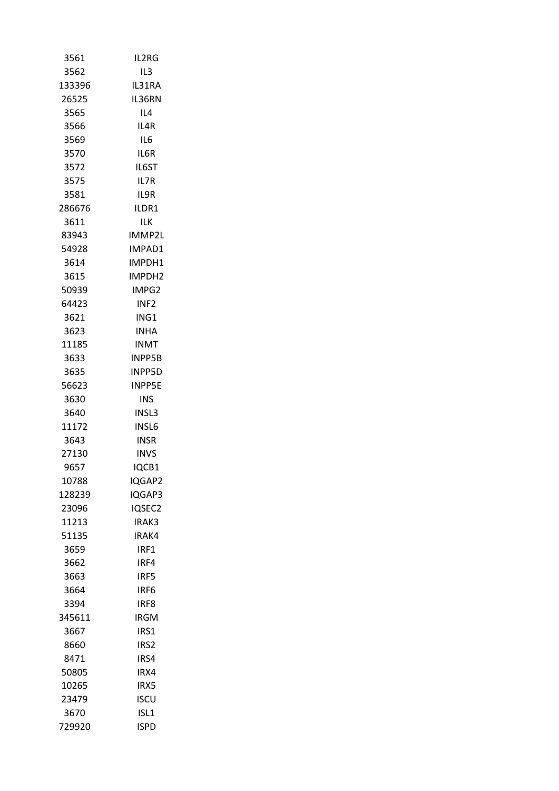| 3561   | IL2RG            |
|--------|------------------|
| 3562   | IL3              |
| 133396 | IL31RA           |
| 26525  | IL36RN           |
| 3565   | IL4              |
| 3566   | IL4R             |
| 3569   | IL6              |
| 3570   | IL6R             |
| 3572   | IL6ST            |
| 3575   | IL7R             |
| 3581   | IL9R             |
| 286676 | ILDR1            |
| 3611   | ILK              |
| 83943  | IMMP2L           |
| 54928  | IMPAD1           |
| 3614   | IMPDH1           |
| 3615   | IMPDH2           |
| 50939  | IMPG2            |
| 64423  | INF <sub>2</sub> |
| 3621   | ING1             |
| 3623   | <b>INHA</b>      |
| 11185  | INMT             |
| 3633   | <b>INPP5B</b>    |
| 3635   | <b>INPP5D</b>    |
| 56623  | <b>INPP5E</b>    |
| 3630   | INS              |
| 3640   | INSL3            |
| 11172  | INSL6            |
| 3643   | INSR             |
| 27130  | <b>INVS</b>      |
| 9657   | IQCB1            |
| 10788  | IQGAP2           |
| 128239 | IQGAP3           |
| 23096  | IQSEC2           |
| 11213  | IRAK3            |
| 51135  | IRAK4            |
| 3659   | IRF1             |
| 3662   | IRF4             |
| 3663   | IRF5             |
| 3664   | IRF <sub>6</sub> |
| 3394   | IRF <sub>8</sub> |
| 345611 | IRGM             |
| 3667   | IRS1             |
| 8660   | IRS <sub>2</sub> |
| 8471   | IRS4             |
| 50805  | IRX4             |
| 10265  | IRX5             |
| 23479  | <b>ISCU</b>      |
| 3670   | ISL <sub>1</sub> |
| 729920 | <b>ISPD</b>      |
|        |                  |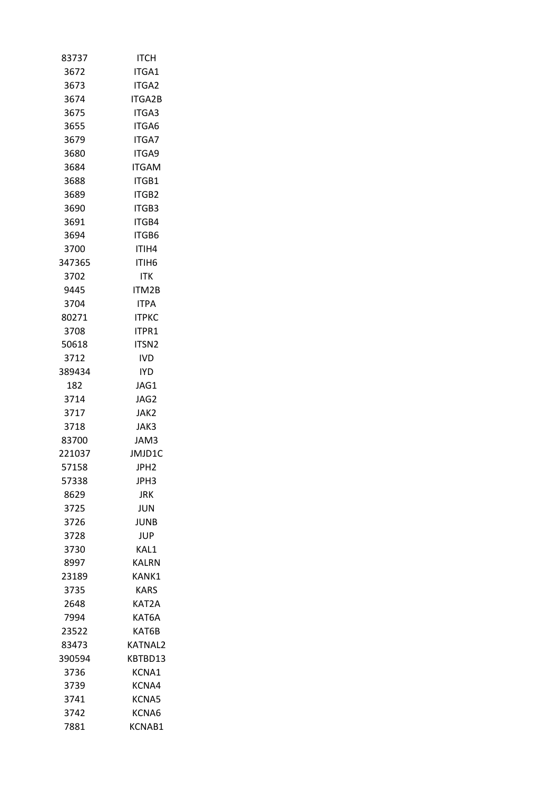| 83737  | ITCH             |
|--------|------------------|
| 3672   | <b>ITGA1</b>     |
| 3673   | ITGA2            |
| 3674   | <b>ITGA2B</b>    |
| 3675   | ITGA3            |
| 3655   | ITGA6            |
| 3679   | <b>ITGA7</b>     |
| 3680   | <b>ITGA9</b>     |
| 3684   | <b>ITGAM</b>     |
| 3688   | ITGB1            |
| 3689   | ITGB2            |
| 3690   | ITGB3            |
| 3691   | ITGB4            |
| 3694   | <b>ITGB6</b>     |
| 3700   | ITIH4            |
| 347365 | ITIH6            |
| 3702   | ITK              |
| 9445   | ITM2B            |
| 3704   | <b>ITPA</b>      |
| 80271  | <b>ITPKC</b>     |
| 3708   | ITPR1            |
| 50618  | <b>ITSN2</b>     |
| 3712   | IVD.             |
| 389434 | <b>IYD</b>       |
| 182    | JAG1             |
| 3714   | JAG2             |
| 3717   | JAK2             |
| 3718   | JAK3             |
| 83700  | JAM3             |
| 221037 | JMJD1C           |
| 57158  | JPH <sub>2</sub> |
| 57338  | JPH3             |
| 8629   | <b>JRK</b>       |
| 3725   | JUN              |
| 3726   | JUNB             |
| 3728   | <b>JUP</b>       |
| 3730   | KAL1             |
| 8997   | <b>KALRN</b>     |
| 23189  | KANK1            |
| 3735   | <b>KARS</b>      |
| 2648   | KAT2A            |
| 7994   | KAT6A            |
| 23522  | KAT6B            |
| 83473  | <b>KATNAL2</b>   |
| 390594 | KBTBD13          |
| 3736   | KCNA1            |
| 3739   | KCNA4            |
| 3741   | KCNA5            |
| 3742   | KCNA6            |
| 7881   | KCNAB1           |
|        |                  |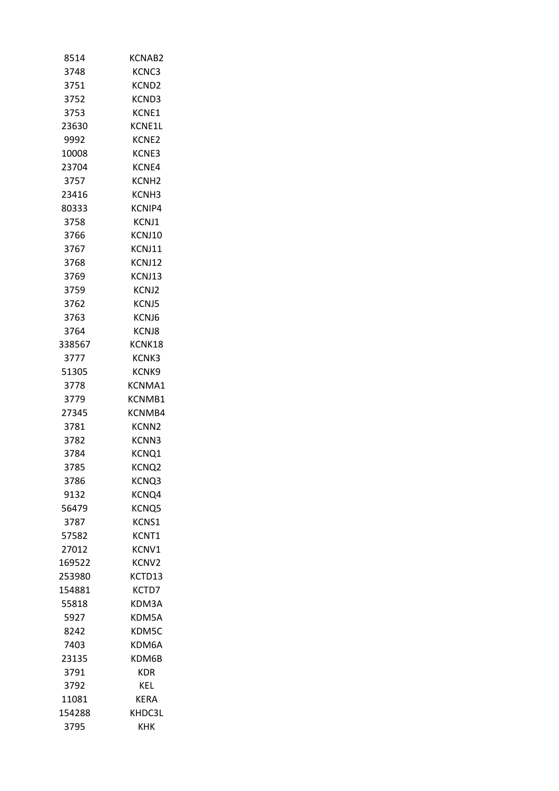| 8514   | KCNAB2            |
|--------|-------------------|
| 3748   | KCNC3             |
| 3751   | KCND <sub>2</sub> |
| 3752   | KCND3             |
| 3753   | KCNE1             |
| 23630  | KCNE1L            |
| 9992   | KCNE2             |
| 10008  | KCNE3             |
| 23704  | KCNE4             |
| 3757   | KCNH <sub>2</sub> |
| 23416  | KCNH3             |
| 80333  | KCNIP4            |
| 3758   | KCNJ1             |
| 3766   | KCNJ10            |
| 3767   | <b>KCNJ11</b>     |
| 3768   | KCNJ12            |
| 3769   | KCNJ13            |
| 3759   | KCNJ2             |
| 3762   | KCNJ5             |
| 3763   | KCNJ6             |
| 3764   | KCNJ8             |
| 338567 | KCNK18            |
| 3777   | KCNK3             |
| 51305  | KCNK9             |
| 3778   | KCNMA1            |
| 3779   | KCNMB1            |
| 27345  | KCNMB4            |
| 3781   | KCNN2             |
| 3782   | KCNN3             |
| 3784   | KCNQ1             |
| 3785   | KCNQ2             |
| 3786   | KCNQ3             |
| 9132   | KCNQ4             |
| 56479  | KCNQ5             |
| 3787   | KCNS1             |
| 57582  | KCNT1             |
| 27012  | KCNV1             |
| 169522 | KCNV <sub>2</sub> |
| 253980 | KCTD13            |
| 154881 | KCTD7             |
| 55818  | KDM3A             |
| 5927   | KDM5A             |
| 8242   | KDM5C             |
| 7403   | KDM6A             |
| 23135  | KDM6B             |
| 3791   | KDR               |
| 3792   | KEL               |
| 11081  | KERA              |
| 154288 | KHDC3L            |
| 3795   | кнк               |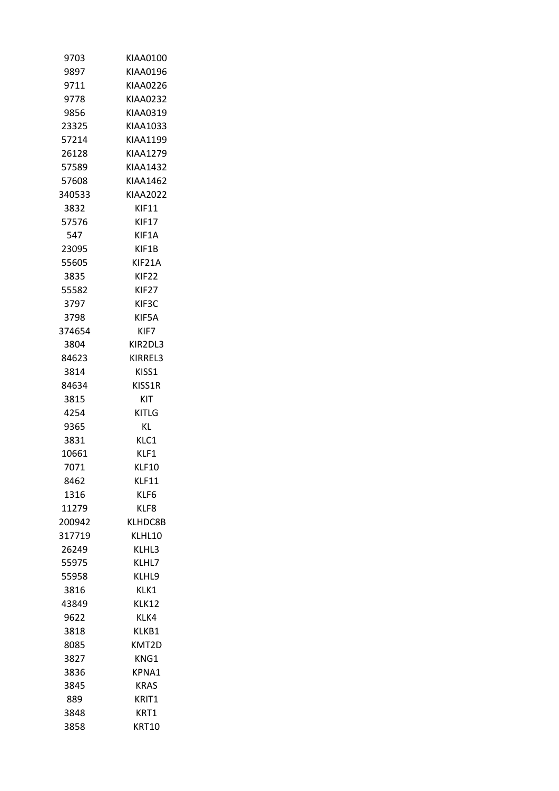| 9703   | KIAA0100          |
|--------|-------------------|
| 9897   | KIAA0196          |
| 9711   | KIAA0226          |
| 9778   | KIAA0232          |
| 9856   | KIAA0319          |
| 23325  | KIAA1033          |
| 57214  | KIAA1199          |
| 26128  | KIAA1279          |
| 57589  | <b>KIAA1432</b>   |
| 57608  | KIAA1462          |
| 340533 | KIAA2022          |
| 3832   | <b>KIF11</b>      |
| 57576  | <b>KIF17</b>      |
| 547    | KIF1A             |
| 23095  | KIF1B             |
| 55605  | KIF21A            |
| 3835   | KIF22             |
| 55582  | KIF <sub>27</sub> |
| 3797   | KIF3C             |
| 3798   | KIF5A             |
| 374654 | KIF7              |
| 3804   | KIR2DL3           |
| 84623  | KIRREL3           |
| 3814   | KISS1             |
| 84634  | KISS1R            |
| 3815   | KIT               |
| 4254   | KITLG             |
| 9365   | ΚL                |
| 3831   | KLC1              |
| 10661  | KLF1              |
| 7071   | KLF10             |
| 8462   | KLF11             |
| 1316   | KLF6              |
| 11279  | KLF8              |
|        |                   |
| 200942 | KLHDC8B           |
| 317719 | KLHL10            |
| 26249  | KLHL3             |
| 55975  | KLHL7             |
| 55958  | KLHL9             |
| 3816   | KLK1              |
| 43849  | KLK12             |
| 9622   | KLK4              |
| 3818   | KLKB1             |
| 8085   | KMT2D             |
| 3827   | KNG1              |
| 3836   | KPNA1             |
| 3845   | KRAS              |
| 889    | KRIT1             |
| 3848   | KRT1              |
| 3858   | KRT10             |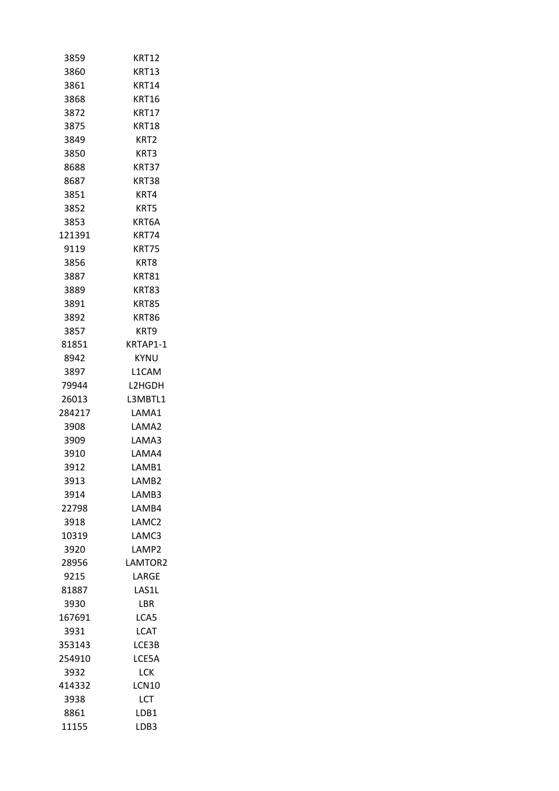| 3859   | <b>KRT12</b>      |  |
|--------|-------------------|--|
| 3860   | <b>KRT13</b>      |  |
| 3861   | KRT14             |  |
| 3868   | <b>KRT16</b>      |  |
| 3872   | <b>KRT17</b>      |  |
| 3875   | <b>KRT18</b>      |  |
| 3849   | KRT <sub>2</sub>  |  |
| 3850   | KRT3              |  |
| 8688   | KRT37             |  |
| 8687   | KRT38             |  |
| 3851   | KRT4              |  |
| 3852   | KRT5              |  |
| 3853   | KRT6A             |  |
| 121391 | KRT74             |  |
| 9119   | <b>KRT75</b>      |  |
| 3856   | KRT8              |  |
| 3887   | <b>KRT81</b>      |  |
| 3889   | KRT83             |  |
| 3891   | <b>KRT85</b>      |  |
| 3892   | <b>KRT86</b>      |  |
| 3857   | KRT9              |  |
| 81851  | KRTAP1-1          |  |
| 8942   | KYNU              |  |
| 3897   | L1CAM             |  |
| 79944  | L2HGDH            |  |
| 26013  | L3MBTL1           |  |
| 284217 | LAMA1             |  |
| 3908   | LAMA2             |  |
| 3909   | LAMA3             |  |
| 3910   | LAMA4             |  |
| 3912   | LAMB1             |  |
| 3913   | LAMB2             |  |
| 3914   | LAMB3             |  |
| 22798  | LAMB4             |  |
| 3918   | LAMC2             |  |
| 10319  | LAMC3             |  |
| 3920   | LAMP <sub>2</sub> |  |
| 28956  | LAMTOR2           |  |
| 9215   | LARGE             |  |
| 81887  | LAS1L             |  |
| 3930   | LBR               |  |
| 167691 | LCA5              |  |
| 3931   | <b>LCAT</b>       |  |
| 353143 | LCE3B             |  |
| 254910 | LCE5A             |  |
| 3932   | <b>LCK</b>        |  |
| 414332 | LCN10             |  |
| 3938   | LCT               |  |
| 8861   | LDB1              |  |
| 11155  | LDB3              |  |
|        |                   |  |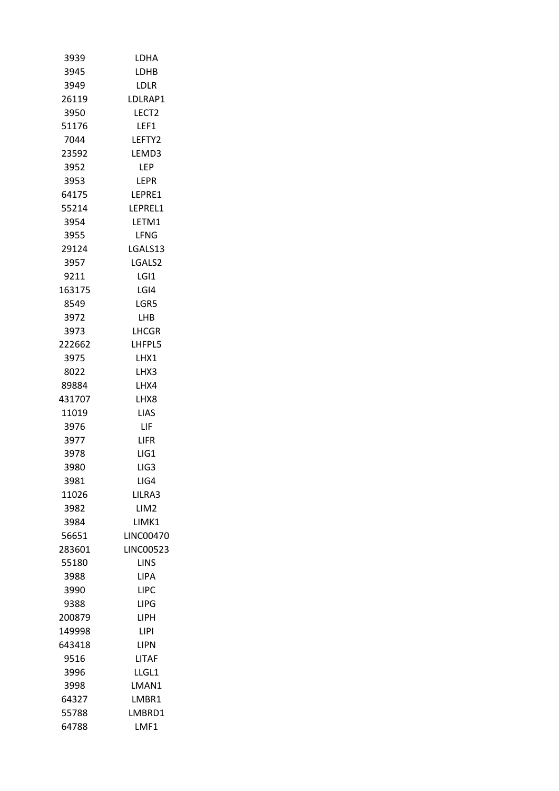| 3939   | LDHA             |
|--------|------------------|
| 3945   | LDHB             |
| 3949   | LDLR             |
| 26119  | LDLRAP1          |
| 3950   | LECT2            |
| 51176  | LEF1             |
| 7044   | LEFTY2           |
| 23592  | LEMD3            |
| 3952   | LEP              |
| 3953   | <b>LEPR</b>      |
| 64175  | LEPRE1           |
| 55214  | LEPREL1          |
| 3954   | LETM1            |
| 3955   | LFNG             |
| 29124  | LGALS13          |
| 3957   | LGALS2           |
| 9211   | LGI1             |
| 163175 | LGI4             |
| 8549   | LGR5             |
| 3972   | LHB              |
| 3973   | LHCGR            |
| 222662 | LHFPL5           |
| 3975   | LHX1             |
| 8022   | LHX3             |
| 89884  | LHX4             |
| 431707 | LHX8             |
| 11019  | LIAS             |
| 3976   | LIF              |
| 3977   | <b>LIFR</b>      |
| 3978   | LIG1             |
| 3980   | LIG3             |
| 3981   | LIG4             |
| 11026  | LILRA3           |
| 3982   | LIM <sub>2</sub> |
| 3984   | LIMK1            |
| 56651  | <b>LINC00470</b> |
| 283601 | <b>LINC00523</b> |
| 55180  | <b>LINS</b>      |
| 3988   | LIPA             |
| 3990   | LIPC             |
| 9388   | LIPG             |
| 200879 | <b>LIPH</b>      |
| 149998 | LIPI             |
| 643418 | LIPN             |
| 9516   | LITAF            |
| 3996   | LLGL1            |
| 3998   | LMAN1            |
| 64327  | LMBR1            |
| 55788  | LMBRD1           |
| 64788  | LMF1             |
|        |                  |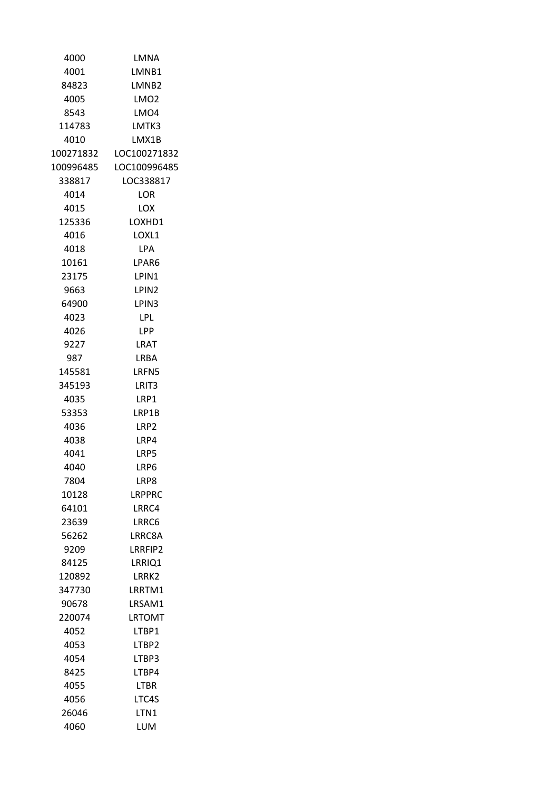| 4000      | LMNA              |
|-----------|-------------------|
| 4001      | LMNB1             |
| 84823     | LMNB <sub>2</sub> |
| 4005      | LMO2              |
| 8543      | LMO4              |
| 114783    | LMTK3             |
| 4010      | LMX1B             |
| 100271832 | LOC100271832      |
| 100996485 | LOC100996485      |
| 338817    | LOC338817         |
| 4014      | LOR               |
| 4015      | LOX               |
| 125336    | LOXHD1            |
| 4016      | LOXL1             |
| 4018      | <b>LPA</b>        |
| 10161     | LPAR6             |
| 23175     | LPIN1             |
| 9663      | LPIN <sub>2</sub> |
| 64900     | LPIN3             |
| 4023      | LPL               |
| 4026      | LPP               |
| 9227      | LRAT              |
| 987       | LRBA              |
| 145581    | LRFN5             |
| 345193    | LRIT3             |
| 4035      | LRP1              |
| 53353     | LRP1B             |
| 4036      | LRP2              |
| 4038      | LRP4              |
| 4041      | LRP5              |
| 4040      | I RP6             |
| 7804      | LRP8              |
| 10128     | LRPPRC            |
| 64101     | LRRC4             |
| 23639     | LRRC6             |
| 56262     | LRRC8A            |
| 9209      | LRRFIP2           |
| 84125     | LRRIQ1            |
| 120892    | LRRK2             |
| 347730    | LRRTM1            |
| 90678     | LRSAM1            |
| 220074    | LRTOMT            |
| 4052      | LTBP1             |
| 4053      | LTBP2             |
| 4054      | LTBP3             |
| 8425      | LTBP4             |
| 4055      | LTBR              |
| 4056      | LTC4S             |
| 26046     | LTN1              |
| 4060      | LUM               |
|           |                   |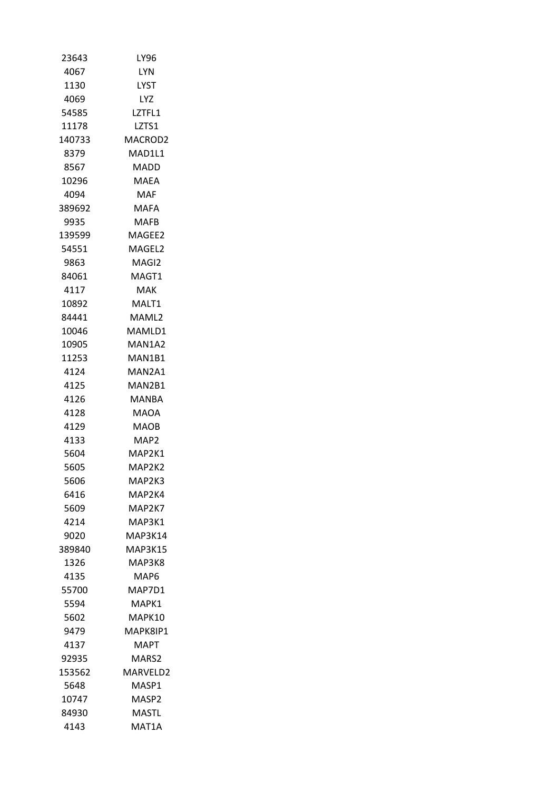| 23643  | LY96               |
|--------|--------------------|
| 4067   | LYN                |
| 1130   | LYST               |
| 4069   | LYZ.               |
| 54585  | LZTFL1             |
| 11178  | LZTS1              |
| 140733 | MACROD2            |
| 8379   | MAD1L1             |
| 8567   | MADD               |
| 10296  | <b>MAEA</b>        |
| 4094   | MAF                |
| 389692 | MAFA               |
| 9935   | MAFB               |
| 139599 | MAGEE2             |
| 54551  | MAGFL <sub>2</sub> |
| 9863   | MAGI2              |
| 84061  | MAGT1              |
| 4117   | MAK                |
| 10892  | MALT1              |
| 84441  | MAML2              |
| 10046  | MAMLD1             |
| 10905  | MAN1A2             |
| 11253  | MAN1B1             |
| 4124   | MAN2A1             |
| 4125   | MAN2B1             |
| 4126   | MANBA              |
| 4128   | MAOA               |
| 4129   | MAOB               |
| 4133   | MAP2               |
| 5604   | MAP2K1             |
| 5605   | MAP2K2             |
| 5606   | MAP2K3             |
| 6416   | MAP2K4             |
| 5609   | MAP2K7             |
| 4214   | MAP3K1             |
| 9020   | MAP3K14            |
| 389840 | <b>MAP3K15</b>     |
| 1326   | MAP3K8             |
| 4135   | MAP6               |
| 55700  | MAP7D1             |
| 5594   | MAPK1              |
| 5602   | MAPK10             |
| 9479   | MAPK8IP1           |
| 4137   | MAPT.              |
| 92935  | MARS2              |
| 153562 | MARVELD2           |
| 5648   | MASP1              |
| 10747  | MASP <sub>2</sub>  |
| 84930  | MASTL              |
| 4143   | MAT1A              |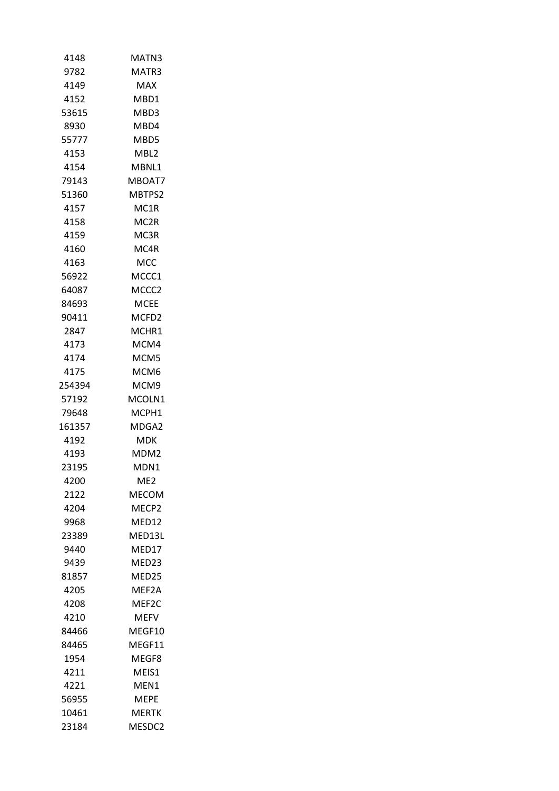| MATN3             |
|-------------------|
| MATR3             |
| MAX               |
| MBD1              |
| MBD3              |
| MBD4              |
| MBD5              |
| MBL2              |
| MBNL1             |
| MBOAT7            |
| MBTPS2            |
| MC1R              |
| MC2R              |
| MC3R              |
| MC4R              |
| мсс               |
| MCCC1             |
| MCCC2             |
| MCEE              |
| MCFD <sub>2</sub> |
| MCHR1             |
| MCM4              |
| MCM5              |
| MCM6              |
| MCM9              |
| MCOLN1            |
| MCPH1             |
| MDGA2             |
| MDK               |
| MDM2              |
| MDN1              |
| ME <sub>2</sub>   |
| MECOM             |
| MECP2             |
| MED12             |
| MED13L            |
| MED17             |
| MED23             |
| MED <sub>25</sub> |
| MEF2A             |
| MEF2C             |
| MEFV              |
| MEGF10            |
| MEGF11            |
| MEGF8             |
| MEIS1             |
| MEN1              |
| MEPE              |
| MERTK             |
| MESDC2            |
|                   |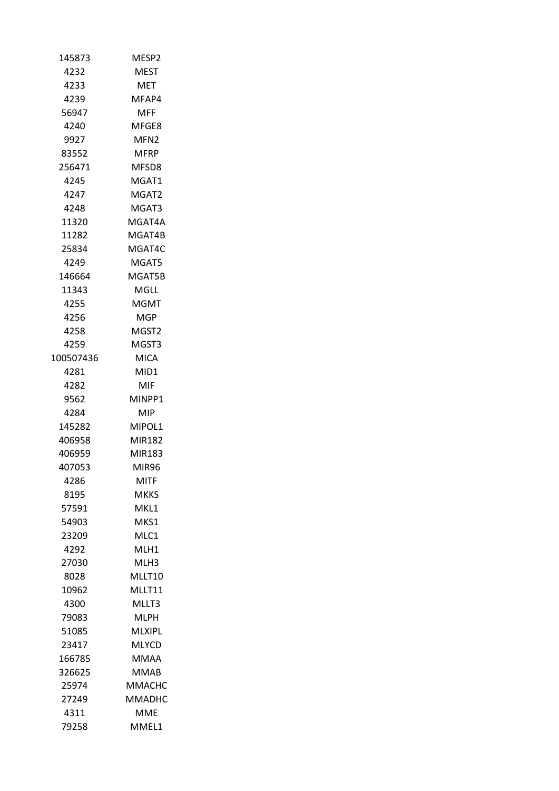| 145873    | MESP2            |
|-----------|------------------|
| 4232      | <b>MEST</b>      |
| 4233      | MET              |
| 4239      | MFAP4            |
| 56947     | MFF              |
| 4240      | MFGE8            |
| 9927      | MFN <sub>2</sub> |
| 83552     | MFRP             |
| 256471    | MFSD8            |
| 4245      | MGAT1            |
| 4247      | MGAT2            |
| 4248      | MGAT3            |
| 11320     | MGAT4A           |
| 11282     | MGAT4B           |
| 25834     | MGAT4C           |
| 4249      | MGAT5            |
| 146664    | MGAT5B           |
| 11343     | MGLL             |
| 4255      | MGMT             |
| 4256      | MGP.             |
| 4258      | MGST2            |
| 4259      | MGST3            |
| 100507436 | <b>MICA</b>      |
| 4281      | MID1             |
| 4282      | MIF              |
| 9562      | MINPP1           |
| 4284      | MIP.             |
| 145282    | MIPOL1           |
| 406958    | MIR182           |
| 406959    | MIR183           |
| 407053    | MIR96            |
| 4286      | MITF             |
| 8195      | MKKS             |
| 57591     | MKL1             |
| 54903     | MKS1             |
| 23209     | MLC1             |
| 4292      | MLH1             |
| 27030     | MLH3             |
| 8028      | MLLT10           |
| 10962     | <b>MILT11</b>    |
| 4300      | MLLT3            |
| 79083     | MLPH             |
| 51085     | MLXIPL           |
| 23417     | <b>MLYCD</b>     |
| 166785    | MMAA             |
| 326625    | MMAB             |
| 25974     | MMACHC           |
| 27249     | MMADHC           |
| 4311      | MME              |
| 79258     | MMEL1            |
|           |                  |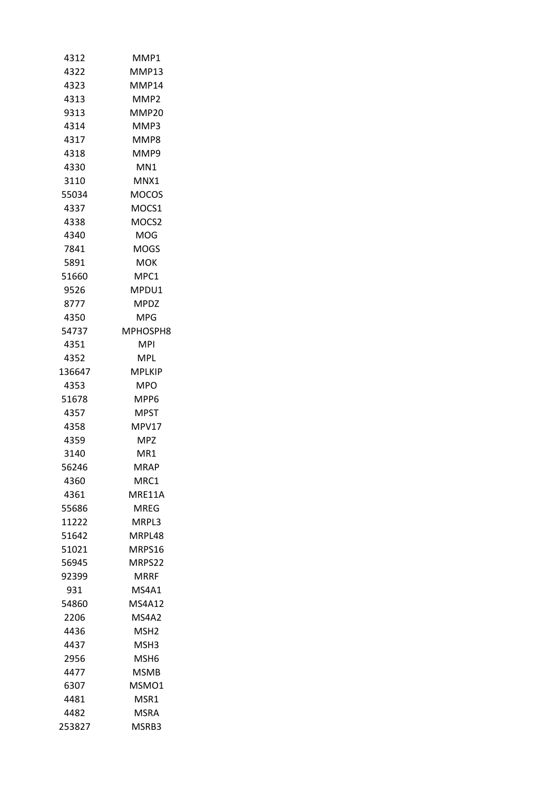| 4312   | MMP1          |
|--------|---------------|
| 4322   | MMP13         |
| 4323   | MMP14         |
| 4313   | MMP2          |
| 9313   | MMP20         |
| 4314   | MMP3          |
| 4317   | MMP8          |
| 4318   | MMP9          |
| 4330   | MN1           |
| 3110   | MNX1          |
| 55034  | MOCOS         |
| 4337   | MOCS1         |
| 4338   | MOCS2         |
| 4340   | MOG           |
| 7841   | MOGS          |
| 5891   | мок           |
| 51660  | MPC1          |
| 9526   | MPDU1         |
|        | <b>MPDZ</b>   |
| 8777   |               |
| 4350   | MPG.          |
| 54737  | MPHOSPH8      |
| 4351   | <b>MPI</b>    |
| 4352   | MPL           |
| 136647 | MPLKIP        |
| 4353   | MPO           |
| 51678  | MPP6          |
| 4357   | <b>MPST</b>   |
| 4358   | MPV17         |
| 4359   | MPZ           |
| 3140   | MR1           |
| 56246  | MRAP          |
| 4360   | MRC1          |
| 4361   | MRE11A        |
| 55686  | MREG          |
| 11222  | MRPL3         |
| 51642  | MRPL48        |
| 51021  | MRPS16        |
| 56945  | MRPS22        |
| 92399  | MRRF          |
| 931    | MS4A1         |
| 54860  | <b>MS4A12</b> |
| 2206   | MS4A2         |
| 4436   | MSH2          |
| 4437   | MSH3          |
| 2956   | MSH6          |
| 4477   | <b>MSMB</b>   |
| 6307   | MSMO1         |
| 4481   | MSR1          |
| 4482   | MSRA          |
| 253827 | MSRB3         |
|        |               |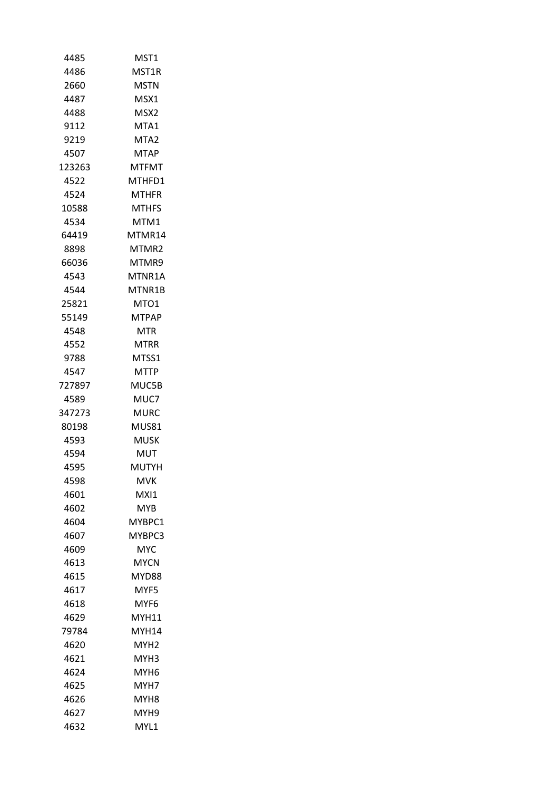| MST1              |
|-------------------|
| MST1R             |
| MSTN              |
| MSX1              |
| MSX2              |
| MTA1              |
| MTA2              |
| <b>MTAP</b>       |
| <b>MTFMT</b>      |
| MTHFD1            |
| MTHFR             |
| MTHFS             |
| MTM1              |
| MTMR14            |
| MTMR <sub>2</sub> |
| MTMR9             |
| MTNR1A            |
| MTNR1B            |
| MTO1              |
| <b>MTPAP</b>      |
| <b>MTR</b>        |
| MTRR              |
| MTSS1             |
| <b>MTTP</b>       |
| MUC5B             |
| MUC7              |
| MURC              |
| MUS81             |
| MUSK              |
| MUT               |
| MUTYH             |
| MVK               |
| MXI1              |
| MYB               |
| MYBPC1            |
| MYBPC3            |
| MYC               |
| MYCN              |
| MYD88             |
| MYF5              |
| MYF6              |
| MYH11             |
| MYH14             |
| MYH2              |
| MYH3              |
| MYH6              |
| MYH7              |
| MYH8              |
| MYH9              |
| MYL1              |
|                   |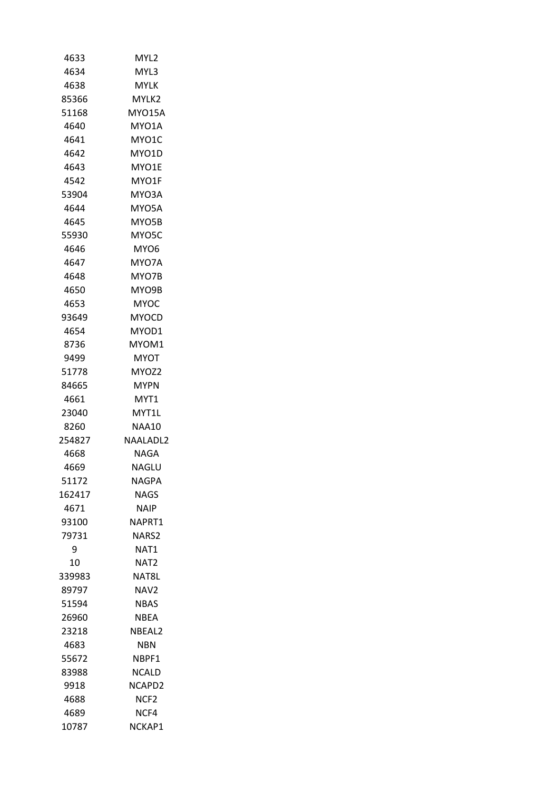| 4633   | MYL2             |
|--------|------------------|
| 4634   | MYL3             |
| 4638   | MYLK             |
| 85366  | MYLK2            |
| 51168  | <b>MYO15A</b>    |
| 4640   | MYO1A            |
| 4641   | MYO1C            |
| 4642   | MYO1D            |
| 4643   | MYO1E            |
| 4542   | MYO1F            |
| 53904  | MYO3A            |
| 4644   | MYO5A            |
| 4645   | MYO5B            |
| 55930  | MYO5C            |
| 4646   | MYO6             |
| 4647   | MYO7A            |
| 4648   | MYO7B            |
| 4650   | MYO9B            |
| 4653   | MYOC             |
| 93649  | <b>MYOCD</b>     |
| 4654   | MYOD1            |
| 8736   | MYOM1            |
| 9499   | MYOT             |
| 51778  | MYOZ2            |
| 84665  | <b>MYPN</b>      |
| 4661   | MYT1             |
| 23040  | MYT1L            |
| 8260   | NAA10            |
| 254827 | <b>NAALADL2</b>  |
| 4668   | NAGA             |
| 4669   | NAGLU            |
| 51172  | NAGPA            |
| 162417 | <b>NAGS</b>      |
| 4671   | NAIP             |
| 93100  | NAPRT1           |
| 79731  | NARS2            |
| 9      | NAT <sub>1</sub> |
| 10     | NAT2             |
| 339983 | NAT8L            |
| 89797  | NAV <sub>2</sub> |
| 51594  | <b>NBAS</b>      |
| 26960  | NBEA             |
| 23218  | NBEAL2           |
| 4683   | NBN              |
| 55672  | NBPF1            |
| 83988  | NCALD            |
| 9918   | NCAPD2           |
| 4688   | NCF <sub>2</sub> |
| 4689   | NCF4             |
| 10787  | NCKAP1           |
|        |                  |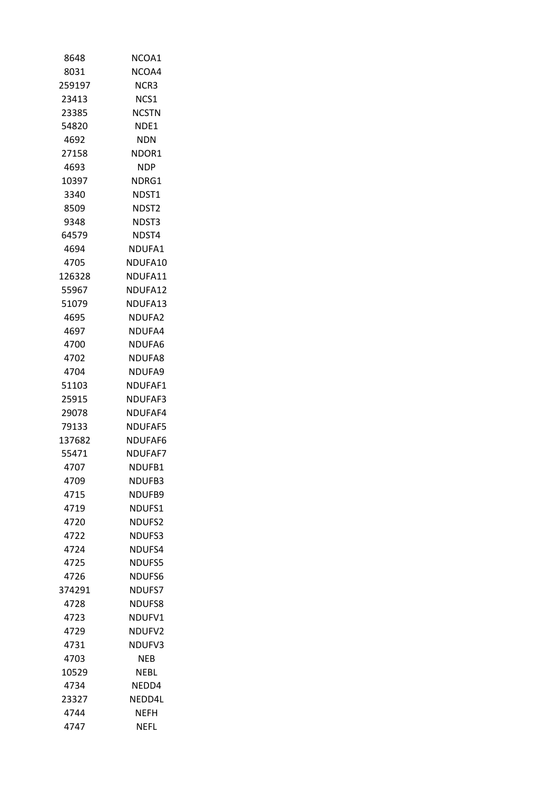| 8648   | NCOA1              |
|--------|--------------------|
| 8031   | NCOA4              |
| 259197 | NCR3               |
| 23413  | NCS1               |
| 23385  | <b>NCSTN</b>       |
| 54820  | NDE1               |
| 4692   | <b>NDN</b>         |
| 27158  | NDOR1              |
| 4693   | <b>NDP</b>         |
| 10397  | NDRG1              |
| 3340   | NDST1              |
| 8509   | NDST2              |
| 9348   | NDST3              |
| 64579  | NDST4              |
| 4694   | NDUFA1             |
| 4705   | NDUFA10            |
| 126328 | NDUFA11            |
| 55967  | NDUFA12            |
| 51079  | NDUFA13            |
| 4695   | NDUFA <sub>2</sub> |
| 4697   | NDUFA4             |
| 4700   | NDUFA6             |
| 4702   | NDUFA8             |
| 4704   | NDUFA9             |
| 51103  | NDUFAF1            |
| 25915  | NDUFAF3            |
| 29078  | NDUFAF4            |
| 79133  | <b>NDUFAF5</b>     |
| 137682 | NDUFAF6            |
| 55471  | <b>NDUFAF7</b>     |
| 4707   | NDUFB1             |
| 4709   | NDUFB3             |
| 4715   | NDUFB9             |
| 4719   | NDUFS1             |
| 4720   | <b>NDUFS2</b>      |
| 4722   | NDUFS3             |
| 4724   | NDUFS4             |
| 4725   | <b>NDUFS5</b>      |
| 4726   | NDUFS6             |
| 374291 | <b>NDUFS7</b>      |
| 4728   | NDUFS8             |
| 4723   | NDUFV1             |
| 4729   | NDUFV2             |
| 4731   | NDUFV3             |
| 4703   | NEB                |
| 10529  | NEBL               |
| 4734   | NEDD4              |
| 23327  | NEDD4L             |
| 4744   | NEFH               |
| 4747   | NEFL               |
|        |                    |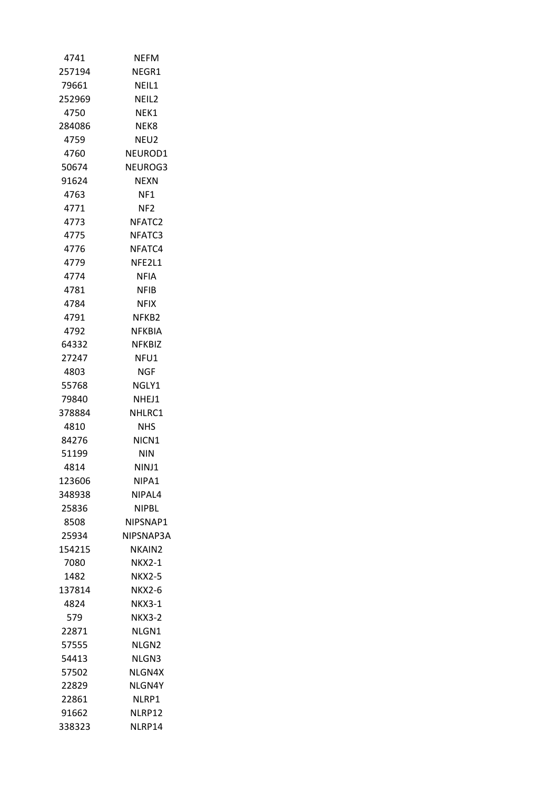| 4741   | <b>NEFM</b>       |
|--------|-------------------|
| 257194 | NEGR1             |
| 79661  | NEIL1             |
| 252969 | NEIL2             |
| 4750   | NEK1              |
| 284086 | NEK8              |
| 4759   | NEU2              |
| 4760   | NEUROD1           |
| 50674  | NEUROG3           |
| 91624  | <b>NFXN</b>       |
| 4763   | NF1               |
| 4771   | NF2               |
| 4773   | NFATC2            |
| 4775   | NFATC3            |
| 4776   | NFATC4            |
| 4779   | NFE2L1            |
| 4774   | NFIA              |
| 4781   | NFIB              |
| 4784   | NFIX              |
| 4791   | NFKB2             |
| 4792   | NFKBIA            |
| 64332  | <b>NFKBIZ</b>     |
| 27247  | NFU1              |
| 4803   | NGF               |
| 55768  | NGLY1             |
| 79840  | NHEJ1             |
| 378884 | NHLRC1            |
| 4810   | NHS               |
| 84276  | NICN <sub>1</sub> |
| 51199  | NIN               |
| 4814   | NINJ1             |
| 123606 | NIPA1             |
| 348938 | NIPAL4            |
| 25836  | NIPBL             |
| 8508   | NIPSNAP1          |
| 25934  | NIPSNAP3A         |
| 154215 | NKAIN2            |
| 7080   | NKX2-1            |
| 1482   | <b>NKX2-5</b>     |
| 137814 | <b>NKX2-6</b>     |
| 4824   | <b>NKX3-1</b>     |
| 579    | <b>NKX3-2</b>     |
| 22871  | NLGN1             |
| 57555  | NLGN <sub>2</sub> |
| 54413  | NLGN3             |
| 57502  | NLGN4X            |
| 22829  | NLGN4Y            |
| 22861  | NLRP1             |
| 91662  | NLRP12            |
| 338323 | NLRP14            |
|        |                   |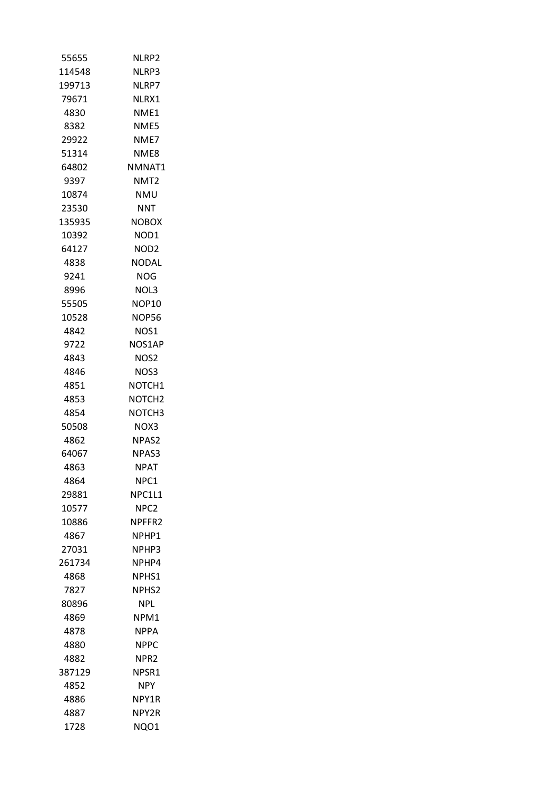| 55655  | NLRP2              |
|--------|--------------------|
| 114548 | NLRP3              |
| 199713 | NLRP7              |
| 79671  | NLRX1              |
| 4830   | NME1               |
| 8382   | NME5               |
| 29922  | NME7               |
| 51314  | NME8               |
| 64802  | NMNAT1             |
| 9397   | NMT2               |
| 10874  | <b>NMU</b>         |
| 23530  | <b>NNT</b>         |
| 135935 | <b>NOBOX</b>       |
| 10392  | NOD1               |
| 64127  | NOD <sub>2</sub>   |
| 4838   | NODAL              |
| 9241   | NOG                |
| 8996   | NOL3               |
| 55505  | <b>NOP10</b>       |
| 10528  | <b>NOP56</b>       |
| 4842   | NOS1               |
| 9722   | NOS1AP             |
| 4843   | NOS2               |
| 4846   | NOS3               |
| 4851   | NOTCH <sub>1</sub> |
| 4853   | NOTCH <sub>2</sub> |
| 4854   | NOTCH3             |
| 50508  | NOX3               |
| 4862   | NPAS <sub>2</sub>  |
| 64067  | NPAS3              |
| 4863   | NPAT               |
| 4864   | NPC1               |
| 29881  | NPC1L1             |
| 10577  | NPC <sub>2</sub>   |
| 10886  | NPFFR <sub>2</sub> |
| 4867   | NPHP1              |
| 27031  | NPHP3              |
| 261734 | NPHP4              |
| 4868   | NPHS1              |
| 7827   | <b>NPHS2</b>       |
| 80896  | <b>NPL</b>         |
| 4869   | NPM1               |
| 4878   | NPPA               |
| 4880   | NPPC               |
| 4882   | NPR <sub>2</sub>   |
| 387129 | NPSR1              |
| 4852   | <b>NPY</b>         |
| 4886   | NPY1R              |
| 4887   | NPY2R              |
| 1728   | NQO1               |
|        |                    |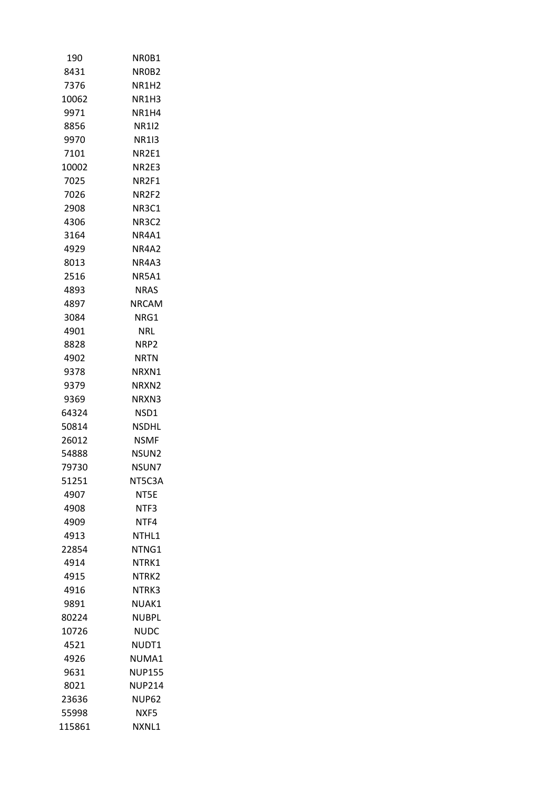| 190    | NR0B1             |
|--------|-------------------|
| 8431   | NR0B2             |
| 7376   | NR1H2             |
| 10062  | NR1H3             |
| 9971   | NR1H4             |
| 8856   | <b>NR1I2</b>      |
| 9970   | NR113             |
| 7101   | NR2E1             |
| 10002  | NR2E3             |
| 7025   | NR2F1             |
| 7026   | NR <sub>2F2</sub> |
| 2908   | NR3C1             |
| 4306   | NR3C2             |
| 3164   | NR4A1             |
| 4929   | NR4A2             |
| 8013   | <b>NR4A3</b>      |
| 2516   | NR5A1             |
| 4893   | NRAS              |
| 4897   | <b>NRCAM</b>      |
| 3084   | NRG1              |
| 4901   | NRL               |
| 8828   | NRP2              |
| 4902   | NRTN              |
| 9378   | NRXN1             |
| 9379   | NRXN2             |
| 9369   | NRXN3             |
| 64324  | NSD1              |
| 50814  | NSDHL             |
| 26012  | <b>NSMF</b>       |
| 54888  | NSUN2             |
| 79730  | NSUN7             |
| 51251  | NT5C3A            |
| 4907   | NT5E              |
| 4908   | NTF3              |
| 4909   | NTF4              |
| 4913   | NTHL1             |
| 22854  | NTNG1             |
| 4914   | NTRK1             |
| 4915   | NTRK2             |
| 4916   | NTRK3             |
| 9891   | NUAK1             |
| 80224  | NUBPL             |
| 10726  | NUDC              |
| 4521   | NUDT1             |
| 4926   | NUMA1             |
| 9631   | <b>NUP155</b>     |
| 8021   | <b>NUP214</b>     |
| 23636  | <b>NUP62</b>      |
| 55998  | NXF5              |
| 115861 | NXNL1             |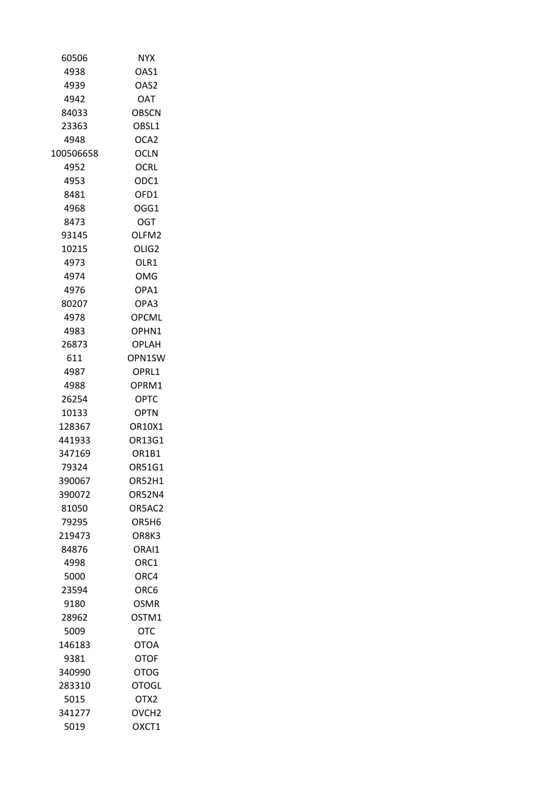| 60506     | <b>NYX</b>                     |
|-----------|--------------------------------|
| 4938      | OAS1                           |
| 4939      | OAS2                           |
| 4942      | <b>DAO</b>                     |
| 84033     | <b>OBSCN</b>                   |
| 23363     | OBSL1                          |
| 4948      | OCA2                           |
| 100506658 | <b>OCLN</b>                    |
| 4952      | <b>OCRL</b>                    |
| 4953      | ODC1                           |
| 8481      | OFD1                           |
| 4968      | OGG1                           |
| 8473      | OGT                            |
| 93145     | OLFM2                          |
| 10215     | OLIG <sub>2</sub>              |
| 4973      | OLR1                           |
| 4974      | OMG                            |
| 4976      | OPA1                           |
| 80207     | OPA3                           |
| 4978      | <b>OPCML</b>                   |
| 4983      | OPHN1                          |
| 26873     | OPLAH                          |
| 611       | OPN1SW                         |
| 4987      | OPRL1                          |
| 4988      | OPRM1                          |
| 26254     | OPTC                           |
| 10133     | <b>OPTN</b>                    |
| 128367    | OR10X1                         |
| 441933    | OR13G1                         |
| 347169    | OR <sub>1</sub> B <sub>1</sub> |
| 79324     |                                |
| 390067    | OR51G1<br><b>OR52H1</b>        |
|           |                                |
| 390072    | <b>OR52N4</b>                  |
| 81050     | OR5AC2                         |
| 79295     | OR5H <sub>6</sub>              |
| 219473    | OR8K3                          |
| 84876     | ORAI1                          |
| 4998      | ORC1                           |
| 5000      | ORC4                           |
| 23594     | ORC6                           |
| 9180      | OSMR                           |
| 28962     | OSTM1                          |
| 5009      | отс                            |
| 146183    | OTOA                           |
| 9381      | <b>OTOF</b>                    |
| 340990    | OTOG                           |
| 283310    | OTOGL                          |
| 5015      | OTX2                           |
| 341277    | OVCH <sub>2</sub>              |
| 5019      | OXCT1                          |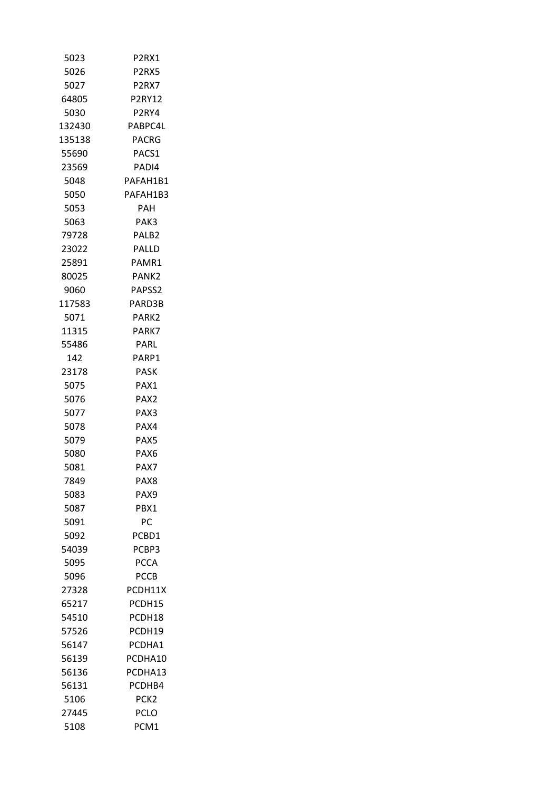| 5023   | P <sub>2</sub> RX1             |
|--------|--------------------------------|
| 5026   | P <sub>2</sub> RX <sub>5</sub> |
| 5027   | P2RX7                          |
| 64805  | <b>P2RY12</b>                  |
| 5030   | P <sub>2</sub> RY4             |
| 132430 | PABPC4L                        |
| 135138 | PACRG                          |
| 55690  | PACS1                          |
| 23569  | PADI4                          |
| 5048   | PAFAH1B1                       |
| 5050   | PAFAH1B3                       |
| 5053   | PAH                            |
| 5063   | PAK3                           |
| 79728  | PALB <sub>2</sub>              |
| 23022  | PALLD                          |
| 25891  | PAMR1                          |
| 80025  | PANK2                          |
| 9060   | PAPSS <sub>2</sub>             |
| 117583 | PARD3B                         |
| 5071   | PARK2                          |
| 11315  | PARK7                          |
| 55486  | PARL                           |
| 142.   | PARP1                          |
| 23178  | PASK                           |
| 5075   | PAX1                           |
| 5076   | PAX <sub>2</sub>               |
| 5077   | PAX3                           |
| 5078   | PAX4                           |
| 5079   | PAX5                           |
| 5080   | PAX6                           |
| 5081   | PAX7                           |
| 7849   | PAX8                           |
| 5083   | PAX9                           |
| 5087   | PBX1                           |
| 5091   | РC                             |
| 5092   | PCBD1                          |
| 54039  | PCBP3                          |
| 5095   | <b>PCCA</b>                    |
| 5096   | <b>PCCB</b>                    |
| 27328  | PCDH11X                        |
| 65217  | PCDH15                         |
| 54510  | PCDH18                         |
| 57526  | PCDH19                         |
| 56147  | PCDHA1                         |
| 56139  | PCDHA10                        |
| 56136  | PCDHA13                        |
| 56131  | PCDHB4                         |
| 5106   | PCK <sub>2</sub>               |
| 27445  | PCLO                           |
| 5108   | PCM1                           |
|        |                                |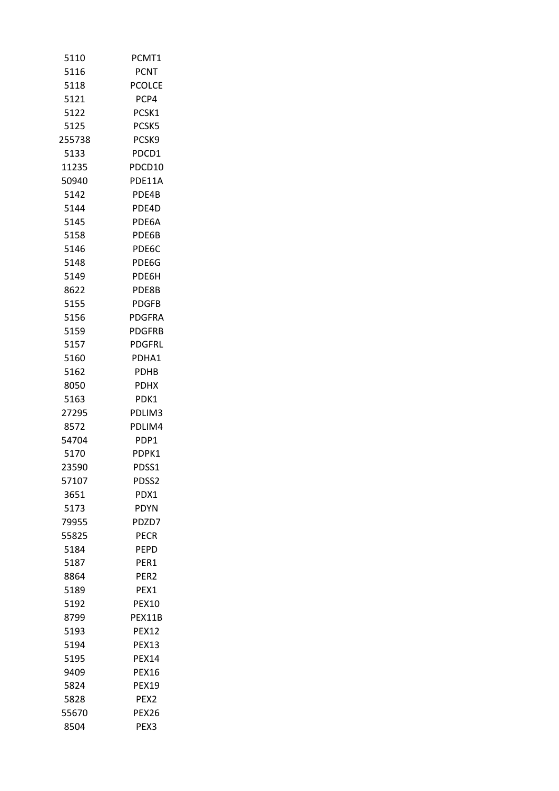| 5110   | PCMT1            |
|--------|------------------|
| 5116   | PCNT             |
| 5118   | <b>PCOLCE</b>    |
| 5121   | PCP4             |
| 5122   | PCSK1            |
| 5125   | PCSK5            |
| 255738 | PCSK9            |
| 5133   | PDCD1            |
| 11235  | PDCD10           |
| 50940  | PDE11A           |
| 5142   | PDE4B            |
| 5144   | PDE4D            |
| 5145   | PDE6A            |
| 5158   | PDE6B            |
| 5146   | PDF6C            |
| 5148   | PDE6G            |
| 5149   | PDE6H            |
| 8622   | PDE8B            |
| 5155   | <b>PDGFB</b>     |
| 5156   | <b>PDGFRA</b>    |
| 5159   | <b>PDGFRB</b>    |
| 5157   | <b>PDGFRL</b>    |
| 5160   | PDHA1            |
| 5162   | <b>PDHB</b>      |
| 8050   | <b>PDHX</b>      |
| 5163   | PDK1             |
| 27295  | PDLIM3           |
| 8572   | PDLIM4           |
| 54704  | PDP1             |
| 5170   | PDPK1            |
| 23590  | PDSS1            |
| 57107  | PDSS2            |
| 3651   | PDX1             |
| 5173   |                  |
|        | PDYN             |
| 79955  | PDZD7            |
| 55825  | PECR             |
| 5184   | <b>PEPD</b>      |
| 5187   | PER1             |
| 8864   | PER <sub>2</sub> |
| 5189   | PEX1             |
| 5192   | <b>PEX10</b>     |
| 8799   | PEX11B           |
| 5193   | <b>PEX12</b>     |
| 5194   | <b>PEX13</b>     |
| 5195   | <b>PEX14</b>     |
| 9409   | <b>PEX16</b>     |
| 5824   | <b>PEX19</b>     |
| 5828   | PEX <sub>2</sub> |
| 55670  | PEX26            |
| 8504   | PEX3             |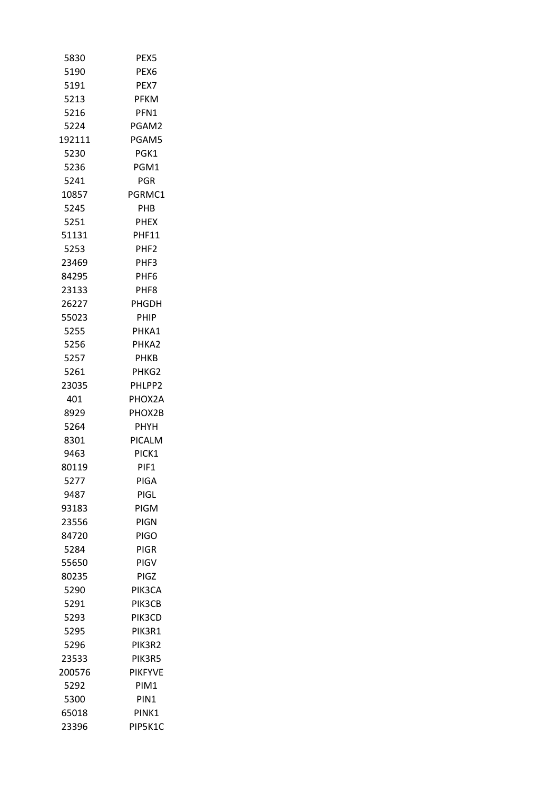| 5830   | PEX5             |  |
|--------|------------------|--|
| 5190   | PEX <sub>6</sub> |  |
| 5191   | PEX7             |  |
| 5213   | <b>PFKM</b>      |  |
| 5216   | PFN1             |  |
| 5224   | PGAM2            |  |
| 192111 | PGAM5            |  |
| 5230   | PGK1             |  |
| 5236   | PGM1             |  |
| 5241   | <b>PGR</b>       |  |
| 10857  | PGRMC1           |  |
| 5245   | PHB              |  |
| 5251   | <b>PHEX</b>      |  |
| 51131  | <b>PHF11</b>     |  |
| 5253   | PHF <sub>2</sub> |  |
| 23469  | PHF3             |  |
| 84295  | PHF6             |  |
| 23133  | PHF <sub>8</sub> |  |
| 26227  | PHGDH            |  |
| 55023  | PHIP             |  |
| 5255   | PHKA1            |  |
| 5256   | PHKA2            |  |
| 5257   | <b>PHKB</b>      |  |
| 5261   | PHKG2            |  |
| 23035  | PHLPP2           |  |
| 401    | PHOX2A           |  |
| 8929   | PHOX2B           |  |
| 5264   | <b>PHYH</b>      |  |
| 8301   | PICALM           |  |
| 9463   | PICK1            |  |
| 80119  | PIF1             |  |
| 5277   | PIGA             |  |
| 9487   | PIGL             |  |
| 93183  | PIGM             |  |
| 23556  | <b>PIGN</b>      |  |
| 84720  | <b>PIGO</b>      |  |
| 5284   | <b>PIGR</b>      |  |
| 55650  | PIGV             |  |
| 80235  | PIGZ             |  |
| 5290   | PIK3CA           |  |
| 5291   | PIK3CB           |  |
| 5293   | PIK3CD           |  |
| 5295   | PIK3R1           |  |
| 5296   | PIK3R2           |  |
| 23533  | PIK3R5           |  |
| 200576 | <b>PIKFYVE</b>   |  |
| 5292   | PIM1             |  |
| 5300   | PIN <sub>1</sub> |  |
| 65018  | PINK1            |  |
| 23396  | PIP5K1C          |  |
|        |                  |  |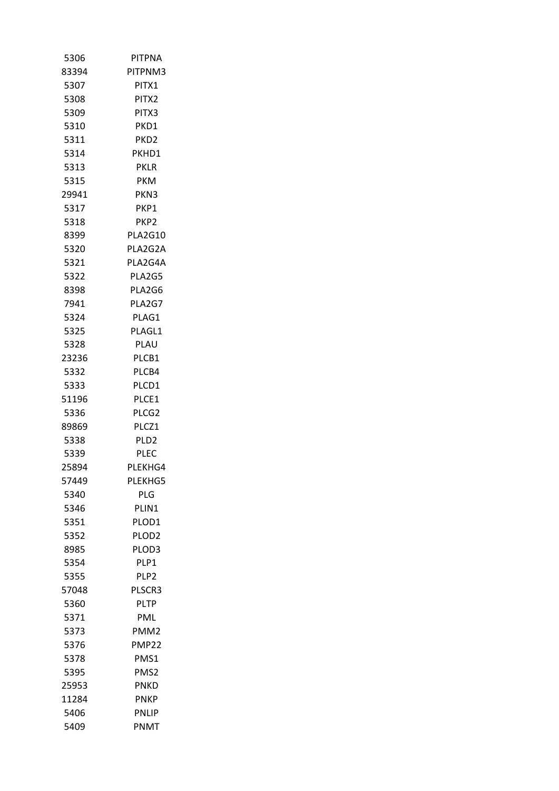| 5306          | PITPNA            |
|---------------|-------------------|
| 83394         | PITPNM3           |
| 5307          | PITX1             |
| 5308          | PITX2             |
| 5309          | PITX3             |
| 5310          | PKD1              |
| 5311          | PKD <sub>2</sub>  |
| 5314          | PKHD1             |
| 5313          | <b>PKLR</b>       |
| 5315          | <b>PKM</b>        |
| 29941         | PKN3              |
| 5317          | PKP1              |
| 5318          | PKP2              |
| 8399          | <b>PLA2G10</b>    |
| 5320          | PLA2G2A           |
| 5321          | PLA2G4A           |
| 5322          | PLA2G5            |
| 8398          | PLA2G6            |
| 7941          | PLA2G7            |
| 5324          | PLAG1             |
| 5325          | PLAGL1            |
| 5328          | PLAU              |
| 23236         | PLCB1             |
| 5332          | PLCB4             |
| 5333          | PLCD1             |
| 51196         | PLCE1             |
| 5336          | PLCG2             |
| 89869         | PLCZ1             |
| 5338          | PLD <sub>2</sub>  |
| 5339          | <b>PLEC</b>       |
| 25894         | PLEKHG4           |
| 57449         | PLEKHG5           |
| 5340          | PLG               |
| 5346          | PLIN1             |
| 5351          | PLOD <sub>1</sub> |
| 5352          | PLOD <sub>2</sub> |
| 8985          | PLOD3             |
| 5354          | PLP1              |
| 5355          | PLP <sub>2</sub>  |
| 57048         | PLSCR3            |
| 5360          | <b>PLTP</b>       |
| 5371          | PML               |
| 5373          | PMM2              |
| 5376          | <b>PMP22</b>      |
| 5378          | PMS1              |
|               | PMS <sub>2</sub>  |
| 5395<br>25953 | <b>PNKD</b>       |
|               |                   |
| 11284         | <b>PNKP</b>       |
| 5406          | <b>PNLIP</b>      |
| 5409          | PNMT              |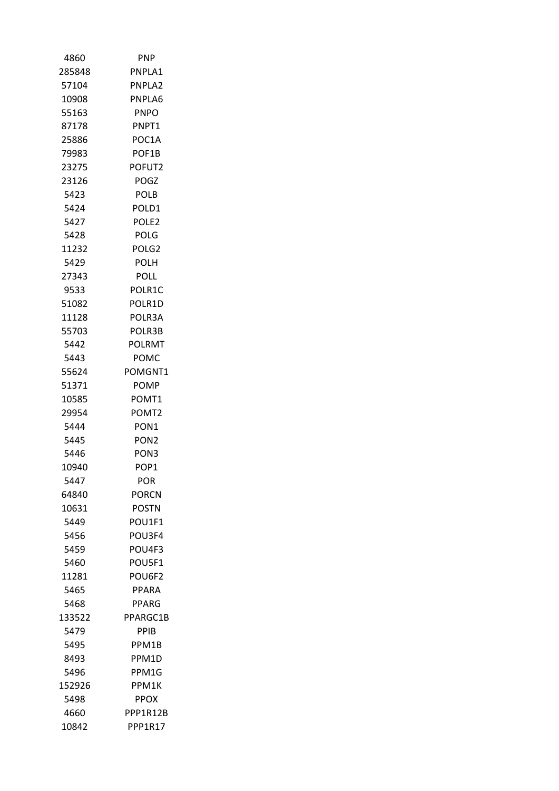| 4860   | <b>PNP</b>        |
|--------|-------------------|
| 285848 | PNPLA1            |
| 57104  | PNPLA2            |
| 10908  | PNPLA6            |
| 55163  | <b>PNPO</b>       |
| 87178  | PNPT1             |
| 25886  | POC1A             |
| 79983  | POF1B             |
| 23275  | POFUT2            |
| 23126  | POGZ              |
| 5423   | POLB              |
| 5424   | POLD1             |
| 5427   | POLE <sub>2</sub> |
| 5428   | POLG              |
| 11232  | POLG2             |
| 5429   | POLH              |
| 27343  | POLL              |
| 9533   | POLR1C            |
| 51082  | POLR1D            |
| 11128  | POLR3A            |
| 55703  | POLR3B            |
| 5442   | <b>POLRMT</b>     |
| 5443   | POMC              |
| 55624  | POMGNT1           |
| 51371  | POMP              |
| 10585  | POMT1             |
| 29954  | POMT2             |
| 5444   | PON <sub>1</sub>  |
| 5445   | PON <sub>2</sub>  |
| 5446   | PON <sub>3</sub>  |
| 10940  | POP1              |
| 5447   | POR               |
| 64840  | <b>PORCN</b>      |
| 10631  | <b>POSTN</b>      |
| 5449   | POU1F1            |
| 5456   | POU3F4            |
| 5459   | POU4F3            |
| 5460   | POU5F1            |
| 11281  | POU6F2            |
| 5465   | <b>PPARA</b>      |
| 5468   | PPARG             |
| 133522 | PPARGC1B          |
| 5479   | <b>PPIB</b>       |
| 5495   | PPM1B             |
| 8493   | PPM1D             |
| 5496   | PPM1G             |
| 152926 | PPM1K             |
| 5498   | <b>PPOX</b>       |
| 4660   | PPP1R12B          |
| 10842  | PPP1R17           |
|        |                   |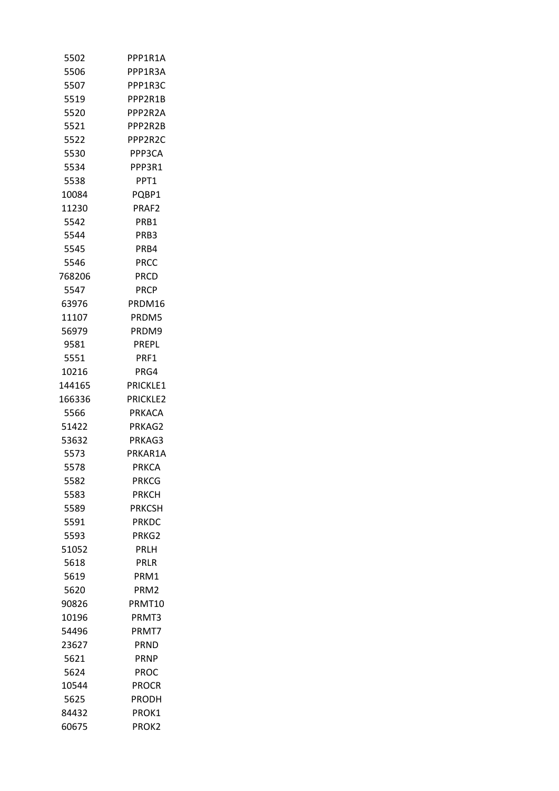| 5502   | PPP1R1A          |
|--------|------------------|
| 5506   | PPP1R3A          |
| 5507   | PPP1R3C          |
| 5519   | PPP2R1B          |
| 5520   | PPP2R2A          |
| 5521   | PPP2R2B          |
| 5522   | PPP2R2C          |
| 5530   | PPP3CA           |
| 5534   | PPP3R1           |
| 5538   | PPT1             |
| 10084  | PQBP1            |
| 11230  | PRAF2            |
| 5542   | PRB1             |
| 5544   | PRB3             |
| 5545   | PRB4             |
| 5546   | PRCC             |
| 768206 | PRCD             |
| 5547   | <b>PRCP</b>      |
| 63976  | PRDM16           |
| 11107  | PRDM5            |
| 56979  | PRDM9            |
| 9581   | PREPL            |
| 5551   | PRF1             |
| 10216  | PRG4             |
| 144165 | PRICKLE1         |
| 166336 | <b>PRICKLE2</b>  |
| 5566   | PRKACA           |
| 51422  | PRKAG2           |
| 53632  | PRKAG3           |
| 5573   | PRKAR1A          |
| 5578   | <b>PRKCA</b>     |
|        |                  |
| 5582   | <b>PRKCG</b>     |
| 5583   | PRKCH            |
| 5589   | <b>PRKCSH</b>    |
| 5591   | PRKDC            |
| 5593   | PRKG2            |
| 51052  | PRLH             |
| 5618   | PRLR             |
| 5619   | PRM1             |
| 5620   | PRM <sub>2</sub> |
| 90826  | PRMT10           |
| 10196  | PRMT3            |
| 54496  | PRMT7            |
| 23627  | <b>PRND</b>      |
| 5621   | <b>PRNP</b>      |
| 5624   | PROC             |
| 10544  | <b>PROCR</b>     |
| 5625   | PRODH            |
| 84432  | PROK1            |
| 60675  | PROK2            |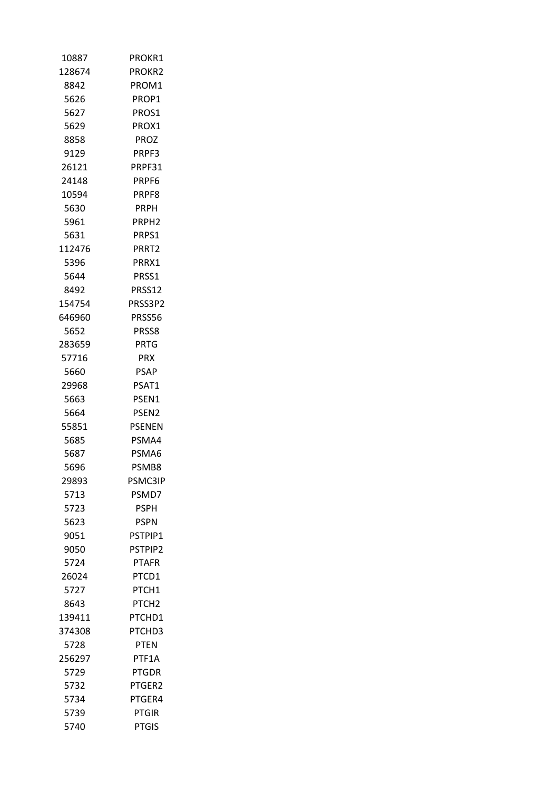| 10887  | PROKR1            |
|--------|-------------------|
| 128674 | <b>PROKR2</b>     |
| 8842   | PROM1             |
| 5626   | PROP1             |
| 5627   | PROS1             |
| 5629   | PROX1             |
| 8858   | <b>PROZ</b>       |
| 9129   | PRPF3             |
| 26121  | PRPF31            |
| 24148  | PRPF6             |
| 10594  | PRPF8             |
| 5630   | PRPH              |
| 5961   | PRPH <sub>2</sub> |
| 5631   | PRPS1             |
| 112476 | PRRT <sub>2</sub> |
| 5396   | PRRX1             |
| 5644   | PRSS1             |
| 8492   | PRSS12            |
| 154754 | PRSS3P2           |
| 646960 | PRSS56            |
| 5652   | PRSS8             |
| 283659 | <b>PRTG</b>       |
| 57716  | <b>PRX</b>        |
| 5660   | PSAP              |
| 29968  | PSAT1             |
| 5663   | PSEN1             |
| 5664   | PSEN <sub>2</sub> |
| 55851  | <b>PSENEN</b>     |
| 5685   | PSMA4             |
| 5687   | PSMA6             |
| 5696   | PSMB8             |
| 29893  | PSMC3IP           |
| 5713   | PSMD7             |
| 5723   | <b>PSPH</b>       |
| 5623   | PSPN              |
| 9051   | PSTPIP1           |
| 9050   | <b>PSTPIP2</b>    |
| 5724   | <b>PTAFR</b>      |
| 26024  | PTCD1             |
| 5727   | PTCH1             |
| 8643   | PTCH <sub>2</sub> |
| 139411 | PTCHD1            |
| 374308 | PTCHD3            |
| 5728   | <b>PTEN</b>       |
| 256297 | PTF1A             |
| 5729   | <b>PTGDR</b>      |
| 5732   | PTGER2            |
| 5734   | PTGER4            |
| 5739   | <b>PTGIR</b>      |
| 5740   | <b>PTGIS</b>      |
|        |                   |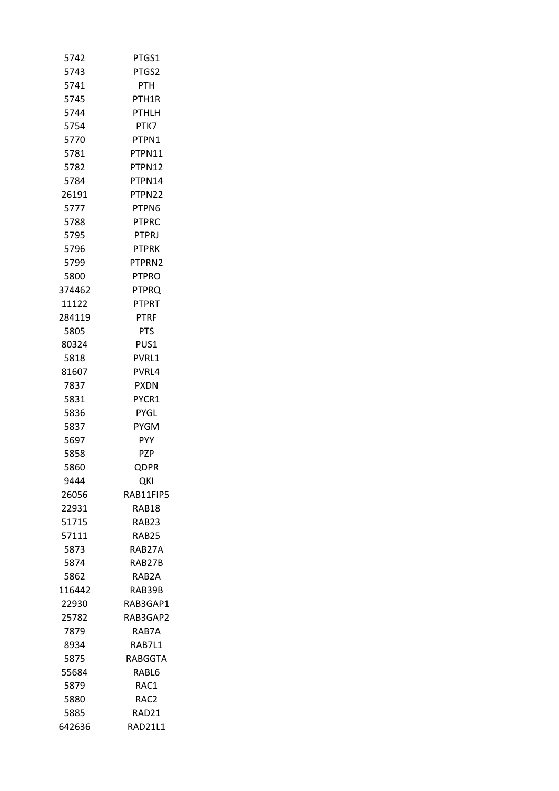| 5742   | PTGS1            |
|--------|------------------|
| 5743   | PTGS2            |
| 5741   | <b>PTH</b>       |
| 5745   | PTH1R            |
| 5744   | <b>PTHLH</b>     |
| 5754   | PTK7             |
| 5770   | PTPN1            |
| 5781   | PTPN11           |
| 5782   | PTPN12           |
| 5784   | PTPN14           |
| 26191  | PTPN22           |
| 5777   | PTPN6            |
| 5788   | <b>PTPRC</b>     |
| 5795   | <b>PTPRJ</b>     |
| 5796   | <b>PTPRK</b>     |
| 5799   | PTPRN2           |
| 5800   | <b>PTPRO</b>     |
| 374462 | PTPRO            |
| 11122  | PTPRT            |
| 284119 | <b>PTRF</b>      |
| 5805   | PTS              |
| 80324  | PUS1             |
| 5818   | PVRL1            |
| 81607  | PVRL4            |
| 7837   | <b>PXDN</b>      |
| 5831   | PYCR1            |
| 5836   | PYGL             |
| 5837   | <b>PYGM</b>      |
| 5697   | PYY              |
| 5858   | PZP              |
| 5860   | <b>QDPR</b>      |
| 9444   | QKI              |
| 26056  | RAB11FIP5        |
| 22931  | RAB18            |
| 51715  | RAB23            |
| 57111  | RAB25            |
| 5873   | RAB27A           |
| 5874   | RAB27B           |
| 5862   | RAB2A            |
| 116442 | RAB39B           |
| 22930  | RAB3GAP1         |
| 25782  | RAB3GAP2         |
| 7879   | RAB7A            |
| 8934   | RAB7L1           |
| 5875   | RABGGTA          |
| 55684  | RABL6            |
| 5879   | RAC1             |
| 5880   | RAC <sub>2</sub> |
| 5885   | RAD21            |
| 642636 | RAD21L1          |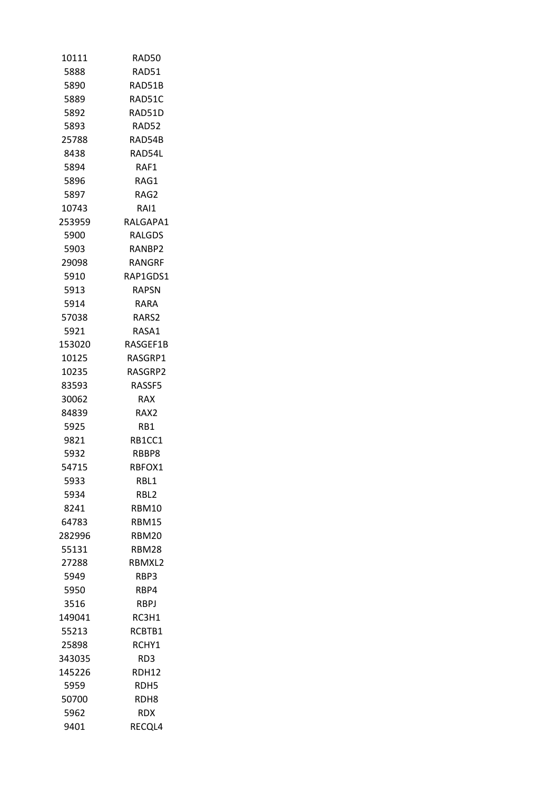| 10111  | RAD50        |
|--------|--------------|
| 5888   | RAD51        |
| 5890   | RAD51B       |
| 5889   | RAD51C       |
| 5892   | RAD51D       |
| 5893   | RAD52        |
| 25788  | RAD54B       |
| 8438   | RAD54L       |
| 5894   | RAF1         |
| 5896   | RAG1         |
| 5897   | RAG2         |
| 10743  | RAI1.        |
| 253959 | RALGAPA1     |
| 5900   | RALGDS       |
| 5903   | RANBP2       |
| 29098  | RANGRF       |
| 5910   | RAP1GDS1     |
| 5913   | RAPSN        |
| 5914   | RARA         |
| 57038  | RARS2        |
| 5921   | RASA1        |
| 153020 | RASGEF1B     |
| 10125  | RASGRP1      |
| 10235  | RASGRP2      |
| 83593  | RASSF5       |
| 30062  | RAX          |
| 84839  | RAX2         |
| 5925   | RB1          |
| 9821   | RB1CC1       |
| 5932   | RBBP8        |
| 54715  | RBFOX1       |
| 5933   | RBL1         |
| 5934   | RBL2         |
| 8241   | RBM10        |
| 64783  | RBM15        |
| 282996 | <b>RBM20</b> |
| 55131  | <b>RBM28</b> |
| 27288  | RBMXL2       |
|        |              |
| 5949   | RBP3         |
| 5950   | RBP4         |
| 3516   | RBPJ         |
| 149041 | RC3H1        |
| 55213  | RCBTB1       |
| 25898  | RCHY1        |
| 343035 | RD3          |
| 145226 | RDH12        |
| 5959   | RDH5         |
| 50700  | RDH8         |
| 5962   | RDX.         |
| 9401   | RECQL4       |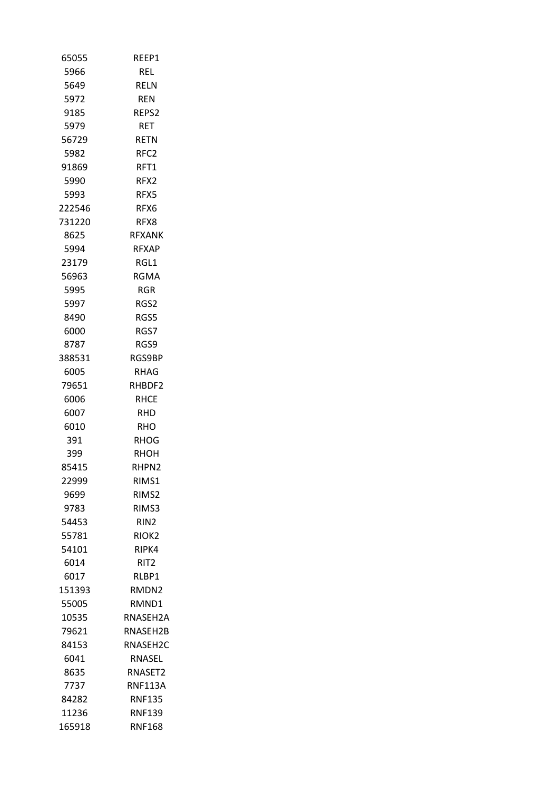| 65055  | REEP1             |
|--------|-------------------|
| 5966   | <b>REL</b>        |
| 5649   | RELN              |
| 5972   | <b>REN</b>        |
| 9185   | REPS2             |
| 5979   | RET               |
| 56729  | <b>RETN</b>       |
| 5982   | RFC <sub>2</sub>  |
| 91869  | RFT1              |
| 5990   | RFX2              |
| 5993   | RFX5              |
| 222546 | RFX6              |
| 731220 | RFX8              |
| 8625   | <b>RFXANK</b>     |
| 5994   | <b>RFXAP</b>      |
| 23179  | RGL1              |
| 56963  | RGMA              |
| 5995   | RGR               |
| 5997   | RGS2              |
| 8490   | RGS5              |
| 6000   | RGS7              |
| 8787   | RGS9              |
| 388531 | RGS9BP            |
| 6005   | RHAG              |
| 79651  | RHBDF2            |
| 6006   | <b>RHCE</b>       |
| 6007   | RHD               |
| 6010   | RHO               |
| 391    | RHOG              |
| 399    | RHOH              |
| 85415  | RHPN2             |
| 22999  | RIMS1             |
| 9699   | RIMS2             |
| 9783   | RIMS3             |
| 54453  | RIN2              |
| 55781  | RIOK <sub>2</sub> |
| 54101  | RIPK4             |
| 6014   | RIT2              |
| 6017   | RLBP1             |
| 151393 | RMDN2             |
| 55005  | RMND1             |
| 10535  | RNASEH2A          |
| 79621  | RNASEH2B          |
| 84153  | RNASEH2C          |
| 6041   | RNASEL            |
|        |                   |
| 8635   | RNASET2           |
| 7737   | RNF113A           |
| 84282  | <b>RNF135</b>     |
| 11236  | <b>RNF139</b>     |
| 165918 | <b>RNF168</b>     |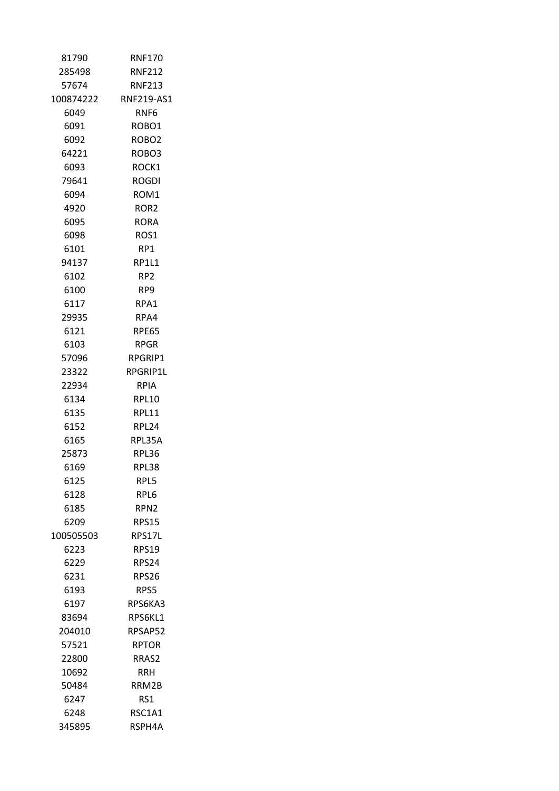| 81790     | <b>RNF170</b>     |
|-----------|-------------------|
| 285498    | <b>RNF212</b>     |
| 57674     | <b>RNF213</b>     |
| 100874222 | RNF219-AS1        |
| 6049      | RNF6              |
| 6091      | ROBO1             |
| 6092      | ROBO <sub>2</sub> |
| 64221     | ROBO3             |
| 6093      | ROCK1             |
| 79641     | <b>ROGDI</b>      |
| 6094      | ROM <sub>1</sub>  |
| 4920      | ROR2              |
| 6095      | RORA              |
| 6098      | ROS1              |
| 6101      | RP1               |
| 94137     | RP1L1             |
| 6102      | RP2.              |
| 6100      | RP9               |
| 6117      | RPA1              |
| 29935     | RPA4              |
| 6121      | <b>RPE65</b>      |
| 6103      | <b>RPGR</b>       |
| 57096     | RPGRIP1           |
| 23322     | RPGRIP1L          |
| 22934     | RPIA              |
| 6134      | <b>RPL10</b>      |
| 6135      | RPL11             |
| 6152      | RPL24             |
| 6165      | RPL35A            |
| 25873     | RPL36             |
| 6169      | RPL38             |
| 6125      | RPL5              |
| 6128      | RPL6              |
| 6185      | RPN2              |
| 6209      | <b>RPS15</b>      |
| 100505503 | RPS17L            |
| 6223      | <b>RPS19</b>      |
| 6229      | RPS24             |
| 6231      | <b>RPS26</b>      |
| 6193      | RPS5              |
| 6197      | RPS6KA3           |
| 83694     | RPS6KL1           |
| 204010    | RPSAP52           |
| 57521     | <b>RPTOR</b>      |
| 22800     | RRAS2             |
| 10692     | RRH               |
| 50484     | RRM2B             |
| 6247      | RS1               |
| 6248      | RSC1A1            |
| 345895    | RSPH4A            |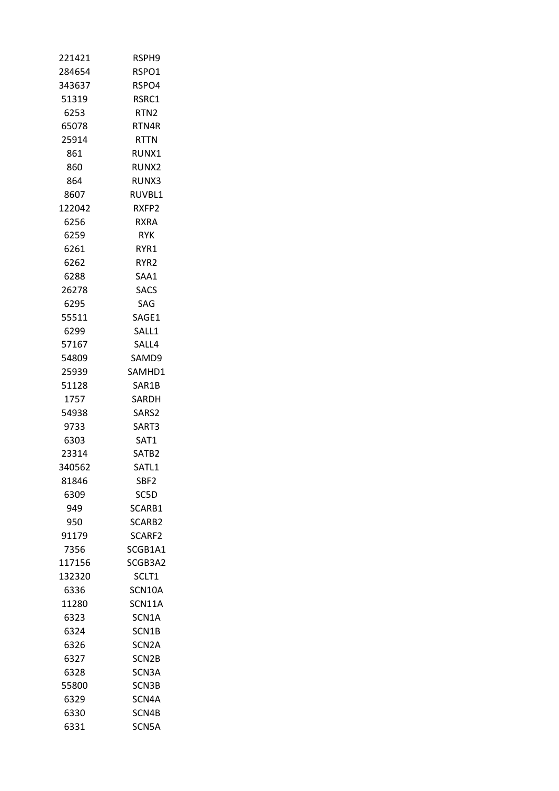| 221421 | RSPH9              |
|--------|--------------------|
| 284654 | RSPO1              |
| 343637 | RSPO4              |
| 51319  | RSRC1              |
| 6253   | RTN2               |
| 65078  | RTN4R              |
| 25914  | <b>RTTN</b>        |
| 861    | RUNX1              |
| 860    | RUNX <sub>2</sub>  |
| 864    | RUNX3              |
| 8607   | RUVBL1             |
| 122042 | RXFP2              |
| 6256   | RXRA               |
| 6259   | <b>RYK</b>         |
| 6261   | RYR1               |
| 6262   | RYR <sub>2</sub>   |
| 6288   | SAA1               |
| 26278  | <b>SACS</b>        |
| 6295   | SAG                |
| 55511  | SAGE1              |
| 6299   | SALL1              |
| 57167  | SALL4              |
| 54809  | SAMD9              |
| 25939  | SAMHD1             |
| 51128  | SAR1B              |
| 1757   | SARDH              |
| 54938  | SARS2              |
| 9733   | SART3              |
| 6303   | SAT1               |
| 23314  | SATB2              |
| 340562 | SATL1              |
| 81846  | SBF2               |
| 6309   | SC5D               |
| 949    | SCARB1             |
| 950    | SCARB2             |
| 91179  | SCARF <sub>2</sub> |
| 7356   | SCGB1A1            |
| 117156 | SCGB3A2            |
| 132320 | SCLT1              |
| 6336   | SCN10A             |
| 11280  | SCN11A             |
| 6323   | SCN1A              |
| 6324   | SCN1B              |
| 6326   | SCN <sub>2</sub> A |
| 6327   | SCN2B              |
| 6328   | SCN3A              |
| 55800  | SCN3B              |
| 6329   | SCN4A              |
| 6330   | SCN4B              |
| 6331   | SCN5A              |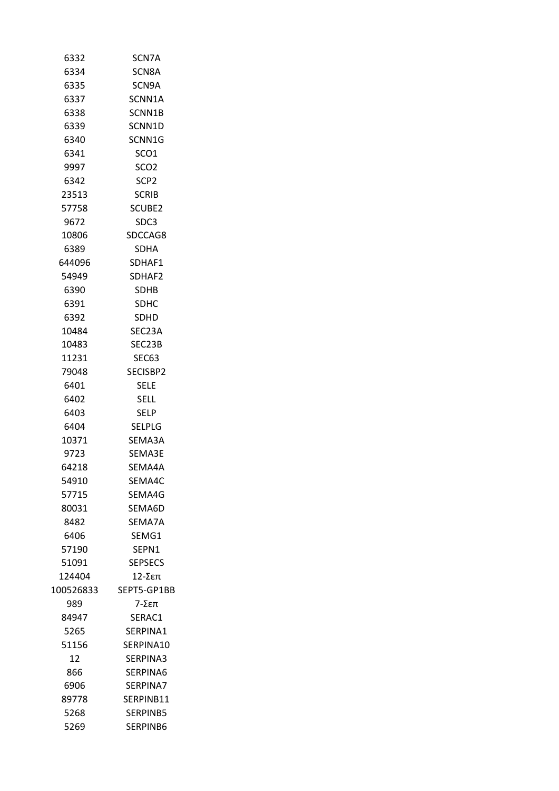| 6332      | SCN7A            |
|-----------|------------------|
| 6334      | SCN8A            |
| 6335      | SCN9A            |
| 6337      | SCNN1A           |
| 6338      | SCNN1B           |
| 6339      | SCNN1D           |
| 6340      | SCNN1G           |
| 6341      | SCO <sub>1</sub> |
| 9997      | SCO <sub>2</sub> |
| 6342      | SCP <sub>2</sub> |
| 23513     | <b>SCRIB</b>     |
| 57758     | SCUBE2           |
| 9672      | SDC3             |
| 10806     | SDCCAG8          |
| 6389      | <b>SDHA</b>      |
| 644096    | SDHAF1           |
| 54949     | SDHAF2           |
| 6390      | SDHB             |
| 6391      | <b>SDHC</b>      |
| 6392      | <b>SDHD</b>      |
| 10484     | SEC23A           |
| 10483     | SEC23B           |
| 11231     | SEC63            |
| 79048     | SECISBP2         |
| 6401      | SELE             |
| 6402      | SELL             |
| 6403      | <b>SELP</b>      |
| 6404      | <b>SELPLG</b>    |
| 10371     | SEMA3A           |
| 9723      | SEMA3E           |
| 64218     | SEMA4A           |
| 54910     | SEMA4C           |
| 57715     | SEMA4G           |
| 80031     | SEMA6D           |
| 8482      | SEMA7A           |
| 6406      | SEMG1            |
| 57190     | SEPN1            |
| 51091     | SEPSECS          |
| 124404    | 12-Σεπ           |
| 100526833 | SEPT5-GP1BB      |
| 989.      | 7-Σεπ            |
| 84947     | SERAC1           |
| 5265      | SERPINA1         |
| 51156     | SERPINA10        |
| 12        | SERPINA3         |
| 866       | SERPINA6         |
| 6906      | SERPINA7         |
| 89778     | SERPINB11        |
| 5268      | SERPINB5         |
| 5269      | SERPINB6         |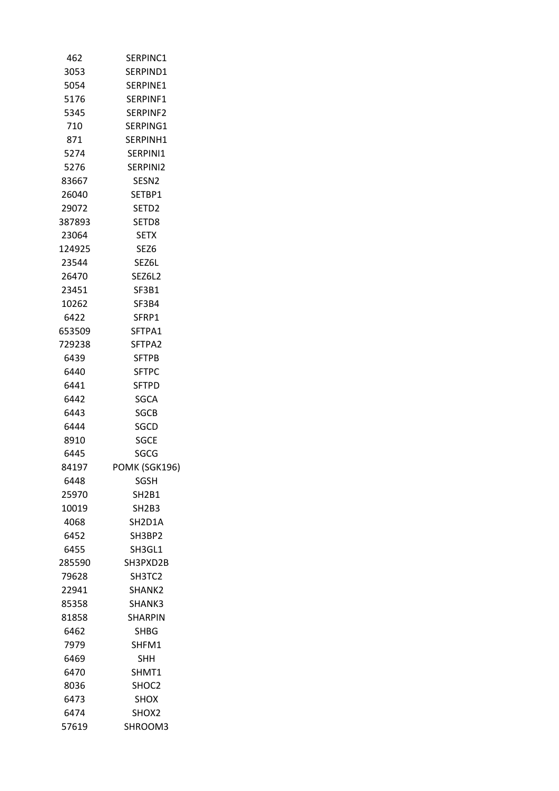| 462    | SERPINC1          |
|--------|-------------------|
| 3053   | SERPIND1          |
| 5054   | SERPINE1          |
| 5176   | SERPINF1          |
| 5345   | SERPINF2          |
| 710    | SERPING1          |
| 871    | SERPINH1          |
| 5274   | SERPINI1          |
| 5276   | SERPINI2          |
| 83667  | SESN <sub>2</sub> |
| 26040  | SETBP1            |
| 29072  | SETD <sub>2</sub> |
| 387893 | SETD8             |
| 23064  | <b>SETX</b>       |
| 124925 | SEZ <sub>6</sub>  |
| 23544  | SEZ6L             |
| 26470  | SEZ6L2            |
| 23451  | SF3B1             |
| 10262  | SF3B4             |
| 6422   | SFRP1             |
| 653509 | SFTPA1            |
| 729238 | SFTPA2            |
| 6439   | <b>SFTPB</b>      |
| 6440   | <b>SFTPC</b>      |
| 6441   | SFTPD             |
| 6442   | <b>SGCA</b>       |
| 6443   | <b>SGCB</b>       |
| 6444   |                   |
|        | SGCD              |
| 8910   | <b>SGCE</b>       |
| 6445   | SGCG              |
| 84197  | POMK (SGK196)     |
| 6448   | SGSH              |
| 25970  | <b>SH2B1</b>      |
| 10019  | SH2B3             |
| 4068   | SH2D1A            |
| 6452   | SH3BP2            |
| 6455   | SH3GL1            |
| 285590 | SH3PXD2B          |
| 79628  | SH3TC2            |
| 22941  | SHANK2            |
| 85358  | SHANK3            |
| 81858  | SHARPIN           |
| 6462   | SHBG              |
| 7979   | SHFM1             |
| 6469   | SHH               |
| 6470   | SHMT1             |
| 8036   | SHOC2             |
| 6473   | <b>SHOX</b>       |
| 6474   | SHOX2             |
| 57619  | SHROOM3           |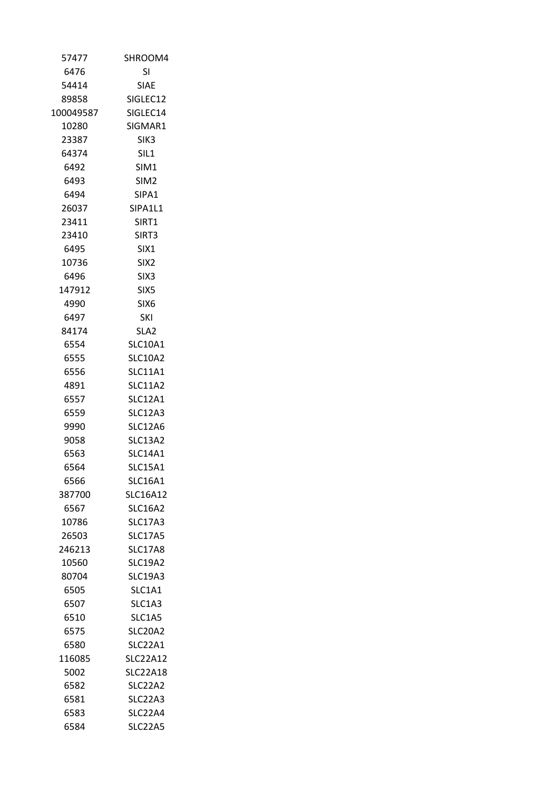| 57477     | SHROOM4          |
|-----------|------------------|
| 6476      | SI               |
| 54414     | SIAE             |
| 89858     | SIGLEC12         |
| 100049587 | SIGLEC14         |
| 10280     | SIGMAR1          |
| 23387     | SIK <sub>3</sub> |
| 64374     | SIL <sub>1</sub> |
| 6492      | SIM1             |
| 6493      | SIM <sub>2</sub> |
| 6494      | SIPA1            |
| 26037     | SIPA1L1          |
| 23411     | SIRT1            |
| 23410     | SIRT3            |
| 6495      | SIX1             |
| 10736     | SIX <sub>2</sub> |
| 6496      | SIX <sub>3</sub> |
| 147912    | SIX <sub>5</sub> |
| 4990      | SIX <sub>6</sub> |
| 6497      | SKI              |
| 84174     | SLA2             |
| 6554      | <b>SLC10A1</b>   |
| 6555      | <b>SLC10A2</b>   |
| 6556      | <b>SLC11A1</b>   |
| 4891      | <b>SLC11A2</b>   |
| 6557      | <b>SLC12A1</b>   |
| 6559      | SLC12A3          |
| 9990      | <b>SLC12A6</b>   |
| 9058      | SLC13A2          |
| 6563      | <b>SLC14A1</b>   |
| 6564      | <b>SLC15A1</b>   |
| 6566      | <b>SLC16A1</b>   |
| 387700    | <b>SLC16A12</b>  |
| 6567      | <b>SLC16A2</b>   |
| 10786     | <b>SLC17A3</b>   |
| 26503     | <b>SLC17A5</b>   |
| 246213    | <b>SLC17A8</b>   |
| 10560     | <b>SLC19A2</b>   |
| 80704     | <b>SLC19A3</b>   |
| 6505      | SLC1A1           |
| 6507      | SLC1A3           |
| 6510      | SLC1A5           |
| 6575      | <b>SLC20A2</b>   |
| 6580      | SLC22A1          |
| 116085    | <b>SLC22A12</b>  |
| 5002      | SLC22A18         |
| 6582      | SLC22A2          |
| 6581      | SLC22A3          |
| 6583      | SLC22A4          |
| 6584      | SLC22A5          |
|           |                  |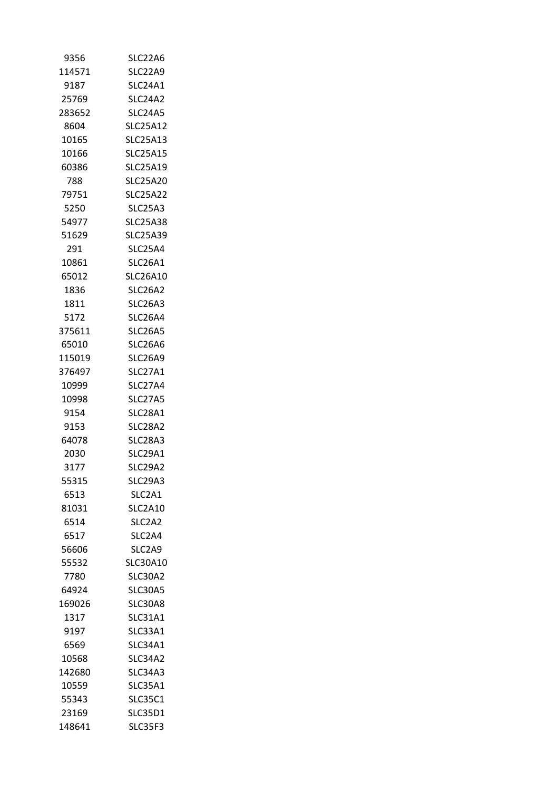|        | SLC22A6         |
|--------|-----------------|
| 114571 | SLC22A9         |
| 9187   | SLC24A1         |
| 25769  | SLC24A2         |
| 283652 | SLC24A5         |
| 8604   | <b>SLC25A12</b> |
| 10165  | <b>SLC25A13</b> |
| 10166  | <b>SLC25A15</b> |
| 60386  | SLC25A19        |
| 788    | <b>SLC25A20</b> |
| 79751  | <b>SLC25A22</b> |
| 5250   | SLC25A3         |
| 54977  | <b>SLC25A38</b> |
| 51629  | <b>SLC25A39</b> |
| 291    | SLC25A4         |
| 10861  | SLC26A1         |
| 65012  | <b>SLC26A10</b> |
| 1836   | <b>SLC26A2</b>  |
| 1811   | SLC26A3         |
| 5172   | <b>SLC26A4</b>  |
| 375611 | SLC26A5         |
| 65010  | SLC26A6         |
| 115019 | SLC26A9         |
| 376497 | SLC27A1         |
| 10999  | <b>SLC27A4</b>  |
| 10998  | <b>SLC27A5</b>  |
| 9154   | SLC28A1         |
| 9153   | SLC28A2         |
| 64078  | SLC28A3         |
| 2030   | SLC29A1         |
| 3177   | <b>SLC29A2</b>  |
| 55315  | <b>SLC29A3</b>  |
| 6513   | SLC2A1          |
| 81031  | <b>SLC2A10</b>  |
|        |                 |
| 6514   | SLC2A2          |
| 6517   | SLC2A4          |
| 56606  | SLC2A9          |
| 55532  | SLC30A10        |
| 7780   | <b>SLC30A2</b>  |
| 64924  | SLC30A5         |
| 169026 | SLC30A8         |
| 1317   | SLC31A1         |
| 9197   | SLC33A1         |
| 6569   | <b>SLC34A1</b>  |
| 10568  | SLC34A2         |
| 142680 | SLC34A3         |
| 10559  | SLC35A1         |
| 55343  | <b>SLC35C1</b>  |
| 23169  | <b>SLC35D1</b>  |
| 148641 | SLC35F3         |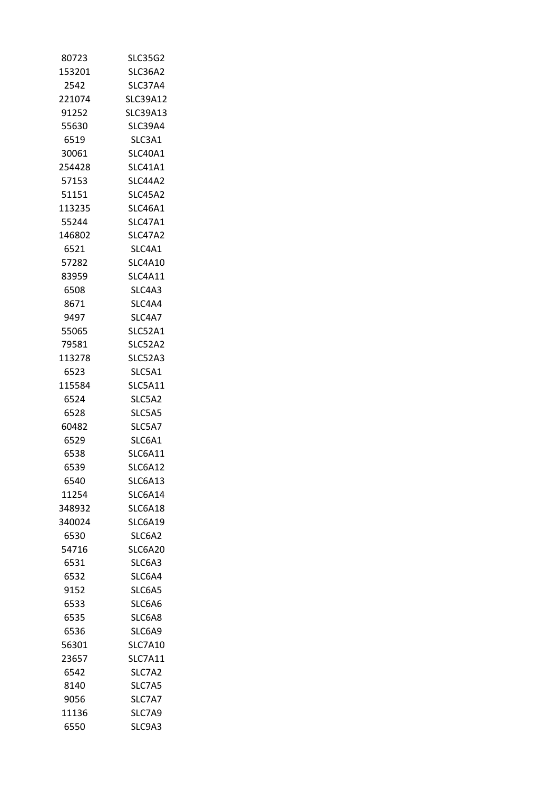| 80723  | <b>SLC35G2</b>  |
|--------|-----------------|
| 153201 | SLC36A2         |
| 2542   | SLC37A4         |
| 221074 | <b>SLC39A12</b> |
| 91252  | <b>SLC39A13</b> |
| 55630  | SLC39A4         |
| 6519   | SLC3A1          |
| 30061  | <b>SLC40A1</b>  |
| 254428 | SLC41A1         |
| 57153  | <b>SLC44A2</b>  |
| 51151  | SLC45A2         |
| 113235 | SLC46A1         |
| 55244  | SLC47A1         |
| 146802 | <b>SLC47A2</b>  |
| 6521   | SLC4A1          |
| 57282  | SLC4A10         |
| 83959  | SLC4A11         |
| 6508   | SLC4A3          |
| 8671   | SLC4A4          |
| 9497   | SLC4A7          |
| 55065  | <b>SLC52A1</b>  |
| 79581  | SLC52A2         |
| 113278 | SLC52A3         |
| 6523   | SLC5A1          |
| 115584 | SLC5A11         |
| 6524   | SLC5A2          |
| 6528   | SLC5A5          |
| 60482  | SLC5A7          |
| 6529   | SLC6A1          |
| 6538   | SLC6A11         |
| 6539   | SLC6A12         |
| 6540   | <b>SLC6A13</b>  |
| 11254  | SLC6A14         |
| 348932 | SLC6A18         |
| 340024 | <b>SLC6A19</b>  |
| 6530   | SLC6A2          |
| 54716  | SLC6A20         |
| 6531   | SLC6A3          |
| 6532   | SLC6A4          |
| 9152   | SLC6A5          |
| 6533   | SLC6A6          |
| 6535   | SLC6A8          |
| 6536   | SLC6A9          |
| 56301  | <b>SLC7A10</b>  |
| 23657  | <b>SLC7A11</b>  |
| 6542   | SLC7A2          |
| 8140   | SLC7A5          |
| 9056   | SLC7A7          |
| 11136  | SLC7A9          |
| 6550   | SLC9A3          |
|        |                 |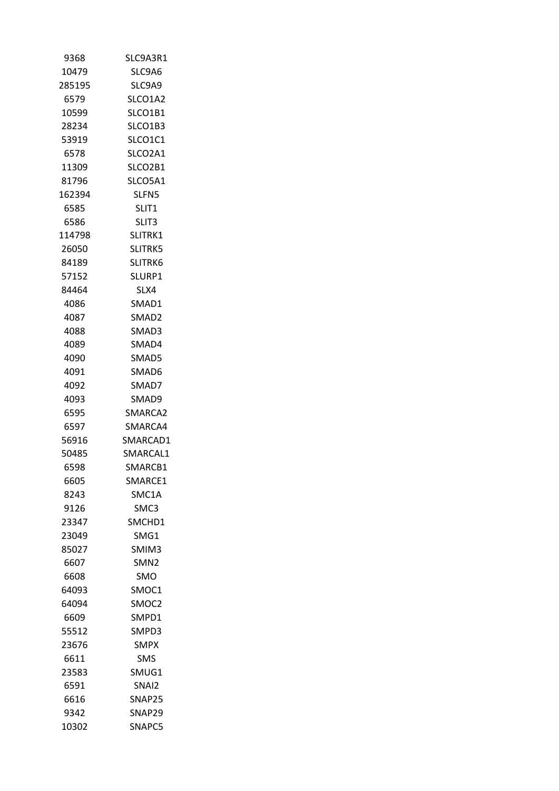| 9368   | SLC9A3R1          |
|--------|-------------------|
| 10479  | SLC9A6            |
| 285195 | SLC9A9            |
| 6579   | SLCO1A2           |
| 10599  | SLCO1B1           |
| 28234  | SLCO1B3           |
| 53919  | SLCO1C1           |
| 6578   | SLCO2A1           |
| 11309  | SLCO2B1           |
| 81796  | SLCO5A1           |
| 162394 | SLFN5             |
| 6585   | SLIT <sub>1</sub> |
| 6586   | SLIT3             |
| 114798 | SLITRK1           |
| 26050  | <b>SLITRK5</b>    |
| 84189  | SLITRK6           |
| 57152  | SLURP1            |
| 84464  | SLX4              |
| 4086   | SMAD1             |
| 4087   | SMAD <sub>2</sub> |
| 4088   | SMAD3             |
| 4089   | SMAD4             |
| 4090   | SMAD5             |
| 4091   | SMAD6             |
| 4092   | SMAD7             |
| 4093   | SMAD9             |
| 6595   | SMARCA2           |
| 6597   | SMARCA4           |
| 56916  | SMARCAD1          |
| 50485  | SMARCAL1          |
| 6598   | SMARCB1           |
| 6605   | SMARCE1           |
| 8243   | SMC1A             |
| 9126   | SMC3              |
| 23347  | SMCHD1            |
| 23049  | SMG1              |
| 85027  | SMIM3             |
| 6607   | SMN <sub>2</sub>  |
| 6608   | SMO               |
| 64093  | SMOC1             |
| 64094  | SMOC <sub>2</sub> |
| 6609   | SMPD1             |
|        | SMPD3             |
| 55512  |                   |
| 23676  | <b>SMPX</b>       |
| 6611   | SMS               |
| 23583  | SMUG1             |
| 6591   | SNAI <sub>2</sub> |
| 6616   | SNAP25            |
| 9342   | SNAP29            |
| 10302  | SNAPC5            |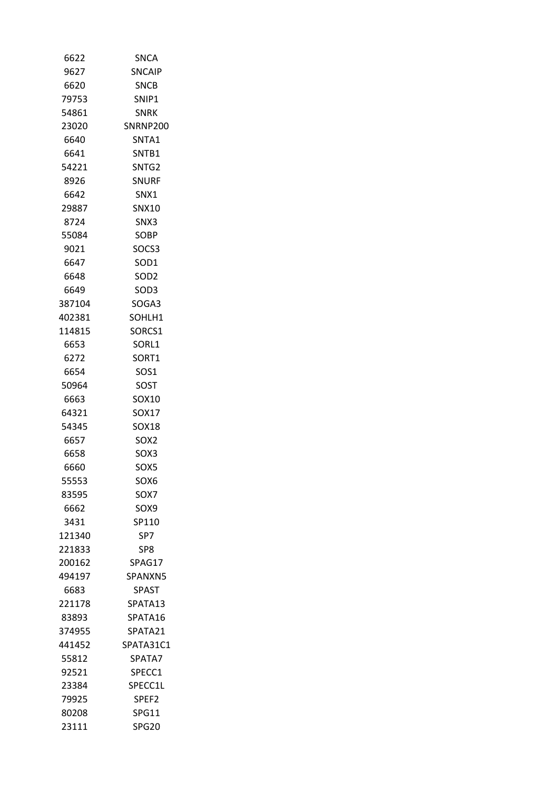| 6622   | SNCA              |
|--------|-------------------|
| 9627   | <b>SNCAIP</b>     |
| 6620   | <b>SNCB</b>       |
| 79753  | SNIP1             |
| 54861  | <b>SNRK</b>       |
| 23020  | SNRNP200          |
| 6640   | SNTA1             |
| 6641   | SNTB1             |
| 54221  | SNTG2             |
| 8926   | SNURF             |
| 6642   | SNX1              |
| 29887  | <b>SNX10</b>      |
| 8724   | SNX3              |
| 55084  | <b>SOBP</b>       |
| 9021   | SOCS3             |
| 6647   | SOD1              |
| 6648   | SOD <sub>2</sub>  |
| 6649   | SOD3              |
| 387104 | SOGA3             |
| 402381 | SOHLH1            |
| 114815 | SORCS1            |
| 6653   | SORL1             |
| 6272   | SORT1             |
| 6654   | SOS1              |
| 50964  | SOST              |
| 6663   | SOX10             |
| 64321  | SOX17             |
| 54345  | SOX18             |
| 6657   | SOX2              |
| 6658   | SOX3              |
| 6660   | SOX5              |
| 55553  | SOX6              |
| 83595  | SOX7              |
| 6662   | SOX9              |
| 3431   | SP110             |
| 121340 | SP7               |
| 221833 | SP8.              |
| 200162 | SPAG17            |
| 494197 | SPANXN5           |
| 6683   | <b>SPAST</b>      |
| 221178 | SPATA13           |
| 83893  | SPATA16           |
| 374955 | SPATA21           |
| 441452 | SPATA31C1         |
| 55812  | SPATA7            |
| 92521  | SPECC1            |
| 23384  | SPECC1L           |
| 79925  | SPEF <sub>2</sub> |
| 80208  | SPG11             |
| 23111  | <b>SPG20</b>      |
|        |                   |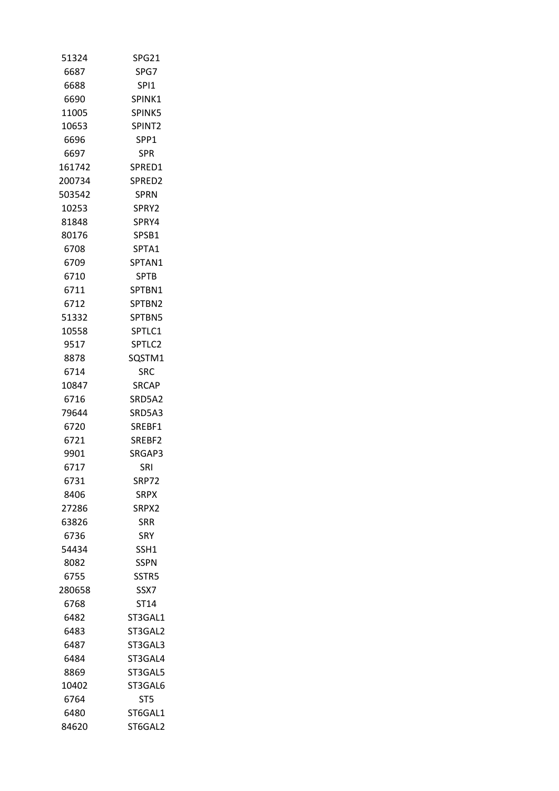| 51324  | <b>SPG21</b>       |
|--------|--------------------|
| 6687   | SPG7               |
| 6688   | SPI <sub>1</sub>   |
| 6690   | SPINK1             |
| 11005  | SPINK5             |
| 10653  | SPINT <sub>2</sub> |
| 6696   | SPP <sub>1</sub>   |
| 6697   | <b>SPR</b>         |
| 161742 | SPRED1             |
| 200734 | SPRED <sub>2</sub> |
| 503542 | <b>SPRN</b>        |
| 10253  | SPRY2              |
| 81848  | SPRY4              |
|        |                    |
| 80176  | SPSB1              |
| 6708   | SPTA1              |
| 6709   | SPTAN1             |
| 6710   | <b>SPTB</b>        |
| 6711   | SPTBN1             |
| 6712   | SPTBN2             |
| 51332  | SPTBN5             |
| 10558  | SPTLC1             |
| 9517   | SPTLC2             |
| 8878   | SQSTM1             |
| 6714   | <b>SRC</b>         |
| 10847  | <b>SRCAP</b>       |
| 6716   | SRD5A2             |
| 79644  | SRD5A3             |
| 6720   | SREBF1             |
| 6721   | SREBF2             |
| 9901   | SRGAP3             |
| 6717   | SRI                |
| 6731   | SRP72              |
| 8406   | <b>SRPX</b>        |
| 27286  | SRPX2              |
| 63826  | <b>SRR</b>         |
| 6736   | <b>SRY</b>         |
| 54434  | SSH1               |
| 8082   | SSPN               |
|        |                    |
| 6755   | SSTR5              |
| 280658 | SSX7               |
| 6768   | ST14               |
| 6482   | ST3GAL1            |
| 6483   | ST3GAL2            |
| 6487   | ST3GAL3            |
| 6484   | ST3GAL4            |
| 8869   | ST3GAL5            |
| 10402  | ST3GAL6            |
| 6764   | ST <sub>5</sub>    |
| 6480   | ST6GAL1            |
| 84620  | ST6GAL2            |
|        |                    |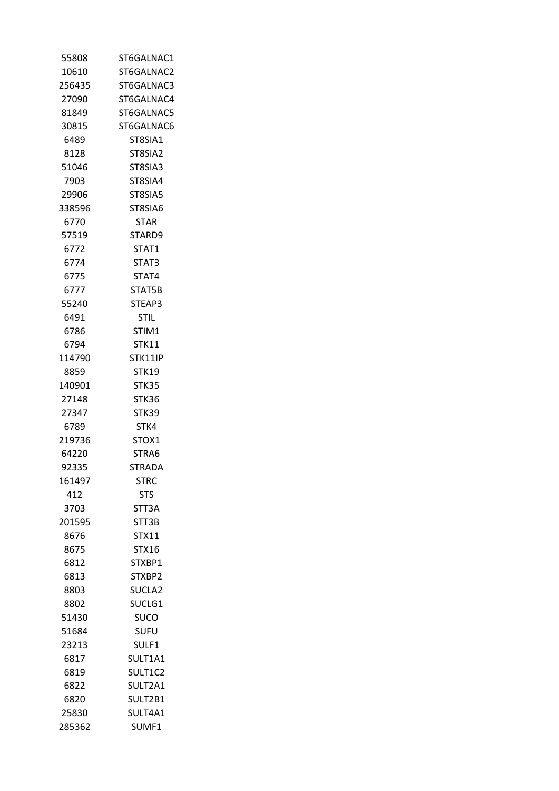| ST6GALNAC1     |
|----------------|
| ST6GALNAC2     |
| ST6GALNAC3     |
| ST6GALNAC4     |
| ST6GALNAC5     |
| ST6GALNAC6     |
| ST8SIA1        |
| ST8SIA2        |
| ST8SIA3        |
| ST8SIA4        |
| ST8SIA5        |
| ST8SIA6        |
| STAR           |
| STARD9         |
| STAT1          |
| STAT3          |
| STAT4          |
| STAT5B         |
| STEAP3         |
| <b>STIL</b>    |
| STIM1          |
| <b>STK11</b>   |
| <b>STK11IP</b> |
| <b>STK19</b>   |
| <b>STK35</b>   |
| STK36          |
| STK39          |
| STK4           |
| STOX1          |
| STRA6          |
| STRADA         |
| STRC           |
| STS            |
| STT3A          |
| STT3B          |
| <b>STX11</b>   |
| STX16          |
| STXBP1         |
| STXBP2         |
| SUCLA2         |
| SUCLG1         |
| SUCO           |
| <b>SUFU</b>    |
| SULF1          |
| SULT1A1        |
| SULT1C2        |
| SULT2A1        |
| SULT2B1        |
| SULT4A1        |
| SUMF1          |
|                |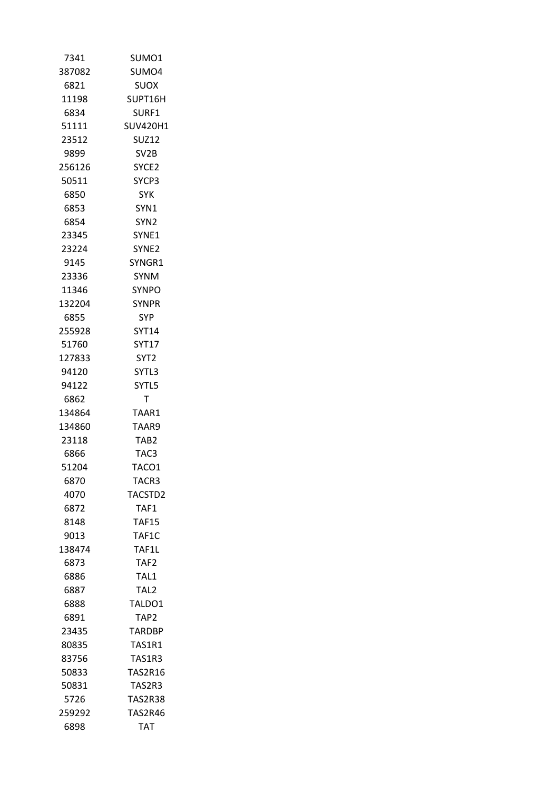| 7341   | SUMO1             |
|--------|-------------------|
| 387082 | SUMO4             |
| 6821   | SUOX              |
| 11198  | SUPT16H           |
| 6834   | SURF1             |
| 51111  | SUV420H1          |
| 23512  | SUZ12             |
| 9899   | SV2B              |
| 256126 | SYCE <sub>2</sub> |
| 50511  | SYCP3             |
| 6850   | SYK.              |
| 6853   | SYN1              |
| 6854   | SYN2              |
| 23345  | SYNE1             |
| 23224  | SYNE <sub>2</sub> |
| 9145   | SYNGR1            |
| 23336  | <b>SYNM</b>       |
| 11346  | <b>SYNPO</b>      |
| 132204 | <b>SYNPR</b>      |
| 6855   | SYP.              |
| 255928 | SYT14             |
| 51760  | <b>SYT17</b>      |
| 127833 | SYT2              |
| 94120  | SYTL3             |
| 94122  | SYTL5             |
| 6862   | Т                 |
| 134864 | TAAR1             |
| 134860 | TAAR9             |
| 23118  | TAB2              |
| 6866   | TAC3              |
| 51204  | TACO1             |
| 6870   | TACR3             |
| 4070   | TACSTD2           |
| 6872   | TAF1              |
| 8148   | <b>TAF15</b>      |
| 9013   | TAF1C             |
| 138474 | TAF1L             |
| 6873   | TAF <sub>2</sub>  |
| 6886   | TAL1              |
| 6887   | TAL <sub>2</sub>  |
| 6888   | TALDO1            |
| 6891   | TAP2              |
| 23435  | <b>TARDBP</b>     |
| 80835  | TAS1R1            |
| 83756  | <b>TAS1R3</b>     |
| 50833  | <b>TAS2R16</b>    |
| 50831  | TAS2R3            |
| 5726   | TAS2R38           |
| 259292 | TAS2R46           |
| 6898   | TAT               |
|        |                   |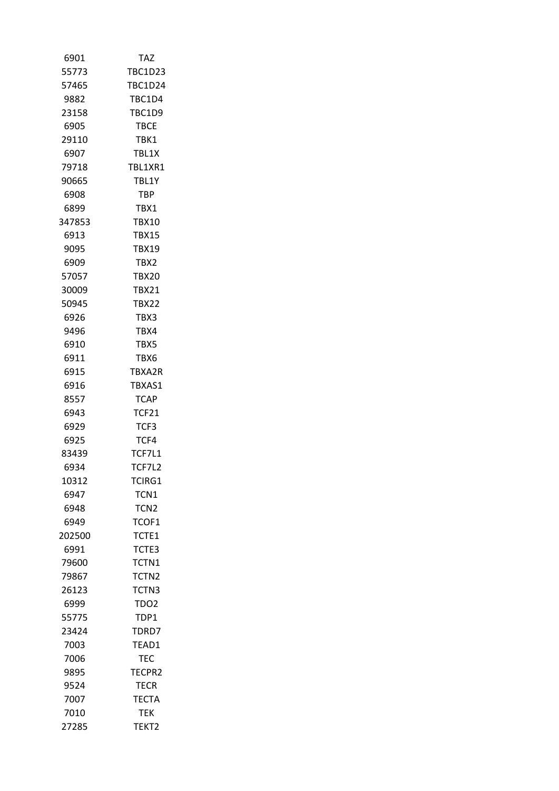| 6901   | TAZ               |
|--------|-------------------|
| 55773  | <b>TBC1D23</b>    |
| 57465  | <b>TBC1D24</b>    |
| 9882   | TBC1D4            |
| 23158  | TBC1D9            |
| 6905   | <b>TBCE</b>       |
| 29110  | TBK1              |
| 6907   | TBL1X             |
| 79718  | TBL1XR1           |
| 90665  | TBL1Y             |
| 6908   | <b>TBP</b>        |
| 6899   | TBX1              |
| 347853 | <b>TBX10</b>      |
| 6913   | <b>TBX15</b>      |
| 9095   | <b>TBX19</b>      |
| 6909   | TBX2              |
| 57057  | <b>TBX20</b>      |
| 30009  | <b>TBX21</b>      |
| 50945  | <b>TBX22</b>      |
| 6926   | TBX3              |
| 9496   | TBX4              |
| 6910   | TBX5              |
| 6911   | TBX6              |
| 6915   | TBXA2R            |
| 6916   | TBXAS1            |
| 8557   | <b>TCAP</b>       |
| 6943   | <b>TCF21</b>      |
| 6929   | TCF3              |
| 6925   | TCF4              |
| 83439  | TCF7L1            |
| 6934   | TCF7L2            |
| 10312  | TCIRG1            |
| 6947   | TCN1              |
| 6948   | TCN <sub>2</sub>  |
| 6949   | TCOF1             |
| 202500 | TCTE1             |
| 6991   | TCTE3             |
| 79600  | TCTN1             |
| 79867  | TCTN <sub>2</sub> |
| 26123  | TCTN3             |
| 6999   | TDO <sub>2</sub>  |
| 55775  | TDP1              |
| 23424  | TDRD7             |
| 7003   | TEAD1             |
| 7006   | TEC               |
| 9895   | TECPR2            |
| 9524   | TECR              |
| 7007   | <b>TECTA</b>      |
| 7010   | TEK               |
| 27285  | TEKT2             |
|        |                   |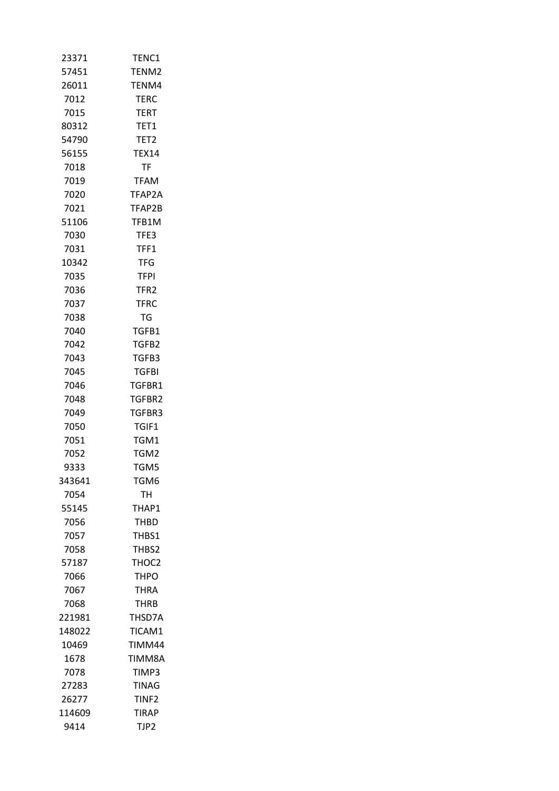| 23371  | TENC1             |
|--------|-------------------|
| 57451  | TENM2             |
| 26011  | TENM4             |
| 7012   | <b>TERC</b>       |
| 7015   | <b>TERT</b>       |
| 80312  | TET1              |
| 54790  | TET <sub>2</sub>  |
| 56155  | <b>TEX14</b>      |
| 7018   | <b>TF</b>         |
| 7019   | <b>TFAM</b>       |
| 7020   | TFAP2A            |
| 7021   | TFAP2B            |
| 51106  | TFB1M             |
| 7030   | TFE3              |
| 7031   | TFF1              |
| 10342  | TFG               |
| 7035   | <b>TFPI</b>       |
| 7036   | TFR2              |
| 7037   | <b>TFRC</b>       |
| 7038   | <b>TG</b>         |
| 7040   | TGFB1             |
| 7042   | TGFB2             |
| 7043   | TGFB3             |
| 7045   | TGFBI             |
| 7046   | TGFBR1            |
| 7048   | TGFBR2            |
| 7049   | TGFBR3            |
| 7050   | TGIF1             |
| 7051   | TGM1              |
| 7052   | TGM2              |
| 9333   | TGM5              |
| 343641 | TGM6              |
| 7054   | TН                |
| 55145  | THAP1             |
| 7056   | <b>THBD</b>       |
| 7057   | THBS1             |
| 7058   | THBS2             |
| 57187  | THOC <sub>2</sub> |
| 7066   | <b>THPO</b>       |
| 7067   | <b>THRA</b>       |
| 7068   | <b>THRB</b>       |
| 221981 | THSD7A            |
| 148022 | TICAM1            |
| 10469  | TIMM44            |
| 1678   | TIMM8A            |
| 7078   | TIMP3             |
| 27283  | TINAG             |
| 26277  | TINF <sub>2</sub> |
| 114609 | TIRAP             |
| 9414   | TJP2              |
|        |                   |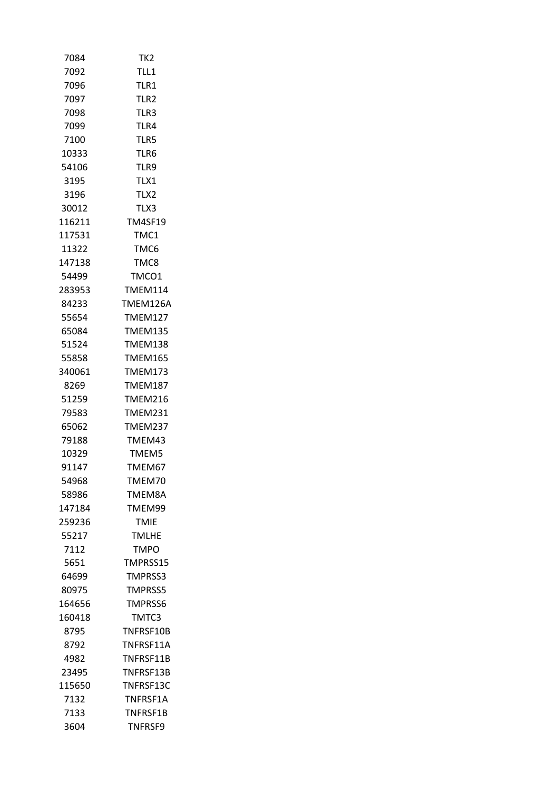| 7084   | TK <sub>2</sub>  |
|--------|------------------|
| 7092   | TLL1             |
| 7096   | TLR1             |
| 7097   | TLR <sub>2</sub> |
| 7098   | TLR3             |
| 7099   | TLR4             |
| 7100   | TLR5             |
| 10333  | TLR6             |
| 54106  | TLR9             |
| 3195   | TLX1             |
| 3196   | TLX2             |
| 30012  | TLX3             |
| 116211 | <b>TM4SF19</b>   |
| 117531 | TMC1             |
| 11322  | TMC6             |
| 147138 | TMC8             |
| 54499  | TMCO1            |
| 283953 | <b>TMEM114</b>   |
| 84233  | TMEM126A         |
| 55654  | <b>TMEM127</b>   |
| 65084  | <b>TMEM135</b>   |
| 51524  | TMEM138          |
| 55858  | TMEM165          |
| 340061 | TMEM173          |
| 8269   | <b>TMEM187</b>   |
| 51259  | TMEM216          |
| 79583  | TMEM231          |
| 65062  | TMEM237          |
| 79188  | TMEM43           |
| 10329  | TMEM5            |
| 91147  | TMEM67           |
| 54968  | TMEM70           |
| 58986  | TMEM8A           |
| 147184 | TMEM99           |
| 259236 | <b>TMIE</b>      |
| 55217  | <b>TMLHE</b>     |
| 7112   | <b>TMPO</b>      |
| 5651   | TMPRSS15         |
| 64699  | TMPRSS3          |
| 80975  | <b>TMPRSS5</b>   |
| 164656 | <b>TMPRSS6</b>   |
| 160418 | TMTC3            |
| 8795   | TNFRSF10B        |
| 8792   | TNFRSF11A        |
| 4982   | TNFRSF11B        |
| 23495  | TNFRSF13B        |
| 115650 | TNFRSF13C        |
| 7132   | TNFRSF1A         |
| 7133   | TNFRSF1B         |
| 3604   | TNFRSF9          |
|        |                  |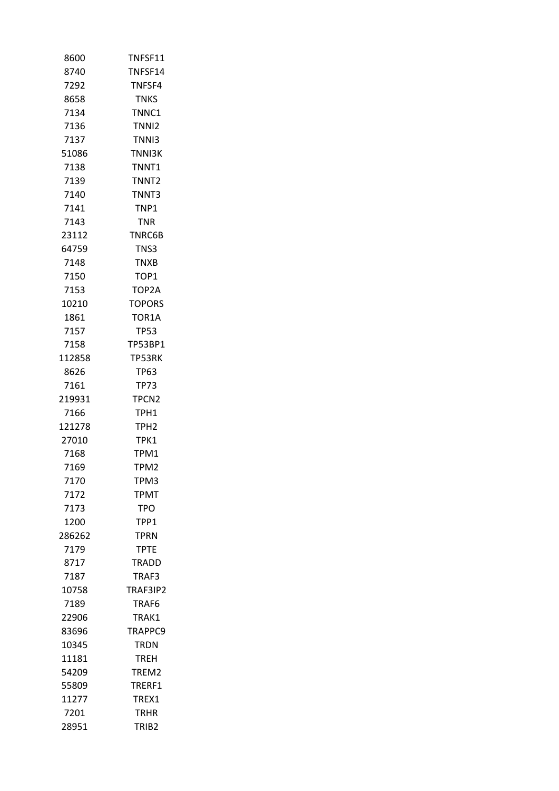| 8600   | TNFSF11           |
|--------|-------------------|
| 8740   | TNFSF14           |
| 7292   | TNFSF4            |
| 8658   | <b>TNKS</b>       |
| 7134   | TNNC1             |
| 7136   | TNN <sub>12</sub> |
| 7137   | TNN <sub>13</sub> |
| 51086  | <b>TNNI3K</b>     |
| 7138   | TNNT1             |
| 7139   | TNNT <sub>2</sub> |
| 7140   | TNNT3             |
| 7141   | TNP1              |
| 7143   | TNR               |
| 23112  | TNRC6B            |
| 64759  | TNS3              |
| 7148   | <b>TNXB</b>       |
| 7150   | TOP1              |
| 7153   | TOP2A             |
| 10210  | <b>TOPORS</b>     |
| 1861   | TOR1A             |
| 7157   | TP53              |
| 7158   | TP53BP1           |
| 112858 | TP53RK            |
| 8626   | TP63              |
| 7161   | <b>TP73</b>       |
| 219931 | TPCN <sub>2</sub> |
| 7166   | TPH1              |
| 121278 | TPH <sub>2</sub>  |
| 27010  | TPK1              |
| 7168   | TPM1              |
| 7169   | TPM2              |
| 7170   | TPM3              |
| 7172   | <b>TPMT</b>       |
| 7173   | <b>TPO</b>        |
| 1200   | TPP1              |
| 286262 | <b>TPRN</b>       |
| 7179   | <b>TPTE</b>       |
| 8717   | TRADD             |
| 7187   | TRAF3             |
| 10758  | TRAF3IP2          |
| 7189   | TRAF6             |
| 22906  | TRAK1             |
| 83696  | TRAPPC9           |
| 10345  | TRDN              |
| 11181  | <b>TREH</b>       |
| 54209  | TREM2             |
| 55809  | TRERF1            |
| 11277  | TREX1             |
| 7201   | <b>TRHR</b>       |
| 28951  | TRIB <sub>2</sub> |
|        |                   |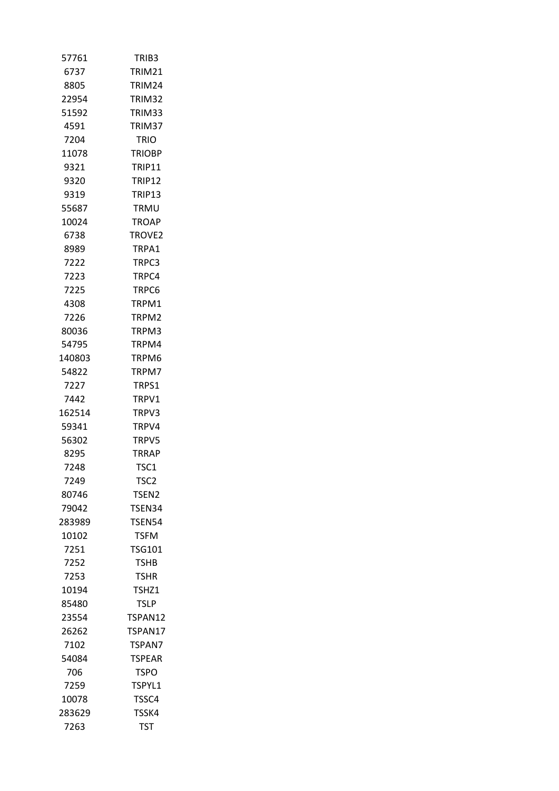| 57761  | TRIB3              |
|--------|--------------------|
| 6737   | TRIM21             |
| 8805   | TRIM <sub>24</sub> |
| 22954  | TRIM32             |
| 51592  | TRIM33             |
| 4591   | TRIM37             |
| 7204   | TRIO               |
| 11078  | <b>TRIOBP</b>      |
| 9321   | TRIP11             |
| 9320   | TRIP12             |
| 9319   | TRIP13             |
| 55687  | TRMU               |
| 10024  | TROAP              |
| 6738   | TROVE <sub>2</sub> |
| 8989   | TRPA1              |
| 7222   | TRPC3              |
| 7223   | TRPC4              |
| 7225   | TRPC6              |
| 4308   | TRPM1              |
| 7226   | TRPM2              |
| 80036  | TRPM3              |
| 54795  | TRPM4              |
| 140803 | TRPM6              |
| 54822  | TRPM7              |
| 7227   | TRPS1              |
| 7442   | TRPV1              |
| 162514 | TRPV3              |
| 59341  | TRPV4              |
| 56302  | TRPV5              |
| 8295   | TRRAP              |
| 7248   | TSC1               |
| 7249   | TSC2               |
| 80746  | TSEN <sub>2</sub>  |
|        |                    |
| 79042  | TSEN34             |
| 283989 | <b>TSEN54</b>      |
| 10102  | <b>TSFM</b>        |
| 7251   | <b>TSG101</b>      |
| 7252   | <b>TSHB</b>        |
| 7253   | <b>TSHR</b>        |
| 10194  | TSHZ1              |
| 85480  | <b>TSLP</b>        |
| 23554  | TSPAN12            |
| 26262  | TSPAN17            |
| 7102   | TSPAN7             |
| 54084  | <b>TSPEAR</b>      |
| 706    | TSPO               |
| 7259   | TSPYL1             |
| 10078  | TSSC4              |
| 283629 | TSSK4              |
| 7263   | TST                |
|        |                    |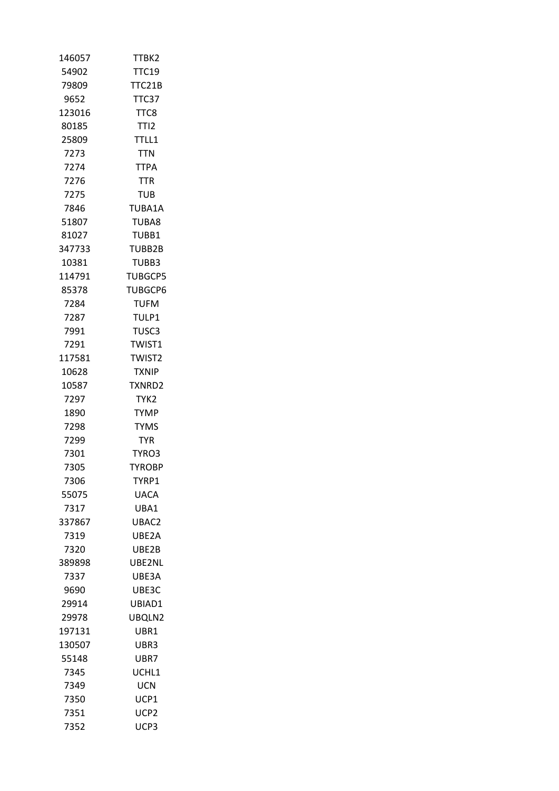| 146057 | TTBK2            |
|--------|------------------|
| 54902  | <b>TTC19</b>     |
| 79809  | TTC21B           |
| 9652   | TTC37            |
| 123016 | TTC8             |
| 80185  | TTI <sub>2</sub> |
| 25809  | TTLL1            |
| 7273   | TTN              |
| 7274   | <b>TTPA</b>      |
| 7276   | <b>TTR</b>       |
| 7275   | TUB              |
| 7846   | TUBA1A           |
| 51807  | TUBA8            |
| 81027  | TUBB1            |
| 347733 | TUBB2B           |
| 10381  | TUBB3            |
| 114791 | <b>TUBGCP5</b>   |
| 85378  | <b>TUBGCP6</b>   |
| 7284   | TUFM             |
| 7287   | TULP1            |
| 7991   | TUSC3            |
| 7291   | TWIST1           |
| 117581 | <b>TWIST2</b>    |
| 10628  | <b>TXNIP</b>     |
| 10587  | TXNRD2           |
| 7297   | TYK2             |
| 1890   | TYMP             |
| 7298   | <b>TYMS</b>      |
| 7299   | <b>TYR</b>       |
| 7301   | TYRO3            |
| 7305   | <b>TYROBP</b>    |
| 7306   | TYRP1            |
| 55075  | <b>UACA</b>      |
| 7317   | UBA1             |
| 337867 | UBAC2            |
| 7319   | UBE2A            |
| 7320   | UBE2B            |
| 389898 | UBE2NL           |
| 7337   | UBE3A            |
| 9690   | UBE3C            |
| 29914  | UBIAD1           |
| 29978  | UBQLN2           |
| 197131 | UBR1             |
| 130507 | UBR3             |
| 55148  | UBR7             |
| 7345   | UCHL1            |
| 7349   | UCN              |
| 7350   | UCP1             |
| 7351   | UCP2             |
| 7352   | UCP3             |
|        |                  |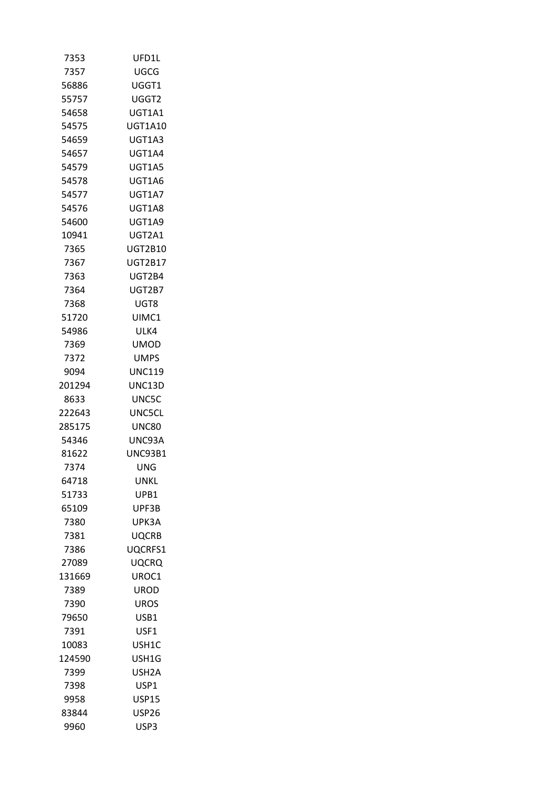| 7353   | UFD1L          |
|--------|----------------|
| 7357   | UGCG           |
| 56886  | UGGT1          |
| 55757  | UGGT2          |
| 54658  | UGT1A1         |
| 54575  | <b>UGT1A10</b> |
| 54659  | UGT1A3         |
| 54657  | UGT1A4         |
| 54579  | UGT1A5         |
| 54578  | UGT1A6         |
| 54577  | UGT1A7         |
| 54576  | UGT1A8         |
| 54600  | UGT1A9         |
| 10941  | UGT2A1         |
| 7365   | UGT2B10        |
| 7367   | UGT2B17        |
| 7363   | UGT2B4         |
| 7364   | UGT2B7         |
| 7368   | UGT8           |
| 51720  | UIMC1          |
| 54986  | ULK4           |
| 7369   | <b>UMOD</b>    |
| 7372   | UMPS           |
| 9094   | <b>UNC119</b>  |
| 201294 | UNC13D         |
| 8633   | UNC5C          |
| 222643 | <b>UNC5CL</b>  |
| 285175 | <b>UNC80</b>   |
| 54346  | UNC93A         |
| 81622  | <b>UNC93B1</b> |
| 7374   | UNG            |
| 64718  | UNKL           |
| 51733  | UPB1           |
| 65109  | UPF3B          |
| 7380   | UPK3A          |
| 7381   | <b>UQCRB</b>   |
| 7386   | UQCRFS1        |
| 27089  | UQCRQ          |
| 131669 | UROC1          |
| 7389   | UROD           |
| 7390   | <b>UROS</b>    |
| 79650  |                |
|        | USB1           |
| 7391   | USF1           |
| 10083  | USH1C          |
| 124590 | USH1G          |
| 7399   | USH2A          |
| 7398   | USP1           |
| 9958   | <b>USP15</b>   |
| 83844  | USP26          |
| 9960   | USP3           |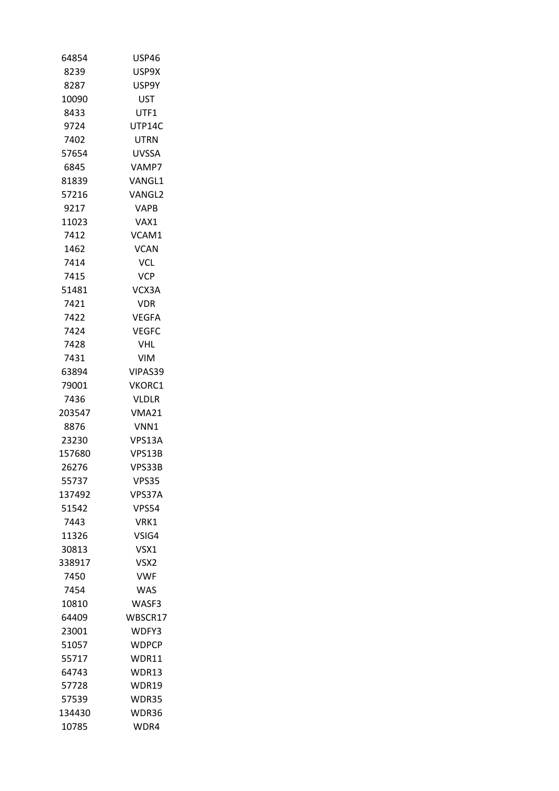| 64854  | <b>USP46</b> |
|--------|--------------|
| 8239   | USP9X        |
| 8287   | USP9Y        |
| 10090  | UST          |
| 8433   | UTF1         |
| 9724   | UTP14C       |
| 7402   | UTRN         |
| 57654  | UVSSA        |
| 6845   | VAMP7        |
| 81839  | VANGL1       |
| 57216  | VANGL2       |
| 9217   | VAPB         |
| 11023  | VAX1         |
| 7412   | VCAM1        |
| 1462   | <b>VCAN</b>  |
| 7414   | <b>VCL</b>   |
| 7415   | <b>VCP</b>   |
| 51481  | VCX3A        |
| 7421   | <b>VDR</b>   |
| 7422   | <b>VEGFA</b> |
| 7424   | VEGFC        |
| 7428   | <b>VHL</b>   |
| 7431   | <b>VIM</b>   |
| 63894  | VIPAS39      |
| 79001  | VKORC1       |
| 7436   | <b>VLDLR</b> |
| 203547 | VMA21        |
| 8876   | VNN1         |
| 23230  | VPS13A       |
| 157680 | VPS13B       |
| 26276  | VPS33B       |
| 55737  | VPS35        |
| 137492 | VPS37A       |
| 51542  | <b>VPS54</b> |
| 7443   | VRK1         |
| 11326  | VSIG4        |
| 30813  | VSX1         |
| 338917 | VSX2         |
| 7450   | <b>VWF</b>   |
| 7454   | <b>WAS</b>   |
| 10810  | WASF3        |
| 64409  | WBSCR17      |
| 23001  | WDFY3        |
| 51057  | WDPCP        |
| 55717  | WDR11        |
| 64743  | WDR13        |
| 57728  | WDR19        |
| 57539  | WDR35        |
| 134430 | WDR36        |
| 10785  | WDR4         |
|        |              |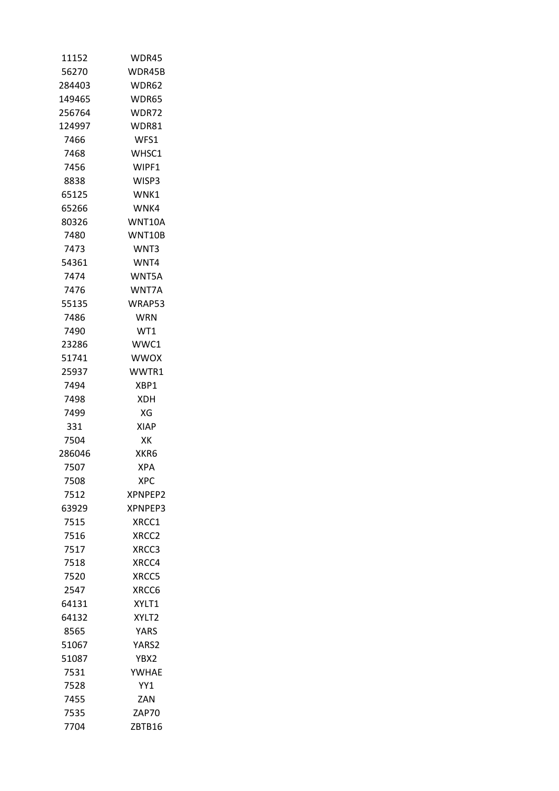| 11152  | WDR45       |
|--------|-------------|
| 56270  | WDR45B      |
| 284403 | WDR62       |
| 149465 | WDR65       |
| 256764 | WDR72       |
| 124997 | WDR81       |
| 7466   | WFS1        |
| 7468   | WHSC1       |
| 7456   | WIPF1       |
| 8838   | WISP3       |
| 65125  | WNK1        |
| 65266  | WNK4        |
| 80326  | WNT10A      |
| 7480   | WNT10B      |
| 7473   | WNT3        |
| 54361  | WNT4        |
| 7474   | WNT5A       |
| 7476   | WNT7A       |
| 55135  | WRAP53      |
| 7486   | <b>WRN</b>  |
| 7490   | WT1         |
| 23286  | WWC1        |
| 51741  | <b>WWOX</b> |
| 25937  | WWTR1       |
| 7494   | XBP1        |
| 7498   | <b>XDH</b>  |
| 7499   | ХG          |
| 331    | <b>XIAP</b> |
| 7504   | XK          |
| 286046 | XKR6        |
| 7507   | <b>XPA</b>  |
| 7508   | <b>XPC</b>  |
| 7512   | XPNPEP2     |
| 63929  | XPNPEP3     |
| 7515   | XRCC1       |
| 7516   | XRCC2       |
| 7517   | XRCC3       |
| 7518   | XRCC4       |
| 7520   | XRCC5       |
| 2547   | XRCC6       |
| 64131  | XYLT1       |
| 64132  | XYLT2       |
| 8565   | <b>YARS</b> |
| 51067  | YARS2       |
| 51087  | YBX2        |
| 7531   | YWHAE       |
| 7528   | YY1         |
| 7455   | ZAN         |
| 7535   | ZAP70       |
| 7704   | ZBTB16      |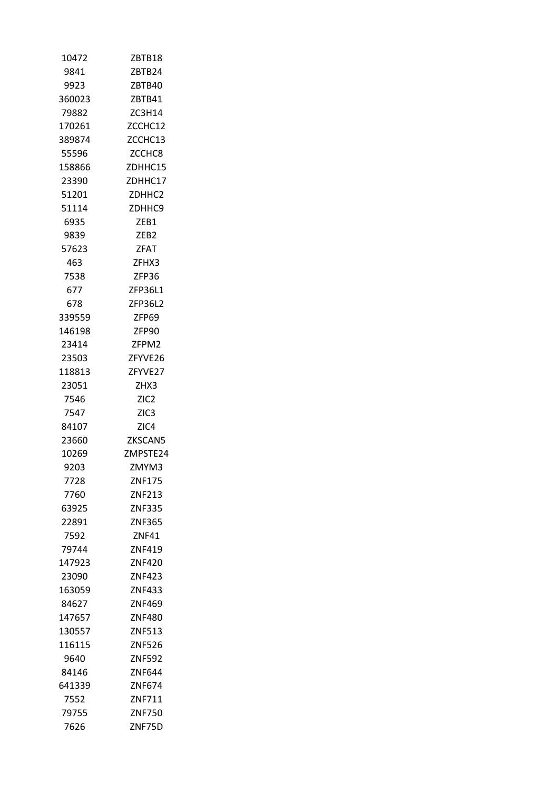| 10472  | ZBTB18           |
|--------|------------------|
| 9841   | ZBTB24           |
| 9923   | ZBTB40           |
| 360023 | ZBTB41           |
| 79882  | ZC3H14           |
| 170261 | ZCCHC12          |
| 389874 | ZCCHC13          |
| 55596  | ZCCHC8           |
| 158866 | ZDHHC15          |
| 23390  | ZDHHC17          |
| 51201  | ZDHHC2           |
| 51114  | ZDHHC9           |
| 6935   | ZEB1             |
| 9839   | ZEB2             |
| 57623  | <b>ZFAT</b>      |
| 463    | ZFHX3            |
| 7538   | ZFP36            |
| 677    | ZFP36L1          |
| 678    | ZFP36L2          |
| 339559 | ZFP69            |
| 146198 | ZFP90            |
| 23414  | ZFPM2            |
| 23503  | ZFYVE26          |
| 118813 | ZFYVE27          |
| 23051  | ZHX3             |
| 7546   | ZIC <sub>2</sub> |
| 7547   | ZIC <sub>3</sub> |
| 84107  | ZIC4             |
| 23660  | ZKSCAN5          |
| 10269  | ZMPSTE24         |
| 9203   | ZMYM3            |
| 7728   | ZNF175           |
| 7760   | ZNF213           |
| 63925  | <b>ZNF335</b>    |
| 22891  | ZNF365           |
| 7592   | <b>ZNF41</b>     |
| 79744  | ZNF419           |
| 147923 | <b>ZNF420</b>    |
| 23090  | <b>ZNF423</b>    |
| 163059 | ZNF433           |
| 84627  | ZNF469           |
| 147657 | ZNF480           |
| 130557 | ZNF513           |
| 116115 | <b>ZNF526</b>    |
| 9640   | <b>ZNF592</b>    |
| 84146  | ZNF644           |
| 641339 | ZNF674           |
| 7552   | ZNF711           |
| 79755  | ZNF750           |
| 7626   | ZNF75D           |